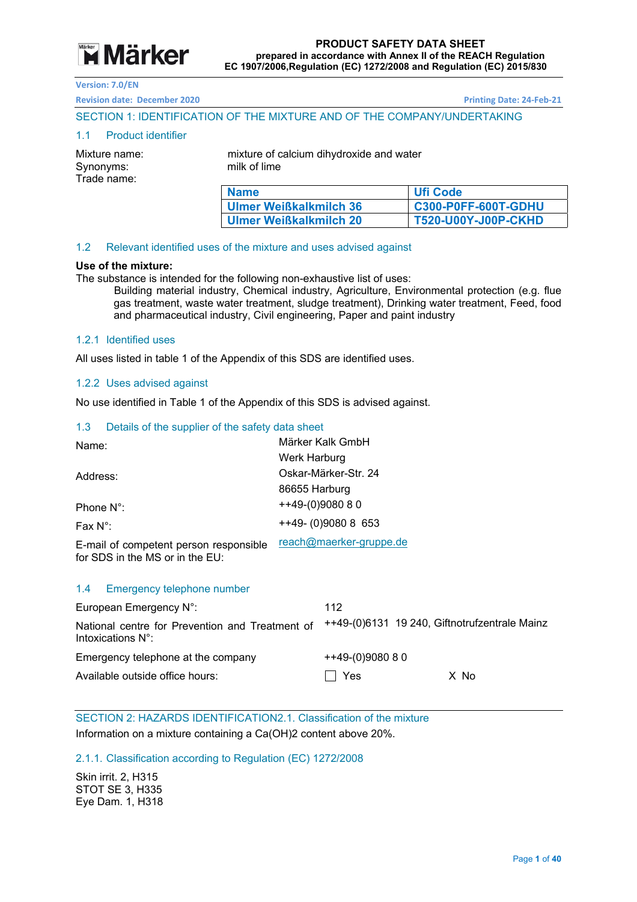

**Revision date: December 2020 Printing Date: 24‐Feb‐21** 

#### SECTION 1: IDENTIFICATION OF THE MIXTURE AND OF THE COMPANY/UNDERTAKING

#### 1.1 Product identifier

Synonyms: milk of lime Trade name:

Mixture name: mixture of calcium dihydroxide and water

| <b>Name</b>                   | Ufi Code                   |
|-------------------------------|----------------------------|
| <b>Ulmer Weißkalkmilch 36</b> | <b>C300-P0FF-600T-GDHU</b> |
| <b>Ulmer Weißkalkmilch 20</b> | T520-U00Y-J00P-CKHD        |

#### 1.2 Relevant identified uses of the mixture and uses advised against

#### **Use of the mixture:**

The substance is intended for the following non-exhaustive list of uses:

Building material industry, Chemical industry, Agriculture, Environmental protection (e.g. flue gas treatment, waste water treatment, sludge treatment), Drinking water treatment, Feed, food and pharmaceutical industry, Civil engineering, Paper and paint industry

#### 1.2.1 Identified uses

All uses listed in table 1 of the Appendix of this SDS are identified uses.

#### 1.2.2 Uses advised against

No use identified in Table 1 of the Appendix of this SDS is advised against.

#### 1.3 Details of the supplier of the safety data sheet

| Name:                                                                     | Märker Kalk GmbH        |  |
|---------------------------------------------------------------------------|-------------------------|--|
|                                                                           | Werk Harburg            |  |
| Address:                                                                  | Oskar-Märker-Str. 24    |  |
|                                                                           | 86655 Harburg           |  |
| Phone $N^{\circ}$ :                                                       | ++49-(0)9080 8 0        |  |
| Fax $N^{\circ}$ :                                                         | $++49-$ (0)9080 8 653   |  |
| E-mail of competent person responsible<br>for SDS in the MS or in the EU: | reach@maerker-gruppe.de |  |

#### 1.4 Emergency telephone number

| European Emergency N°:                                                         | 112                                           |      |
|--------------------------------------------------------------------------------|-----------------------------------------------|------|
| National centre for Prevention and Treatment of<br>Intoxications $N^{\circ}$ : | ++49-(0)6131 19 240, Giftnotrufzentrale Mainz |      |
| Emergency telephone at the company                                             | $+49(0)908080$                                |      |
| Available outside office hours:                                                | Π Yes                                         | X No |

SECTION 2: HAZARDS IDENTIFICATION2.1. Classification of the mixture Information on a mixture containing a Ca(OH)2 content above 20%.

2.1.1. Classification according to Regulation (EC) 1272/2008

Skin irrit. 2, H315 STOT SE 3, H335 Eye Dam. 1, H318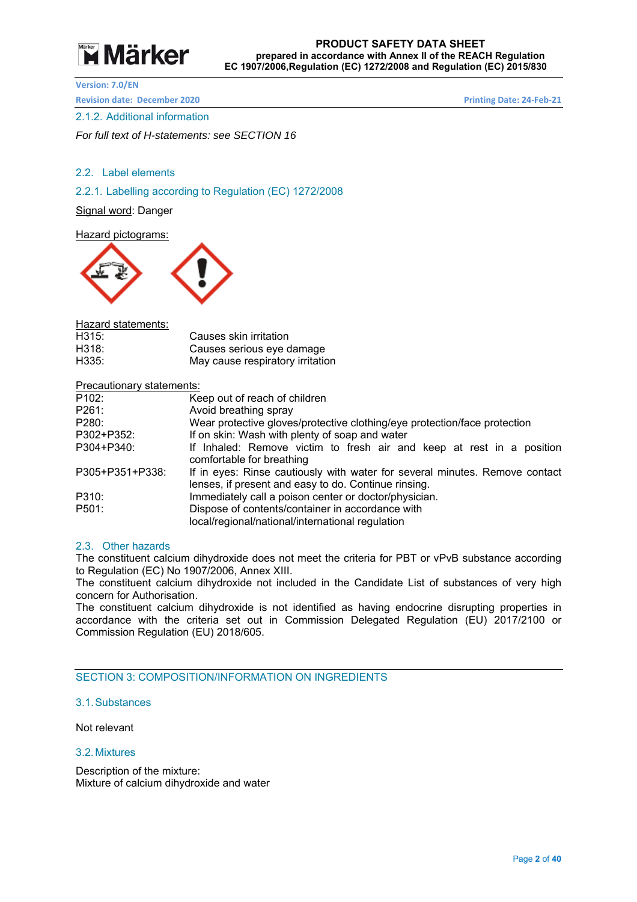# **Märker**

**Version: 7.0/EN** 

**Revision date: December 2020 Printing Date: 24-Feb-21** 

#### 2.1.2. Additional information

*For full text of H-statements: see SECTION 16* 

#### 2.2. Label elements

2.2.1. Labelling according to Regulation (EC) 1272/2008

Signal word: Danger

Hazard pictograms:



Hazard statements:

| H315: | Causes skin irritation           |
|-------|----------------------------------|
| H318: | Causes serious eye damage        |
| H335: | May cause respiratory irritation |

#### Precautionary statements:

| P <sub>102</sub> : | Keep out of reach of children                                                                                                       |
|--------------------|-------------------------------------------------------------------------------------------------------------------------------------|
| P261:              | Avoid breathing spray                                                                                                               |
| P280:              | Wear protective gloves/protective clothing/eye protection/face protection                                                           |
| P302+P352:         | If on skin: Wash with plenty of soap and water                                                                                      |
| P304+P340:         | If Inhaled: Remove victim to fresh air and keep at rest in a position<br>comfortable for breathing                                  |
| P305+P351+P338:    | If in eyes: Rinse cautiously with water for several minutes. Remove contact<br>lenses, if present and easy to do. Continue rinsing. |
| P310:              | Immediately call a poison center or doctor/physician.                                                                               |
| P501:              | Dispose of contents/container in accordance with<br>local/regional/national/international regulation                                |

#### 2.3. Other hazards

The constituent calcium dihydroxide does not meet the criteria for PBT or vPvB substance according to Regulation (EC) No 1907/2006, Annex XIII.

The constituent calcium dihydroxide not included in the Candidate List of substances of very high concern for Authorisation.

The constituent calcium dihydroxide is not identified as having endocrine disrupting properties in accordance with the criteria set out in Commission Delegated Regulation (EU) 2017/2100 or Commission Regulation (EU) 2018/605.

SECTION 3: COMPOSITION/INFORMATION ON INGREDIENTS

3.1. Substances

Not relevant

#### 3.2. Mixtures

Description of the mixture: Mixture of calcium dihydroxide and water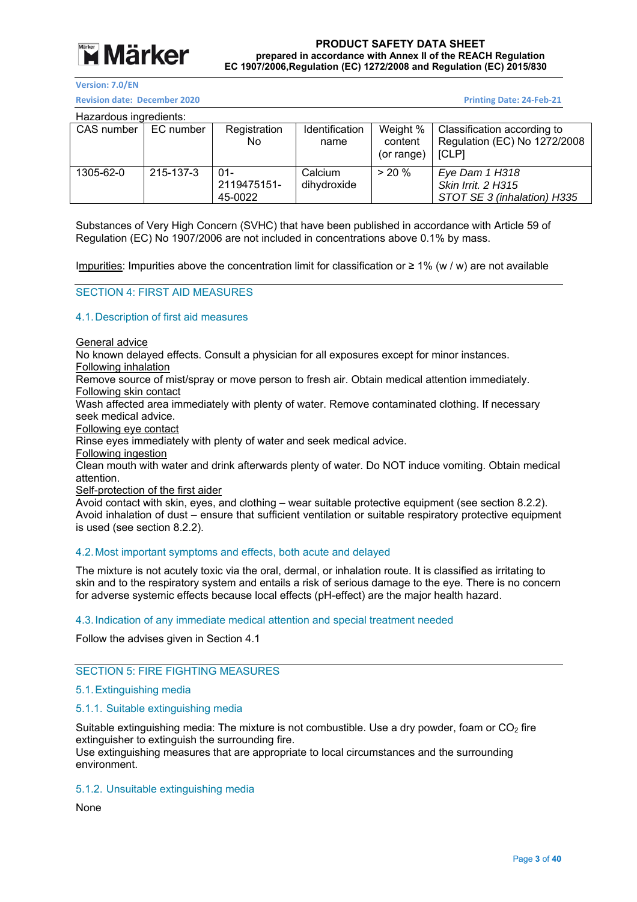

**Revision date: December 2020 Printing Date: 24‐Feb‐21** 

Hazardous ingredients:

| Tiazaruvus inureulents. |           |                                  |                        |                                   |                                                                             |
|-------------------------|-----------|----------------------------------|------------------------|-----------------------------------|-----------------------------------------------------------------------------|
| CAS number              | EC number | Registration<br>No.              | Identification<br>name | Weight %<br>content<br>(or range) | Classification according to<br>Regulation (EC) No 1272/2008<br><b>ICLPI</b> |
| 1305-62-0               | 215-137-3 | $01 -$<br>2119475151-<br>45-0022 | Calcium<br>dihydroxide | $> 20 \%$                         | Eye Dam 1 H318<br><b>Skin Irrit. 2 H315</b><br>STOT SE 3 (inhalation) H335  |

Substances of Very High Concern (SVHC) that have been published in accordance with Article 59 of Regulation (EC) No 1907/2006 are not included in concentrations above 0.1% by mass.

Impurities: Impurities above the concentration limit for classification or  $\geq 1\%$  (w / w) are not available

#### SECTION 4: FIRST AID MEASURES

#### 4.1. Description of first aid measures

General advice

No known delayed effects. Consult a physician for all exposures except for minor instances.

Following inhalation

Remove source of mist/spray or move person to fresh air. Obtain medical attention immediately. Following skin contact

Wash affected area immediately with plenty of water. Remove contaminated clothing. If necessary seek medical advice.

Following eye contact

Rinse eyes immediately with plenty of water and seek medical advice.

Following ingestion

Clean mouth with water and drink afterwards plenty of water. Do NOT induce vomiting. Obtain medical attention.

Self-protection of the first aider

Avoid contact with skin, eyes, and clothing – wear suitable protective equipment (see section 8.2.2). Avoid inhalation of dust – ensure that sufficient ventilation or suitable respiratory protective equipment is used (see section 8.2.2).

#### 4.2. Most important symptoms and effects, both acute and delayed

The mixture is not acutely toxic via the oral, dermal, or inhalation route. It is classified as irritating to skin and to the respiratory system and entails a risk of serious damage to the eye. There is no concern for adverse systemic effects because local effects (pH-effect) are the major health hazard.

#### 4.3. Indication of any immediate medical attention and special treatment needed

Follow the advises given in Section 4.1

#### SECTION 5: FIRE FIGHTING MEASURES

#### 5.1. Extinguishing media

#### 5.1.1. Suitable extinguishing media

Suitable extinguishing media: The mixture is not combustible. Use a dry powder, foam or  $CO<sub>2</sub>$  fire extinguisher to extinguish the surrounding fire. Use extinguishing measures that are appropriate to local circumstances and the surrounding environment.

#### 5.1.2. Unsuitable extinguishing media

None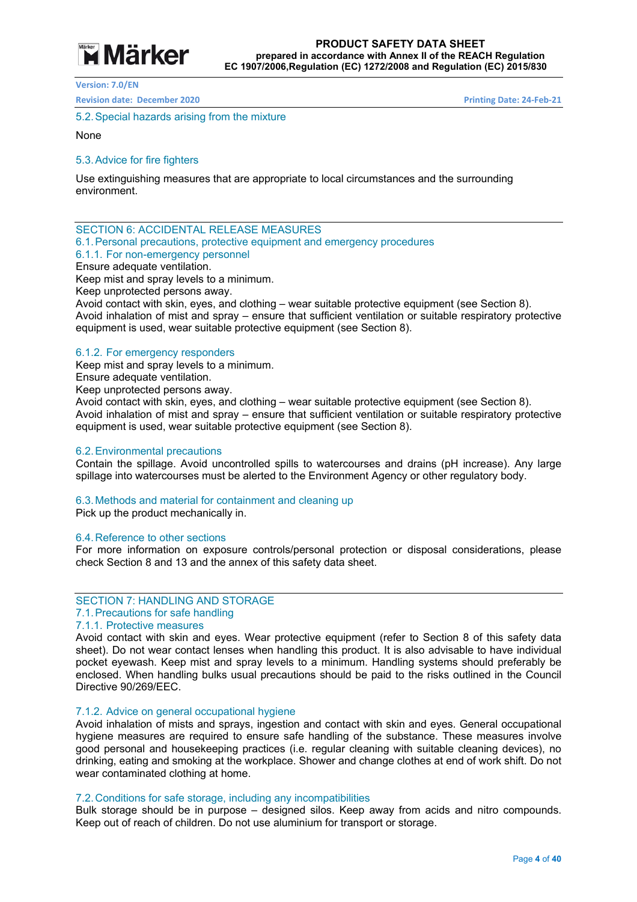

**Revision date: December 2020 Printing Date: 24‐Feb‐21** 

5.2. Special hazards arising from the mixture

None

#### 5.3. Advice for fire fighters

Use extinguishing measures that are appropriate to local circumstances and the surrounding environment.

SECTION 6: ACCIDENTAL RELEASE MEASURES

6.1. Personal precautions, protective equipment and emergency procedures

#### 6.1.1. For non-emergency personnel

Ensure adequate ventilation.

Keep mist and spray levels to a minimum.

Keep unprotected persons away.

Avoid contact with skin, eyes, and clothing – wear suitable protective equipment (see Section 8). Avoid inhalation of mist and spray – ensure that sufficient ventilation or suitable respiratory protective equipment is used, wear suitable protective equipment (see Section 8).

#### 6.1.2. For emergency responders

Keep mist and spray levels to a minimum.

Ensure adequate ventilation.

Keep unprotected persons away.

Avoid contact with skin, eyes, and clothing – wear suitable protective equipment (see Section 8). Avoid inhalation of mist and spray – ensure that sufficient ventilation or suitable respiratory protective equipment is used, wear suitable protective equipment (see Section 8).

#### 6.2. Environmental precautions

Contain the spillage. Avoid uncontrolled spills to watercourses and drains (pH increase). Any large spillage into watercourses must be alerted to the Environment Agency or other regulatory body.

#### 6.3. Methods and material for containment and cleaning up

Pick up the product mechanically in.

#### 6.4. Reference to other sections

For more information on exposure controls/personal protection or disposal considerations, please check Section 8 and 13 and the annex of this safety data sheet.

#### SECTION 7: HANDLING AND STORAGE

### 7.1. Precautions for safe handling

#### 7.1.1. Protective measures

Avoid contact with skin and eyes. Wear protective equipment (refer to Section 8 of this safety data sheet). Do not wear contact lenses when handling this product. It is also advisable to have individual pocket eyewash. Keep mist and spray levels to a minimum. Handling systems should preferably be enclosed. When handling bulks usual precautions should be paid to the risks outlined in the Council Directive 90/269/EEC.

#### 7.1.2. Advice on general occupational hygiene

Avoid inhalation of mists and sprays, ingestion and contact with skin and eyes. General occupational hygiene measures are required to ensure safe handling of the substance. These measures involve good personal and housekeeping practices (i.e. regular cleaning with suitable cleaning devices), no drinking, eating and smoking at the workplace. Shower and change clothes at end of work shift. Do not wear contaminated clothing at home.

#### 7.2. Conditions for safe storage, including any incompatibilities

Bulk storage should be in purpose – designed silos. Keep away from acids and nitro compounds. Keep out of reach of children. Do not use aluminium for transport or storage.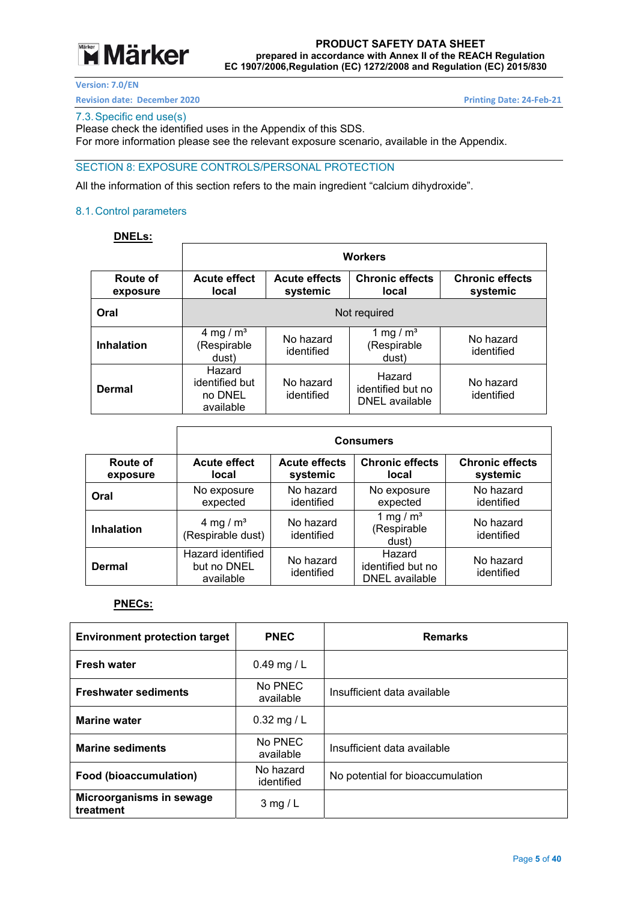## **Märker**

#### **PRODUCT SAFETY DATA SHEET prepared in accordance with Annex II of the REACH Regulation EC 1907/2006,Regulation (EC) 1272/2008 and Regulation (EC) 2015/830**

**Version: 7.0/EN** 

**Revision date: December 2020 Printing Date: 24-Feb-21** 

#### 7.3. Specific end use(s)

Please check the identified uses in the Appendix of this SDS.

For more information please see the relevant exposure scenario, available in the Appendix.

#### SECTION 8: EXPOSURE CONTROLS/PERSONAL PROTECTION

All the information of this section refers to the main ingredient "calcium dihydroxide".

#### 8.1. Control parameters

### **DNELs:**

|                      | <b>Workers</b>                                   |                                  |                                               |                                    |
|----------------------|--------------------------------------------------|----------------------------------|-----------------------------------------------|------------------------------------|
| Route of<br>exposure | <b>Acute effect</b><br>local                     | <b>Acute effects</b><br>systemic | <b>Chronic effects</b><br>local               | <b>Chronic effects</b><br>systemic |
| Oral                 | Not required                                     |                                  |                                               |                                    |
| <b>Inhalation</b>    | 4 mg / $m3$<br>(Respirable<br>dust)              | No hazard<br>identified          | 1 mg / $m3$<br>(Respirable<br>dust)           | No hazard<br>identified            |
| Dermal               | Hazard<br>identified but<br>no DNEL<br>available | No hazard<br>identified          | Hazard<br>identified but no<br>DNEL available | No hazard<br>identified            |

|                      | <b>Consumers</b>                              |                                  |                                               |                                    |
|----------------------|-----------------------------------------------|----------------------------------|-----------------------------------------------|------------------------------------|
| Route of<br>exposure | <b>Acute effect</b><br>local                  | <b>Acute effects</b><br>systemic | <b>Chronic effects</b><br>local               | <b>Chronic effects</b><br>systemic |
| Oral                 | No exposure<br>expected                       | No hazard<br>identified          | No exposure<br>expected                       | No hazard<br>identified            |
| <b>Inhalation</b>    | 4 mg / $m3$<br>(Respirable dust)              | No hazard<br>identified          | 1 mg / $m3$<br>(Respirable<br>dust)           | No hazard<br>identified            |
| Dermal               | Hazard identified<br>but no DNEL<br>available | No hazard<br>identified          | Hazard<br>identified but no<br>DNEL available | No hazard<br>identified            |

#### **PNECs:**

| <b>Environment protection target</b>  | <b>PNEC</b>             | <b>Remarks</b>                   |
|---------------------------------------|-------------------------|----------------------------------|
| <b>Fresh water</b>                    | 0.49 mg / $L$           |                                  |
| <b>Freshwater sediments</b>           | No PNEC<br>available    | Insufficient data available      |
| <b>Marine water</b>                   | $0.32$ mg / L           |                                  |
| <b>Marine sediments</b>               | No PNEC<br>available    | Insufficient data available      |
| Food (bioaccumulation)                | No hazard<br>identified | No potential for bioaccumulation |
| Microorganisms in sewage<br>treatment | $3$ mg / L              |                                  |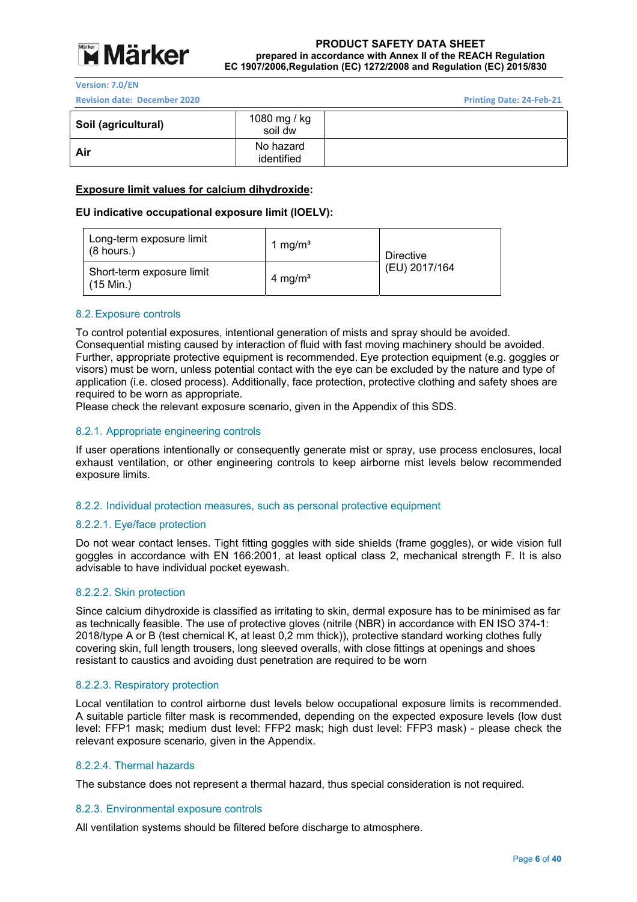

**Version: 7.0/EN** 

**Revision date: December 2020 Printing Date: 24‐Feb‐21** 

| Soil (agricultural) | 1080 mg / kg<br>soil dw |  |
|---------------------|-------------------------|--|
| Air                 | No hazard<br>identified |  |

#### **Exposure limit values for calcium dihydroxide:**

#### **EU indicative occupational exposure limit (IOELV):**

| Long-term exposure limit<br>$(8 \text{ hours.})$ | 1 mg/m <sup>3</sup> | Directive     |
|--------------------------------------------------|---------------------|---------------|
| Short-term exposure limit<br>$(15$ Min.)         | 4 mg/m <sup>3</sup> | (EU) 2017/164 |

#### 8.2. Exposure controls

To control potential exposures, intentional generation of mists and spray should be avoided. Consequential misting caused by interaction of fluid with fast moving machinery should be avoided. Further, appropriate protective equipment is recommended. Eye protection equipment (e.g. goggles or visors) must be worn, unless potential contact with the eye can be excluded by the nature and type of application (i.e. closed process). Additionally, face protection, protective clothing and safety shoes are required to be worn as appropriate.

Please check the relevant exposure scenario, given in the Appendix of this SDS.

#### 8.2.1. Appropriate engineering controls

If user operations intentionally or consequently generate mist or spray, use process enclosures, local exhaust ventilation, or other engineering controls to keep airborne mist levels below recommended exposure limits.

#### 8.2.2. Individual protection measures, such as personal protective equipment

#### 8.2.2.1. Eye/face protection

Do not wear contact lenses. Tight fitting goggles with side shields (frame goggles), or wide vision full goggles in accordance with EN 166:2001, at least optical class 2, mechanical strength F. It is also advisable to have individual pocket eyewash.

#### 8.2.2.2. Skin protection

Since calcium dihydroxide is classified as irritating to skin, dermal exposure has to be minimised as far as technically feasible. The use of protective gloves (nitrile (NBR) in accordance with EN ISO 374-1: 2018/type A or B (test chemical K, at least 0,2 mm thick)), protective standard working clothes fully covering skin, full length trousers, long sleeved overalls, with close fittings at openings and shoes resistant to caustics and avoiding dust penetration are required to be worn

#### 8.2.2.3. Respiratory protection

Local ventilation to control airborne dust levels below occupational exposure limits is recommended. A suitable particle filter mask is recommended, depending on the expected exposure levels (low dust level: FFP1 mask; medium dust level: FFP2 mask; high dust level: FFP3 mask) - please check the relevant exposure scenario, given in the Appendix.

#### 8.2.2.4. Thermal hazards

The substance does not represent a thermal hazard, thus special consideration is not required.

#### 8.2.3. Environmental exposure controls

All ventilation systems should be filtered before discharge to atmosphere.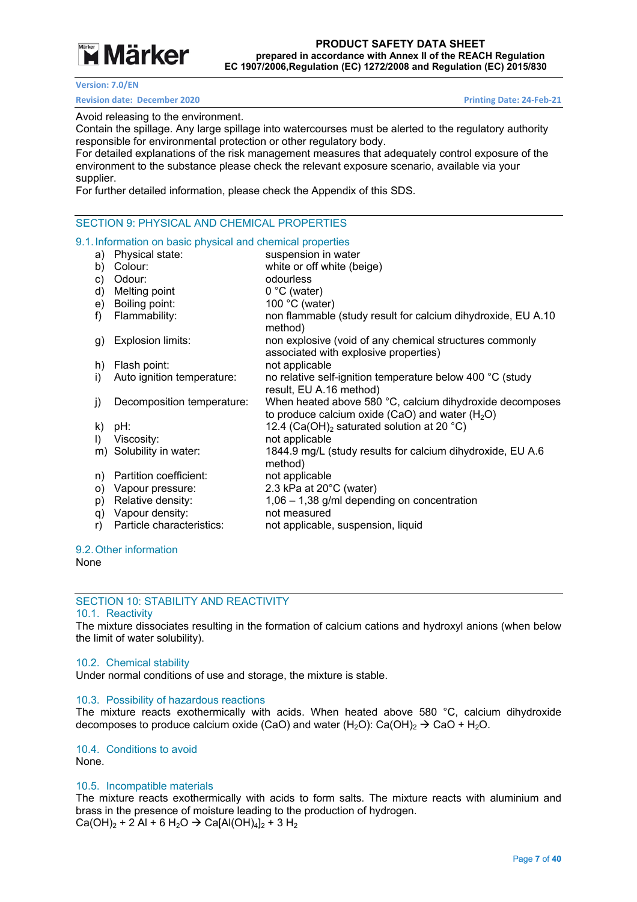## **Example 7 Märker**

#### **Version: 7.0/EN**

#### **Revision date: December 2020 Printing Date: 24-Feb-21**

Avoid releasing to the environment.

Contain the spillage. Any large spillage into watercourses must be alerted to the regulatory authority responsible for environmental protection or other regulatory body.

For detailed explanations of the risk management measures that adequately control exposure of the environment to the substance please check the relevant exposure scenario, available via your supplier.

For further detailed information, please check the Appendix of this SDS.

#### SECTION 9: PHYSICAL AND CHEMICAL PROPERTIES

#### 9.1. Information on basic physical and chemical properties

| a)           | Physical state:            | suspension in water                                                                                           |
|--------------|----------------------------|---------------------------------------------------------------------------------------------------------------|
| b)           | Colour:                    | white or off white (beige)                                                                                    |
| C)           | Odour:                     | odourless                                                                                                     |
| d)           | Melting point              | $0 °C$ (water)                                                                                                |
| e)           | Boiling point:             | 100 °C (water)                                                                                                |
| f)           | Flammability:              | non flammable (study result for calcium dihydroxide, EU A.10<br>method)                                       |
| g)           | Explosion limits:          | non explosive (void of any chemical structures commonly<br>associated with explosive properties)              |
| h)           | Flash point:               | not applicable                                                                                                |
| I)           | Auto ignition temperature: | no relative self-ignition temperature below 400 °C (study<br>result, EU A.16 method)                          |
| j)           | Decomposition temperature: | When heated above 580 °C, calcium dihydroxide decomposes<br>to produce calcium oxide (CaO) and water $(H_2O)$ |
|              | $k)$ pH:                   | 12.4 (Ca(OH) <sub>2</sub> saturated solution at 20 °C)                                                        |
| $\mathsf{D}$ | Viscosity:                 | not applicable                                                                                                |
|              | m) Solubility in water:    | 1844.9 mg/L (study results for calcium dihydroxide, EU A.6<br>method)                                         |
| n)           | Partition coefficient:     | not applicable                                                                                                |
| O)           | Vapour pressure:           | 2.3 kPa at 20°C (water)                                                                                       |
| p)           | Relative density:          | $1,06 - 1,38$ g/ml depending on concentration                                                                 |
| q)           | Vapour density:            | not measured                                                                                                  |
| r)           | Particle characteristics:  | not applicable, suspension, liquid                                                                            |
|              |                            |                                                                                                               |

#### 9.2. Other information

None

#### SECTION 10: STABILITY AND REACTIVITY

#### 10.1. Reactivity

The mixture dissociates resulting in the formation of calcium cations and hydroxyl anions (when below the limit of water solubility).

#### 10.2. Chemical stability

Under normal conditions of use and storage, the mixture is stable.

#### 10.3. Possibility of hazardous reactions

The mixture reacts exothermically with acids. When heated above 580 °C, calcium dihydroxide decomposes to produce calcium oxide (CaO) and water (H<sub>2</sub>O): Ca(OH)<sub>2</sub>  $\rightarrow$  CaO + H<sub>2</sub>O.

#### 10.4. Conditions to avoid

None.

#### 10.5. Incompatible materials

The mixture reacts exothermically with acids to form salts. The mixture reacts with aluminium and brass in the presence of moisture leading to the production of hydrogen.  $Ca(OH)_2 + 2 Al + 6 H_2O \rightarrow Ca[A(OH)_4]_2 + 3 H_2$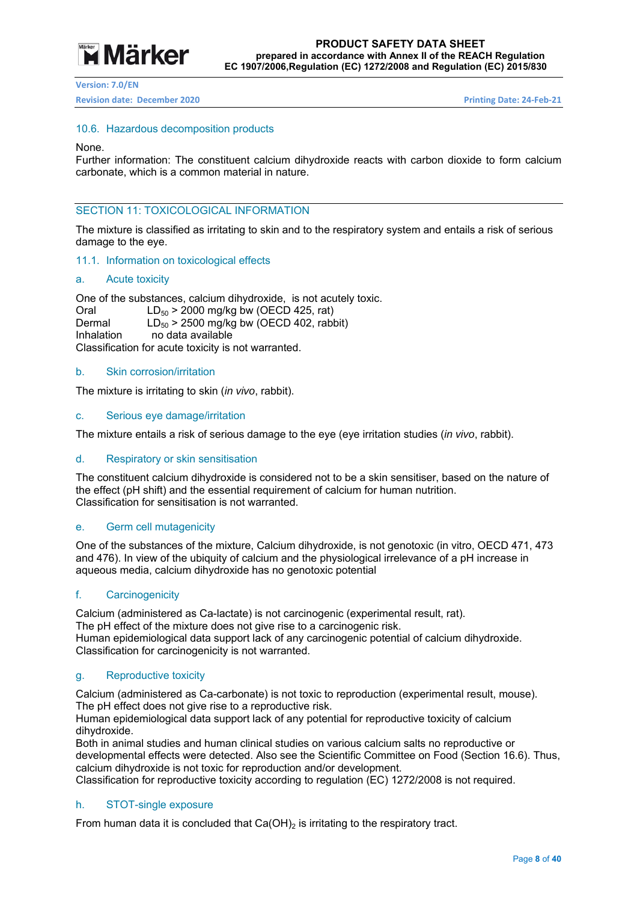

#### **Revision date: December 2020 Printing Date: 24‐Feb‐21**

#### 10.6. Hazardous decomposition products

#### None.

Further information: The constituent calcium dihydroxide reacts with carbon dioxide to form calcium carbonate, which is a common material in nature.

### SECTION 11: TOXICOLOGICAL INFORMATION

The mixture is classified as irritating to skin and to the respiratory system and entails a risk of serious damage to the eye.

#### 11.1. Information on toxicological effects

#### a. Acute toxicity

One of the substances, calcium dihydroxide, is not acutely toxic. Oral  $LD_{50} > 2000$  mg/kg bw (OECD 425, rat) Dermal  $LD_{50} > 2500$  mg/kg bw (OECD 402, rabbit)<br>Inhalation no data available no data available Classification for acute toxicity is not warranted.

#### b. Skin corrosion/irritation

The mixture is irritating to skin (*in vivo*, rabbit).

#### c. Serious eye damage/irritation

The mixture entails a risk of serious damage to the eye (eye irritation studies (*in vivo*, rabbit).

#### d. Respiratory or skin sensitisation

The constituent calcium dihydroxide is considered not to be a skin sensitiser, based on the nature of the effect (pH shift) and the essential requirement of calcium for human nutrition. Classification for sensitisation is not warranted.

#### e. Germ cell mutagenicity

One of the substances of the mixture, Calcium dihydroxide, is not genotoxic (in vitro, OECD 471, 473 and 476). In view of the ubiquity of calcium and the physiological irrelevance of a pH increase in aqueous media, calcium dihydroxide has no genotoxic potential

#### f. Carcinogenicity

Calcium (administered as Ca-lactate) is not carcinogenic (experimental result, rat). The pH effect of the mixture does not give rise to a carcinogenic risk. Human epidemiological data support lack of any carcinogenic potential of calcium dihydroxide. Classification for carcinogenicity is not warranted.

#### g. Reproductive toxicity

Calcium (administered as Ca-carbonate) is not toxic to reproduction (experimental result, mouse). The pH effect does not give rise to a reproductive risk.

Human epidemiological data support lack of any potential for reproductive toxicity of calcium dihydroxide.

Both in animal studies and human clinical studies on various calcium salts no reproductive or developmental effects were detected. Also see the Scientific Committee on Food (Section 16.6). Thus, calcium dihydroxide is not toxic for reproduction and/or development.

Classification for reproductive toxicity according to regulation (EC) 1272/2008 is not required.

#### h. STOT-single exposure

From human data it is concluded that  $Ca(OH)_2$  is irritating to the respiratory tract.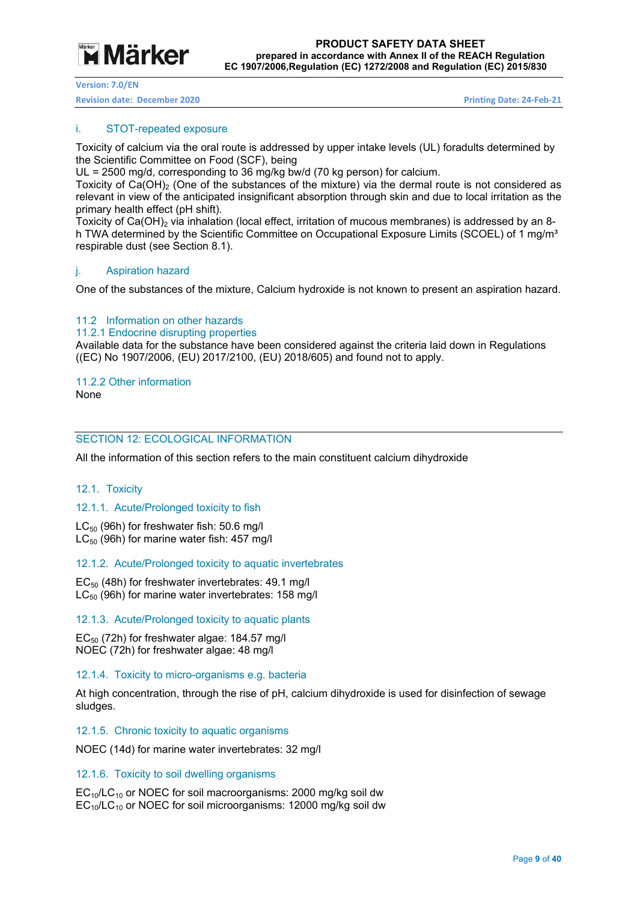

**Revision date: December 2020 Printing Date: 24‐Feb‐21** 

#### i. STOT-repeated exposure

Toxicity of calcium via the oral route is addressed by upper intake levels (UL) foradults determined by the Scientific Committee on Food (SCF), being

UL = 2500 mg/d, corresponding to 36 mg/kg bw/d (70 kg person) for calcium.

Toxicity of  $Ca(OH)_{2}$  (One of the substances of the mixture) via the dermal route is not considered as relevant in view of the anticipated insignificant absorption through skin and due to local irritation as the primary health effect (pH shift).

Toxicity of Ca(OH)<sub>2</sub> via inhalation (local effect, irritation of mucous membranes) is addressed by an 8h TWA determined by the Scientific Committee on Occupational Exposure Limits (SCOEL) of 1 mg/m<sup>3</sup> respirable dust (see Section 8.1).

#### j. Aspiration hazard

One of the substances of the mixture, Calcium hydroxide is not known to present an aspiration hazard.

#### 11.2 Information on other hazards

11.2.1 Endocrine disrupting properties

Available data for the substance have been considered against the criteria laid down in Regulations ((EC) No 1907/2006, (EU) 2017/2100, (EU) 2018/605) and found not to apply.

### 11.2.2 Other information

None

#### SECTION 12: ECOLOGICAL INFORMATION

All the information of this section refers to the main constituent calcium dihydroxide

#### 12.1. Toxicity

#### 12.1.1. Acute/Prolonged toxicity to fish

 $LC_{50}$  (96h) for freshwater fish: 50.6 mg/l  $LC_{50}$  (96h) for marine water fish: 457 mg/l

#### 12.1.2. Acute/Prolonged toxicity to aquatic invertebrates

 $EC_{50}$  (48h) for freshwater invertebrates: 49.1 mg/l  $LC_{50}$  (96h) for marine water invertebrates: 158 mg/l

12.1.3. Acute/Prolonged toxicity to aquatic plants

 $EC_{50}$  (72h) for freshwater algae: 184.57 ma/l NOEC (72h) for freshwater algae: 48 mg/l

#### 12.1.4. Toxicity to micro-organisms e.g. bacteria

At high concentration, through the rise of pH, calcium dihydroxide is used for disinfection of sewage sludges.

#### 12.1.5. Chronic toxicity to aquatic organisms

NOEC (14d) for marine water invertebrates: 32 mg/l

#### 12.1.6. Toxicity to soil dwelling organisms

 $EC_{10}/LC_{10}$  or NOEC for soil macroorganisms: 2000 mg/kg soil dw  $EC_{10}/LC_{10}$  or NOEC for soil microorganisms: 12000 mg/kg soil dw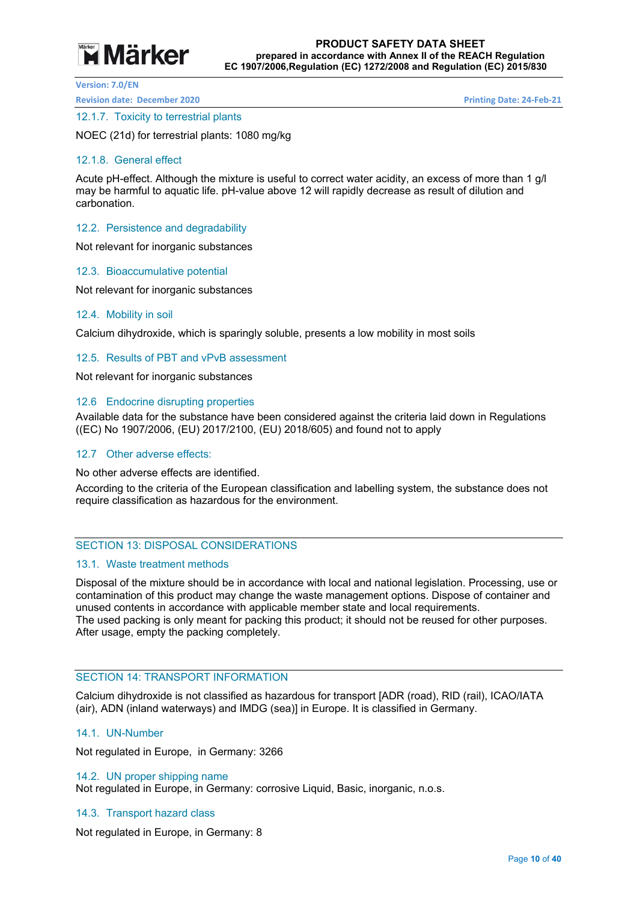## **Märker**

**Version: 7.0/EN** 

**Revision date: December 2020 Printing Date: 24‐Feb‐21** 

#### 12.1.7. Toxicity to terrestrial plants

NOEC (21d) for terrestrial plants: 1080 mg/kg

#### 12.1.8. General effect

Acute pH-effect. Although the mixture is useful to correct water acidity, an excess of more than 1 g/l may be harmful to aquatic life. pH-value above 12 will rapidly decrease as result of dilution and carbonation.

12.2. Persistence and degradability

Not relevant for inorganic substances

#### 12.3. Bioaccumulative potential

Not relevant for inorganic substances

#### 12.4. Mobility in soil

Calcium dihydroxide, which is sparingly soluble, presents a low mobility in most soils

#### 12.5. Results of PBT and vPvB assessment

Not relevant for inorganic substances

#### 12.6 Endocrine disrupting properties

Available data for the substance have been considered against the criteria laid down in Regulations ((EC) No 1907/2006, (EU) 2017/2100, (EU) 2018/605) and found not to apply

#### 12.7 Other adverse effects:

No other adverse effects are identified.

According to the criteria of the European classification and labelling system, the substance does not require classification as hazardous for the environment.

#### SECTION 13: DISPOSAL CONSIDERATIONS

#### 13.1. Waste treatment methods

Disposal of the mixture should be in accordance with local and national legislation. Processing, use or contamination of this product may change the waste management options. Dispose of container and unused contents in accordance with applicable member state and local requirements. The used packing is only meant for packing this product; it should not be reused for other purposes. After usage, empty the packing completely.

#### SECTION 14: TRANSPORT INFORMATION

Calcium dihydroxide is not classified as hazardous for transport [ADR (road), RID (rail), ICAO/IATA (air), ADN (inland waterways) and IMDG (sea)] in Europe. It is classified in Germany.

#### 14.1. UN-Number

Not regulated in Europe, in Germany: 3266

#### 14.2. UN proper shipping name

Not regulated in Europe, in Germany: corrosive Liquid, Basic, inorganic, n.o.s.

#### 14.3. Transport hazard class

Not regulated in Europe, in Germany: 8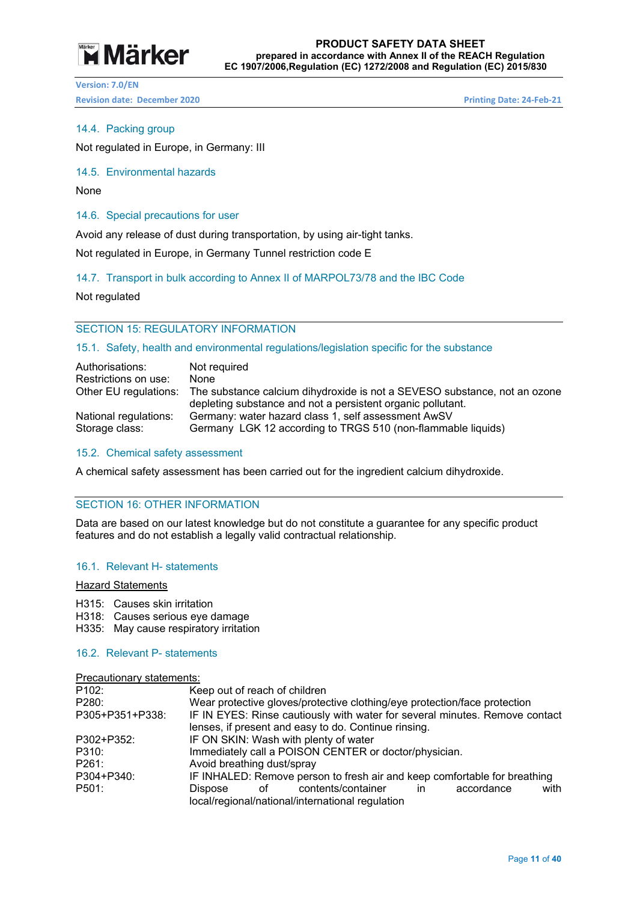# **Märker**

**Version: 7.0/EN Revision date: December 2020 Printing Date: 24‐Feb‐21** 

#### 14.4. Packing group

Not regulated in Europe, in Germany: III

#### 14.5. Environmental hazards

None

#### 14.6. Special precautions for user

Avoid any release of dust during transportation, by using air-tight tanks.

Not regulated in Europe, in Germany Tunnel restriction code E

#### 14.7. Transport in bulk according to Annex II of MARPOL73/78 and the IBC Code

Not regulated

#### SECTION 15: REGULATORY INFORMATION

#### 15.1. Safety, health and environmental regulations/legislation specific for the substance

| Authorisations:       | Not required                                                                                                                                                   |
|-----------------------|----------------------------------------------------------------------------------------------------------------------------------------------------------------|
| Restrictions on use:  | None                                                                                                                                                           |
|                       | Other EU regulations: The substance calcium dihydroxide is not a SEVESO substance, not an ozone<br>depleting substance and not a persistent organic pollutant. |
| National regulations: | Germany: water hazard class 1, self assessment AwSV                                                                                                            |
| Storage class:        | Germany LGK 12 according to TRGS 510 (non-flammable liquids)                                                                                                   |

#### 15.2. Chemical safety assessment

A chemical safety assessment has been carried out for the ingredient calcium dihydroxide.

#### SECTION 16: OTHER INFORMATION

Data are based on our latest knowledge but do not constitute a guarantee for any specific product features and do not establish a legally valid contractual relationship.

#### 16.1. Relevant H- statements

#### Hazard Statements

H315: Causes skin irritation

H318: Causes serious eye damage

H335: May cause respiratory irritation

#### 16.2. Relevant P- statements

| P <sub>102</sub> : | Keep out of reach of children                                               |  |  |  |  |  |
|--------------------|-----------------------------------------------------------------------------|--|--|--|--|--|
| P280:              | Wear protective gloves/protective clothing/eye protection/face protection   |  |  |  |  |  |
| P305+P351+P338:    | IF IN EYES: Rinse cautiously with water for several minutes. Remove contact |  |  |  |  |  |
|                    | lenses, if present and easy to do. Continue rinsing.                        |  |  |  |  |  |
| P302+P352:         | IF ON SKIN: Wash with plenty of water                                       |  |  |  |  |  |
| P310:              | Immediately call a POISON CENTER or doctor/physician.                       |  |  |  |  |  |
| P261:              | Avoid breathing dust/spray                                                  |  |  |  |  |  |
| P304+P340:         | IF INHALED: Remove person to fresh air and keep comfortable for breathing   |  |  |  |  |  |
| P501:              | of contents/container<br>accordance<br>Dispose<br>with<br>in.               |  |  |  |  |  |
|                    | local/regional/national/international regulation                            |  |  |  |  |  |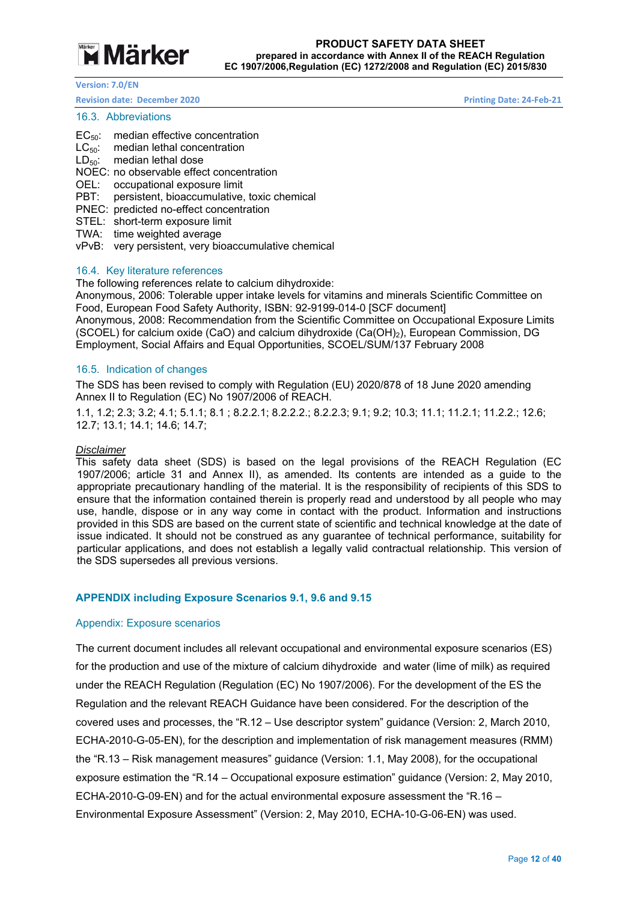

#### **Revision date: December 2020 Printing Date: 24‐Feb‐21**

#### 16.3. Abbreviations

- EC<sub>50</sub>: median effective concentration
- $LC_{50}$ : median lethal concentration
- $LD_{50}$ : median lethal dose
- NOEC: no observable effect concentration
- OEL: occupational exposure limit
- PBT: persistent, bioaccumulative, toxic chemical
- PNEC: predicted no-effect concentration
- STEL: short-term exposure limit
- TWA: time weighted average
- vPvB: very persistent, very bioaccumulative chemical

#### 16.4. Key literature references

The following references relate to calcium dihydroxide:

Anonymous, 2006: Tolerable upper intake levels for vitamins and minerals Scientific Committee on Food, European Food Safety Authority, ISBN: 92-9199-014-0 [SCF document] Anonymous, 2008: Recommendation from the Scientific Committee on Occupational Exposure Limits (SCOEL) for calcium oxide (CaO) and calcium dihydroxide (Ca(OH)2), European Commission, DG Employment, Social Affairs and Equal Opportunities, SCOEL/SUM/137 February 2008

#### 16.5. Indication of changes

The SDS has been revised to comply with Regulation (EU) 2020/878 of 18 June 2020 amending Annex II to Regulation (EC) No 1907/2006 of REACH.

1.1, 1.2; 2.3; 3.2; 4.1; 5.1.1; 8.1 ; 8.2.2.1; 8.2.2.2.; 8.2.2.3; 9.1; 9.2; 10.3; 11.1; 11.2.1; 11.2.2.; 12.6; 12.7; 13.1; 14.1; 14.6; 14.7;

#### *Disclaimer*

This safety data sheet (SDS) is based on the legal provisions of the REACH Regulation (EC 1907/2006; article 31 and Annex II), as amended. Its contents are intended as a guide to the appropriate precautionary handling of the material. It is the responsibility of recipients of this SDS to ensure that the information contained therein is properly read and understood by all people who may use, handle, dispose or in any way come in contact with the product. Information and instructions provided in this SDS are based on the current state of scientific and technical knowledge at the date of issue indicated. It should not be construed as any guarantee of technical performance, suitability for particular applications, and does not establish a legally valid contractual relationship. This version of the SDS supersedes all previous versions.

#### **APPENDIX including Exposure Scenarios 9.1, 9.6 and 9.15**

#### Appendix: Exposure scenarios

The current document includes all relevant occupational and environmental exposure scenarios (ES) for the production and use of the mixture of calcium dihydroxide and water (lime of milk) as required under the REACH Regulation (Regulation (EC) No 1907/2006). For the development of the ES the Regulation and the relevant REACH Guidance have been considered. For the description of the covered uses and processes, the "R.12 – Use descriptor system" guidance (Version: 2, March 2010, ECHA-2010-G-05-EN), for the description and implementation of risk management measures (RMM) the "R.13 – Risk management measures" guidance (Version: 1.1, May 2008), for the occupational exposure estimation the "R.14 – Occupational exposure estimation" guidance (Version: 2, May 2010, ECHA-2010-G-09-EN) and for the actual environmental exposure assessment the "R.16 – Environmental Exposure Assessment" (Version: 2, May 2010, ECHA-10-G-06-EN) was used.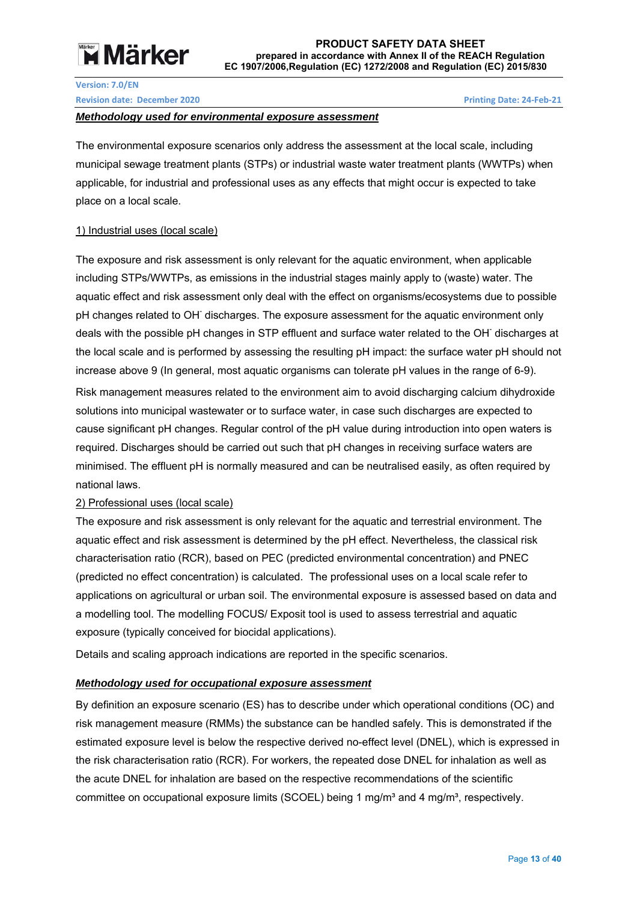# **Märker**

#### **Version: 7.0/EN**

**Revision date: December 2020 Printing Date: 24‐Feb‐21** 

#### *Methodology used for environmental exposure assessment*

The environmental exposure scenarios only address the assessment at the local scale, including municipal sewage treatment plants (STPs) or industrial waste water treatment plants (WWTPs) when applicable, for industrial and professional uses as any effects that might occur is expected to take place on a local scale.

#### 1) Industrial uses (local scale)

The exposure and risk assessment is only relevant for the aquatic environment, when applicable including STPs/WWTPs, as emissions in the industrial stages mainly apply to (waste) water. The aquatic effect and risk assessment only deal with the effect on organisms/ecosystems due to possible pH changes related to OH<sup>-</sup> discharges. The exposure assessment for the aquatic environment only deals with the possible pH changes in STP effluent and surface water related to the OH discharges at the local scale and is performed by assessing the resulting pH impact: the surface water pH should not increase above 9 (In general, most aquatic organisms can tolerate pH values in the range of 6-9). Risk management measures related to the environment aim to avoid discharging calcium dihydroxide solutions into municipal wastewater or to surface water, in case such discharges are expected to cause significant pH changes. Regular control of the pH value during introduction into open waters is required. Discharges should be carried out such that pH changes in receiving surface waters are minimised. The effluent pH is normally measured and can be neutralised easily, as often required by national laws.

#### 2) Professional uses (local scale)

The exposure and risk assessment is only relevant for the aquatic and terrestrial environment. The aquatic effect and risk assessment is determined by the pH effect. Nevertheless, the classical risk characterisation ratio (RCR), based on PEC (predicted environmental concentration) and PNEC (predicted no effect concentration) is calculated. The professional uses on a local scale refer to applications on agricultural or urban soil. The environmental exposure is assessed based on data and a modelling tool. The modelling FOCUS/ Exposit tool is used to assess terrestrial and aquatic exposure (typically conceived for biocidal applications).

Details and scaling approach indications are reported in the specific scenarios.

#### *Methodology used for occupational exposure assessment*

By definition an exposure scenario (ES) has to describe under which operational conditions (OC) and risk management measure (RMMs) the substance can be handled safely. This is demonstrated if the estimated exposure level is below the respective derived no-effect level (DNEL), which is expressed in the risk characterisation ratio (RCR). For workers, the repeated dose DNEL for inhalation as well as the acute DNEL for inhalation are based on the respective recommendations of the scientific committee on occupational exposure limits (SCOEL) being 1 mg/m<sup>3</sup> and 4 mg/m<sup>3</sup>, respectively.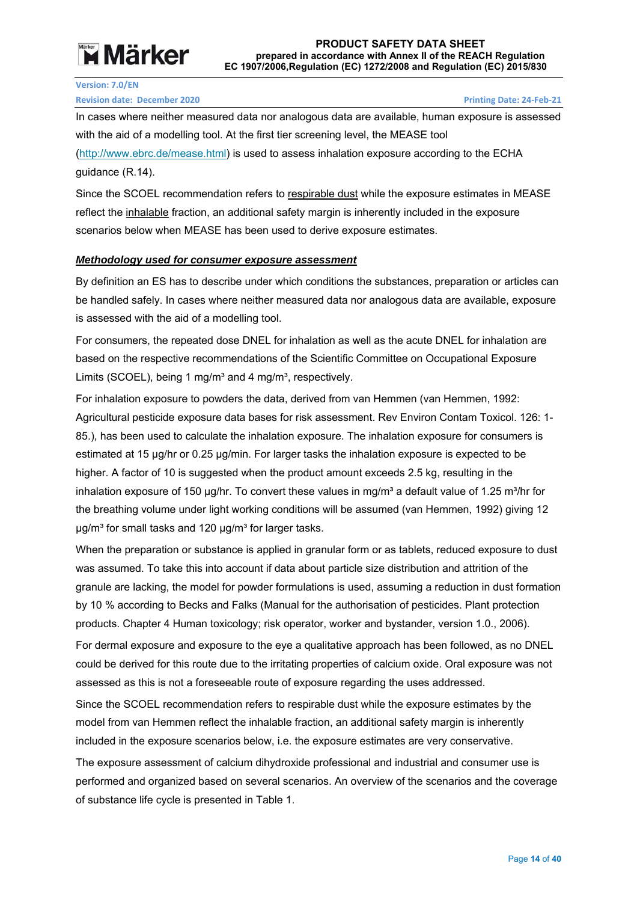# **Example 7 Märker**

**Version: 7.0/EN** 

#### **Revision date: December 2020 Printing Date: 24‐Feb‐21**

In cases where neither measured data nor analogous data are available, human exposure is assessed with the aid of a modelling tool. At the first tier screening level, the MEASE tool (http://www.ebrc.de/mease.html) is used to assess inhalation exposure according to the ECHA guidance (R.14).

Since the SCOEL recommendation refers to respirable dust while the exposure estimates in MEASE reflect the inhalable fraction, an additional safety margin is inherently included in the exposure scenarios below when MEASE has been used to derive exposure estimates.

#### *Methodology used for consumer exposure assessment*

By definition an ES has to describe under which conditions the substances, preparation or articles can be handled safely. In cases where neither measured data nor analogous data are available, exposure is assessed with the aid of a modelling tool.

For consumers, the repeated dose DNEL for inhalation as well as the acute DNEL for inhalation are based on the respective recommendations of the Scientific Committee on Occupational Exposure Limits (SCOEL), being 1 mg/m<sup>3</sup> and 4 mg/m<sup>3</sup>, respectively.

For inhalation exposure to powders the data, derived from van Hemmen (van Hemmen, 1992: Agricultural pesticide exposure data bases for risk assessment. Rev Environ Contam Toxicol. 126: 1- 85.), has been used to calculate the inhalation exposure. The inhalation exposure for consumers is estimated at 15 μg/hr or 0.25 μg/min. For larger tasks the inhalation exposure is expected to be higher. A factor of 10 is suggested when the product amount exceeds 2.5 kg, resulting in the inhalation exposure of 150 μg/hr. To convert these values in mg/m<sup>3</sup> a default value of 1.25 m<sup>3</sup>/hr for the breathing volume under light working conditions will be assumed (van Hemmen, 1992) giving 12  $\mu$ g/m<sup>3</sup> for small tasks and 120  $\mu$ g/m<sup>3</sup> for larger tasks.

When the preparation or substance is applied in granular form or as tablets, reduced exposure to dust was assumed. To take this into account if data about particle size distribution and attrition of the granule are lacking, the model for powder formulations is used, assuming a reduction in dust formation by 10 % according to Becks and Falks (Manual for the authorisation of pesticides. Plant protection products. Chapter 4 Human toxicology; risk operator, worker and bystander, version 1.0., 2006).

For dermal exposure and exposure to the eye a qualitative approach has been followed, as no DNEL could be derived for this route due to the irritating properties of calcium oxide. Oral exposure was not assessed as this is not a foreseeable route of exposure regarding the uses addressed.

Since the SCOEL recommendation refers to respirable dust while the exposure estimates by the model from van Hemmen reflect the inhalable fraction, an additional safety margin is inherently included in the exposure scenarios below, i.e. the exposure estimates are very conservative.

The exposure assessment of calcium dihydroxide professional and industrial and consumer use is performed and organized based on several scenarios. An overview of the scenarios and the coverage of substance life cycle is presented in Table 1.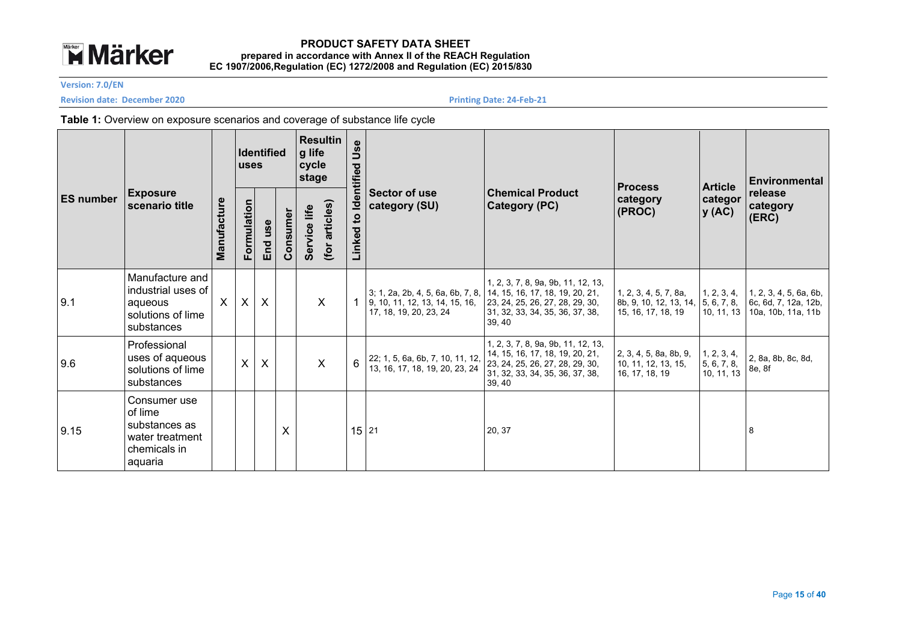

**Version: 7.0/EN** 

**Revision date: December 2020 <b>December 2020** *Printing Date: 24‐Feb‐21 Printing Date: 24‐Feb‐21* 

#### **Table 1:** Overview on exposure scenarios and coverage of substance life cycle

|                  |                                                                                        |                           | <b>Identified</b><br><b>uses</b> |         | <b>Resultin</b><br>Use<br>g life<br>cycle<br>Identified<br>stage |              |                |                        |                                                                                               | <b>Process</b>                                                                                                                                        | <b>Article</b>                                                        | l Environmental                            |                                                                      |
|------------------|----------------------------------------------------------------------------------------|---------------------------|----------------------------------|---------|------------------------------------------------------------------|--------------|----------------|------------------------|-----------------------------------------------------------------------------------------------|-------------------------------------------------------------------------------------------------------------------------------------------------------|-----------------------------------------------------------------------|--------------------------------------------|----------------------------------------------------------------------|
| <b>ES number</b> | <b>Exposure</b><br>scenario title                                                      | Manufacture               | Formulation                      | End use | Consumer                                                         | Service life | (for articles) | $\mathbf{c}$<br>Linked | Sector of use<br>category (SU)                                                                | <b>Chemical Product</b><br>Category (PC)                                                                                                              | category<br>(PROC)                                                    | categor<br>y(AC)                           | release<br>category<br>$ $ (ERC)                                     |
| 9.1              | Manufacture and<br>industrial uses of<br>aqueous<br>solutions of lime<br>substances    | $\boldsymbol{\mathsf{X}}$ | $\mathsf{X}$                     | $\sf X$ |                                                                  |              | $\times$       |                        | 3; 1, 2a, 2b, 4, 5, 6a, 6b, 7, 8,<br>9, 10, 11, 12, 13, 14, 15, 16,<br>17, 18, 19, 20, 23, 24 | 1, 2, 3, 7, 8, 9a, 9b, 11, 12, 13,<br>14, 15, 16, 17, 18, 19, 20, 21,<br>23, 24, 25, 26, 27, 28, 29, 30,<br>31, 32, 33, 34, 35, 36, 37, 38,<br>39, 40 | 1, 2, 3, 4, 5, 7, 8a,<br>8b, 9, 10, 12, 13, 14,<br>15, 16, 17, 18, 19 | 1, 2, 3, 4,<br>5, 6, 7, 8,<br>10, 11, 13   | 1, 2, 3, 4, 5, 6a, 6b,<br>6c, 6d, 7, 12a, 12b,<br>10a, 10b, 11a, 11b |
| 9.6              | Professional<br>uses of aqueous<br>solutions of lime<br>substances                     |                           | X                                | X       |                                                                  |              | $\sf X$        | 6                      | 22; 1, 5, 6a, 6b, 7, 10, 11, 12,<br>13, 16, 17, 18, 19, 20, 23, 24                            | 1, 2, 3, 7, 8, 9a, 9b, 11, 12, 13,<br>14, 15, 16, 17, 18, 19, 20, 21,<br>23, 24, 25, 26, 27, 28, 29, 30,<br>31, 32, 33, 34, 35, 36, 37, 38,<br>39, 40 | 2, 3, 4, 5, 8a, 8b, 9,<br>10, 11, 12, 13, 15,<br>16, 17, 18, 19       | $1, 2, 3, 4,$<br>5, 6, 7, 8,<br>10, 11, 13 | 2, 8a, 8b, 8c, 8d,<br>8e, 8f                                         |
| 9.15             | Consumer use<br>of lime<br>substances as<br>water treatment<br>chemicals in<br>aquaria |                           |                                  |         | X                                                                |              |                | 15 21                  |                                                                                               | 20, 37                                                                                                                                                |                                                                       |                                            | 8                                                                    |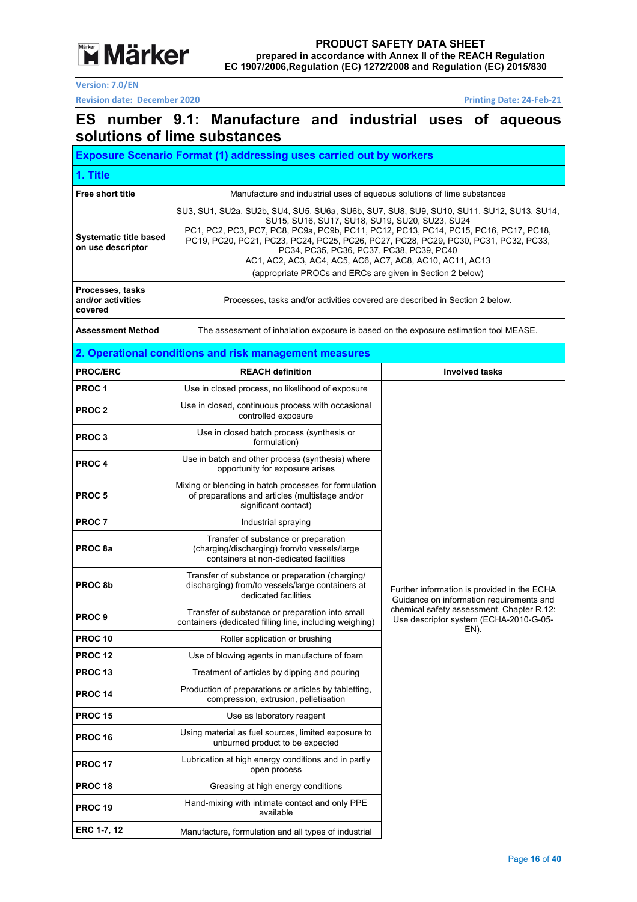**Märker** 

**Version: 7.0/EN** 

**Revision date: December 2020 Printing Date: 24‐Feb‐21** 

### **ES number 9.1: Manufacture and industrial uses of aqueous solutions of lime substances**

| <b>Exposure Scenario Format (1) addressing uses carried out by workers</b> |                                                                                                                                                                                                                                                                                                                                                                                                                                                                                                |                                                                                             |  |  |  |  |  |
|----------------------------------------------------------------------------|------------------------------------------------------------------------------------------------------------------------------------------------------------------------------------------------------------------------------------------------------------------------------------------------------------------------------------------------------------------------------------------------------------------------------------------------------------------------------------------------|---------------------------------------------------------------------------------------------|--|--|--|--|--|
| 1. Title                                                                   |                                                                                                                                                                                                                                                                                                                                                                                                                                                                                                |                                                                                             |  |  |  |  |  |
| Free short title                                                           | Manufacture and industrial uses of aqueous solutions of lime substances                                                                                                                                                                                                                                                                                                                                                                                                                        |                                                                                             |  |  |  |  |  |
| <b>Systematic title based</b><br>on use descriptor                         | SU3, SU1, SU2a, SU2b, SU4, SU5, SU6a, SU6b, SU7, SU8, SU9, SU10, SU11, SU12, SU13, SU14,<br>SU15, SU16, SU17, SU18, SU19, SU20, SU23, SU24<br>PC1, PC2, PC3, PC7, PC8, PC9a, PC9b, PC11, PC12, PC13, PC14, PC15, PC16, PC17, PC18,<br>PC19, PC20, PC21, PC23, PC24, PC25, PC26, PC27, PC28, PC29, PC30, PC31, PC32, PC33,<br>PC34, PC35, PC36, PC37, PC38, PC39, PC40<br>AC1, AC2, AC3, AC4, AC5, AC6, AC7, AC8, AC10, AC11, AC13<br>(appropriate PROCs and ERCs are given in Section 2 below) |                                                                                             |  |  |  |  |  |
| Processes, tasks<br>and/or activities<br>covered                           |                                                                                                                                                                                                                                                                                                                                                                                                                                                                                                | Processes, tasks and/or activities covered are described in Section 2 below.                |  |  |  |  |  |
| <b>Assessment Method</b>                                                   | The assessment of inhalation exposure is based on the exposure estimation tool MEASE.                                                                                                                                                                                                                                                                                                                                                                                                          |                                                                                             |  |  |  |  |  |
|                                                                            | 2. Operational conditions and risk management measures                                                                                                                                                                                                                                                                                                                                                                                                                                         |                                                                                             |  |  |  |  |  |
| <b>PROC/ERC</b>                                                            | <b>REACH definition</b>                                                                                                                                                                                                                                                                                                                                                                                                                                                                        | <b>Involved tasks</b>                                                                       |  |  |  |  |  |
| PROC <sub>1</sub>                                                          | Use in closed process, no likelihood of exposure                                                                                                                                                                                                                                                                                                                                                                                                                                               |                                                                                             |  |  |  |  |  |
| PROC <sub>2</sub>                                                          | Use in closed, continuous process with occasional<br>controlled exposure                                                                                                                                                                                                                                                                                                                                                                                                                       |                                                                                             |  |  |  |  |  |
| <b>PROC3</b>                                                               | Use in closed batch process (synthesis or<br>formulation)                                                                                                                                                                                                                                                                                                                                                                                                                                      |                                                                                             |  |  |  |  |  |
| <b>PROC4</b>                                                               | Use in batch and other process (synthesis) where<br>opportunity for exposure arises                                                                                                                                                                                                                                                                                                                                                                                                            |                                                                                             |  |  |  |  |  |
| <b>PROC5</b>                                                               | Mixing or blending in batch processes for formulation<br>of preparations and articles (multistage and/or<br>significant contact)                                                                                                                                                                                                                                                                                                                                                               |                                                                                             |  |  |  |  |  |
| <b>PROC 7</b>                                                              | Industrial spraying                                                                                                                                                                                                                                                                                                                                                                                                                                                                            |                                                                                             |  |  |  |  |  |
| PROC 8a                                                                    | Transfer of substance or preparation<br>(charging/discharging) from/to vessels/large<br>containers at non-dedicated facilities                                                                                                                                                                                                                                                                                                                                                                 |                                                                                             |  |  |  |  |  |
| PROC <sub>8b</sub>                                                         | Transfer of substance or preparation (charging/<br>discharging) from/to vessels/large containers at<br>dedicated facilities                                                                                                                                                                                                                                                                                                                                                                    | Further information is provided in the ECHA<br>Guidance on information requirements and     |  |  |  |  |  |
| PROC <sub>9</sub>                                                          | Transfer of substance or preparation into small<br>containers (dedicated filling line, including weighing)                                                                                                                                                                                                                                                                                                                                                                                     | chemical safety assessment, Chapter R.12:<br>Use descriptor system (ECHA-2010-G-05-<br>EN). |  |  |  |  |  |
| <b>PROC 10</b>                                                             | Roller application or brushing                                                                                                                                                                                                                                                                                                                                                                                                                                                                 |                                                                                             |  |  |  |  |  |
| <b>PROC 12</b>                                                             | Use of blowing agents in manufacture of foam                                                                                                                                                                                                                                                                                                                                                                                                                                                   |                                                                                             |  |  |  |  |  |
| PROC 13                                                                    | Treatment of articles by dipping and pouring                                                                                                                                                                                                                                                                                                                                                                                                                                                   |                                                                                             |  |  |  |  |  |
| <b>PROC 14</b>                                                             | Production of preparations or articles by tabletting,<br>compression, extrusion, pelletisation                                                                                                                                                                                                                                                                                                                                                                                                 |                                                                                             |  |  |  |  |  |
| <b>PROC 15</b>                                                             | Use as laboratory reagent                                                                                                                                                                                                                                                                                                                                                                                                                                                                      |                                                                                             |  |  |  |  |  |
| <b>PROC 16</b>                                                             | Using material as fuel sources, limited exposure to<br>unburned product to be expected                                                                                                                                                                                                                                                                                                                                                                                                         |                                                                                             |  |  |  |  |  |
| <b>PROC 17</b>                                                             | Lubrication at high energy conditions and in partly<br>open process                                                                                                                                                                                                                                                                                                                                                                                                                            |                                                                                             |  |  |  |  |  |
| <b>PROC 18</b>                                                             | Greasing at high energy conditions                                                                                                                                                                                                                                                                                                                                                                                                                                                             |                                                                                             |  |  |  |  |  |
| <b>PROC 19</b>                                                             | Hand-mixing with intimate contact and only PPE<br>available                                                                                                                                                                                                                                                                                                                                                                                                                                    |                                                                                             |  |  |  |  |  |
| ERC 1-7, 12                                                                | Manufacture, formulation and all types of industrial                                                                                                                                                                                                                                                                                                                                                                                                                                           |                                                                                             |  |  |  |  |  |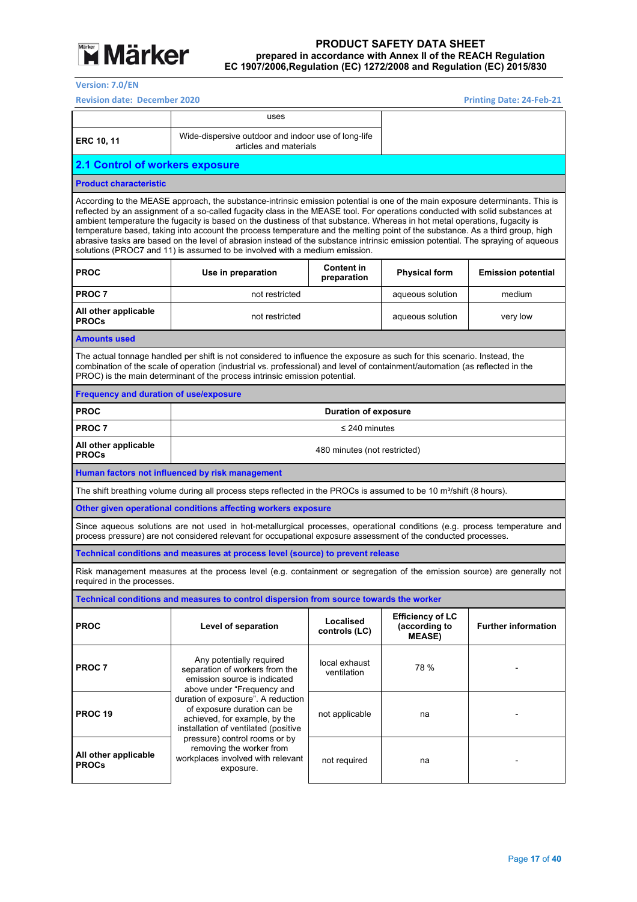

**Version: 7.0/EN** 

**Revision date: December 2020 Printing Date: 2010 Printing** 

| <b>Printing Date: 24-Feb-21</b> |  |  |
|---------------------------------|--|--|
|                                 |  |  |

|                                                                                                                                                                                                                                                                                                                                                                                                                                                                                                                                                                                                                                                                                                                                                 | uses                                                                                                                                                                                                                                                                                                                                   |                                  |                                                           |                            |  |  |
|-------------------------------------------------------------------------------------------------------------------------------------------------------------------------------------------------------------------------------------------------------------------------------------------------------------------------------------------------------------------------------------------------------------------------------------------------------------------------------------------------------------------------------------------------------------------------------------------------------------------------------------------------------------------------------------------------------------------------------------------------|----------------------------------------------------------------------------------------------------------------------------------------------------------------------------------------------------------------------------------------------------------------------------------------------------------------------------------------|----------------------------------|-----------------------------------------------------------|----------------------------|--|--|
| <b>ERC 10, 11</b>                                                                                                                                                                                                                                                                                                                                                                                                                                                                                                                                                                                                                                                                                                                               | Wide-dispersive outdoor and indoor use of long-life<br>articles and materials                                                                                                                                                                                                                                                          |                                  |                                                           |                            |  |  |
| <b>2.1 Control of workers exposure</b>                                                                                                                                                                                                                                                                                                                                                                                                                                                                                                                                                                                                                                                                                                          |                                                                                                                                                                                                                                                                                                                                        |                                  |                                                           |                            |  |  |
| <b>Product characteristic</b>                                                                                                                                                                                                                                                                                                                                                                                                                                                                                                                                                                                                                                                                                                                   |                                                                                                                                                                                                                                                                                                                                        |                                  |                                                           |                            |  |  |
| According to the MEASE approach, the substance-intrinsic emission potential is one of the main exposure determinants. This is<br>reflected by an assignment of a so-called fugacity class in the MEASE tool. For operations conducted with solid substances at<br>ambient temperature the fugacity is based on the dustiness of that substance. Whereas in hot metal operations, fugacity is<br>temperature based, taking into account the process temperature and the melting point of the substance. As a third group, high<br>abrasive tasks are based on the level of abrasion instead of the substance intrinsic emission potential. The spraying of aqueous<br>solutions (PROC7 and 11) is assumed to be involved with a medium emission. |                                                                                                                                                                                                                                                                                                                                        |                                  |                                                           |                            |  |  |
| <b>PROC</b>                                                                                                                                                                                                                                                                                                                                                                                                                                                                                                                                                                                                                                                                                                                                     | Use in preparation                                                                                                                                                                                                                                                                                                                     | <b>Content in</b><br>preparation | <b>Physical form</b>                                      | <b>Emission potential</b>  |  |  |
| <b>PROC7</b>                                                                                                                                                                                                                                                                                                                                                                                                                                                                                                                                                                                                                                                                                                                                    | not restricted                                                                                                                                                                                                                                                                                                                         |                                  | aqueous solution                                          | medium                     |  |  |
| All other applicable<br><b>PROCs</b>                                                                                                                                                                                                                                                                                                                                                                                                                                                                                                                                                                                                                                                                                                            | not restricted                                                                                                                                                                                                                                                                                                                         |                                  | aqueous solution                                          | very low                   |  |  |
| <b>Amounts used</b>                                                                                                                                                                                                                                                                                                                                                                                                                                                                                                                                                                                                                                                                                                                             |                                                                                                                                                                                                                                                                                                                                        |                                  |                                                           |                            |  |  |
|                                                                                                                                                                                                                                                                                                                                                                                                                                                                                                                                                                                                                                                                                                                                                 | The actual tonnage handled per shift is not considered to influence the exposure as such for this scenario. Instead, the<br>combination of the scale of operation (industrial vs. professional) and level of containment/automation (as reflected in the<br>PROC) is the main determinant of the process intrinsic emission potential. |                                  |                                                           |                            |  |  |
| <b>Frequency and duration of use/exposure</b>                                                                                                                                                                                                                                                                                                                                                                                                                                                                                                                                                                                                                                                                                                   |                                                                                                                                                                                                                                                                                                                                        |                                  |                                                           |                            |  |  |
| <b>PROC</b>                                                                                                                                                                                                                                                                                                                                                                                                                                                                                                                                                                                                                                                                                                                                     |                                                                                                                                                                                                                                                                                                                                        | <b>Duration of exposure</b>      |                                                           |                            |  |  |
| <b>PROC 7</b>                                                                                                                                                                                                                                                                                                                                                                                                                                                                                                                                                                                                                                                                                                                                   |                                                                                                                                                                                                                                                                                                                                        | $\leq$ 240 minutes               |                                                           |                            |  |  |
| All other applicable<br><b>PROCs</b>                                                                                                                                                                                                                                                                                                                                                                                                                                                                                                                                                                                                                                                                                                            | 480 minutes (not restricted)                                                                                                                                                                                                                                                                                                           |                                  |                                                           |                            |  |  |
|                                                                                                                                                                                                                                                                                                                                                                                                                                                                                                                                                                                                                                                                                                                                                 | Human factors not influenced by risk management                                                                                                                                                                                                                                                                                        |                                  |                                                           |                            |  |  |
|                                                                                                                                                                                                                                                                                                                                                                                                                                                                                                                                                                                                                                                                                                                                                 | The shift breathing volume during all process steps reflected in the PROCs is assumed to be 10 m <sup>3</sup> /shift (8 hours).                                                                                                                                                                                                        |                                  |                                                           |                            |  |  |
|                                                                                                                                                                                                                                                                                                                                                                                                                                                                                                                                                                                                                                                                                                                                                 | Other given operational conditions affecting workers exposure                                                                                                                                                                                                                                                                          |                                  |                                                           |                            |  |  |
|                                                                                                                                                                                                                                                                                                                                                                                                                                                                                                                                                                                                                                                                                                                                                 | Since aqueous solutions are not used in hot-metallurgical processes, operational conditions (e.g. process temperature and<br>process pressure) are not considered relevant for occupational exposure assessment of the conducted processes.                                                                                            |                                  |                                                           |                            |  |  |
|                                                                                                                                                                                                                                                                                                                                                                                                                                                                                                                                                                                                                                                                                                                                                 | Technical conditions and measures at process level (source) to prevent release                                                                                                                                                                                                                                                         |                                  |                                                           |                            |  |  |
| required in the processes.                                                                                                                                                                                                                                                                                                                                                                                                                                                                                                                                                                                                                                                                                                                      | Risk management measures at the process level (e.g. containment or segregation of the emission source) are generally not                                                                                                                                                                                                               |                                  |                                                           |                            |  |  |
|                                                                                                                                                                                                                                                                                                                                                                                                                                                                                                                                                                                                                                                                                                                                                 | Technical conditions and measures to control dispersion from source towards the worker                                                                                                                                                                                                                                                 |                                  |                                                           |                            |  |  |
| <b>PROC</b>                                                                                                                                                                                                                                                                                                                                                                                                                                                                                                                                                                                                                                                                                                                                     | Level of separation                                                                                                                                                                                                                                                                                                                    | Localised<br>controls (LC)       | <b>Efficiency of LC</b><br>(according to<br><b>MEASE)</b> | <b>Further information</b> |  |  |
| PROC 7                                                                                                                                                                                                                                                                                                                                                                                                                                                                                                                                                                                                                                                                                                                                          | Any potentially required<br>separation of workers from the<br>emission source is indicated<br>above under "Frequency and                                                                                                                                                                                                               | local exhaust<br>ventilation     | 78 %                                                      |                            |  |  |
| <b>PROC 19</b>                                                                                                                                                                                                                                                                                                                                                                                                                                                                                                                                                                                                                                                                                                                                  | duration of exposure". A reduction<br>of exposure duration can be<br>achieved, for example, by the<br>installation of ventilated (positive                                                                                                                                                                                             | not applicable                   | na                                                        |                            |  |  |
| All other applicable<br><b>PROCs</b>                                                                                                                                                                                                                                                                                                                                                                                                                                                                                                                                                                                                                                                                                                            | pressure) control rooms or by<br>removing the worker from<br>workplaces involved with relevant<br>exposure.                                                                                                                                                                                                                            | not required                     | na                                                        |                            |  |  |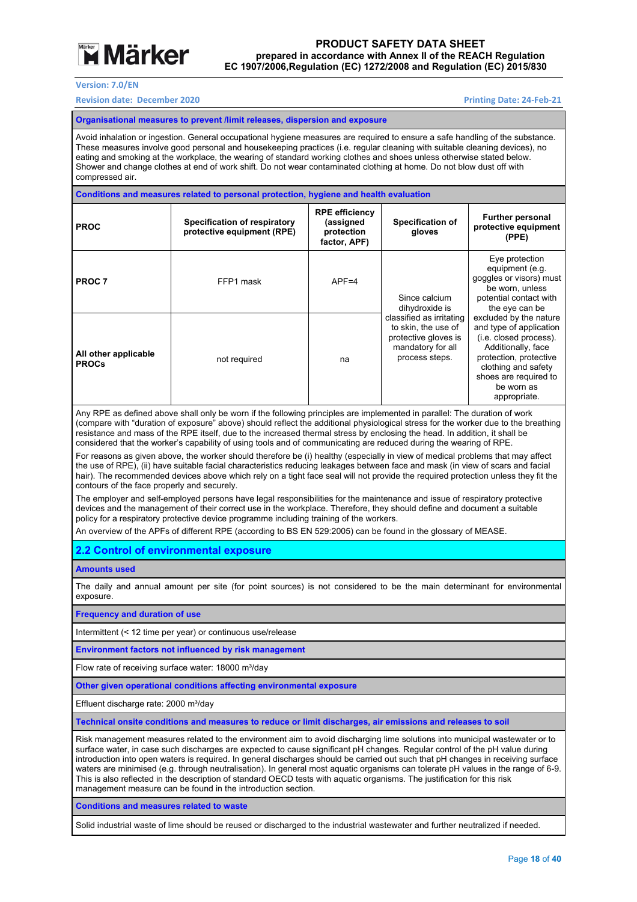

#### **Version: 7.0/EN**

#### **Revision date: December 2020 Printing Date: 24‐Feb‐21**

#### **Organisational measures to prevent /limit releases, dispersion and exposure**

Avoid inhalation or ingestion. General occupational hygiene measures are required to ensure a safe handling of the substance. These measures involve good personal and housekeeping practices (i.e. regular cleaning with suitable cleaning devices), no eating and smoking at the workplace, the wearing of standard working clothes and shoes unless otherwise stated below. Shower and change clothes at end of work shift. Do not wear contaminated clothing at home. Do not blow dust off with compressed air.

#### **Conditions and measures related to personal protection, hygiene and health evaluation**

| <b>PROC</b>                          | <b>Specification of respiratory</b><br>protective equipment (RPE) | <b>RPE efficiency</b><br>(assigned<br>protection<br>factor, APF) | <b>Specification of</b><br>gloves                                                                              | <b>Further personal</b><br>protective equipment<br>(PPE)                                                                                                                                                  |  |
|--------------------------------------|-------------------------------------------------------------------|------------------------------------------------------------------|----------------------------------------------------------------------------------------------------------------|-----------------------------------------------------------------------------------------------------------------------------------------------------------------------------------------------------------|--|
| PROC <sub>7</sub>                    | FFP1 mask                                                         | $APF = 4$                                                        | Since calcium<br>dihydroxide is                                                                                | Eye protection<br>equipment (e.g.<br>goggles or visors) must<br>be worn, unless<br>potential contact with<br>the eye can be                                                                               |  |
| All other applicable<br><b>PROCs</b> | not required                                                      | na                                                               | classified as irritating<br>to skin, the use of<br>protective gloves is<br>mandatory for all<br>process steps. | excluded by the nature<br>and type of application<br>(i.e. closed process).<br>Additionally, face<br>protection, protective<br>clothing and safety<br>shoes are required to<br>be worn as<br>appropriate. |  |

Any RPE as defined above shall only be worn if the following principles are implemented in parallel: The duration of work (compare with "duration of exposure" above) should reflect the additional physiological stress for the worker due to the breathing resistance and mass of the RPE itself, due to the increased thermal stress by enclosing the head. In addition, it shall be considered that the worker's capability of using tools and of communicating are reduced during the wearing of RPE.

For reasons as given above, the worker should therefore be (i) healthy (especially in view of medical problems that may affect the use of RPE), (ii) have suitable facial characteristics reducing leakages between face and mask (in view of scars and facial hair). The recommended devices above which rely on a tight face seal will not provide the required protection unless they fit the contours of the face properly and securely.

The employer and self-employed persons have legal responsibilities for the maintenance and issue of respiratory protective devices and the management of their correct use in the workplace. Therefore, they should define and document a suitable policy for a respiratory protective device programme including training of the workers.

An overview of the APFs of different RPE (according to BS EN 529:2005) can be found in the glossary of MEASE.

#### **2.2 Control of environmental exposure**

**Amounts used** 

The daily and annual amount per site (for point sources) is not considered to be the main determinant for environmental exposure.

**Frequency and duration of use** 

Intermittent (< 12 time per year) or continuous use/release

**Environment factors not influenced by risk management** 

Flow rate of receiving surface water: 18000 m<sup>3</sup>/day

**Other given operational conditions affecting environmental exposure** 

Effluent discharge rate: 2000 m<sup>3</sup>/day

**Technical onsite conditions and measures to reduce or limit discharges, air emissions and releases to soil** 

Risk management measures related to the environment aim to avoid discharging lime solutions into municipal wastewater or to surface water, in case such discharges are expected to cause significant pH changes. Regular control of the pH value during introduction into open waters is required. In general discharges should be carried out such that pH changes in receiving surface waters are minimised (e.g. through neutralisation). In general most aquatic organisms can tolerate pH values in the range of 6-9. This is also reflected in the description of standard OECD tests with aquatic organisms. The justification for this risk management measure can be found in the introduction section.

**Conditions and measures related to waste** 

Solid industrial waste of lime should be reused or discharged to the industrial wastewater and further neutralized if needed.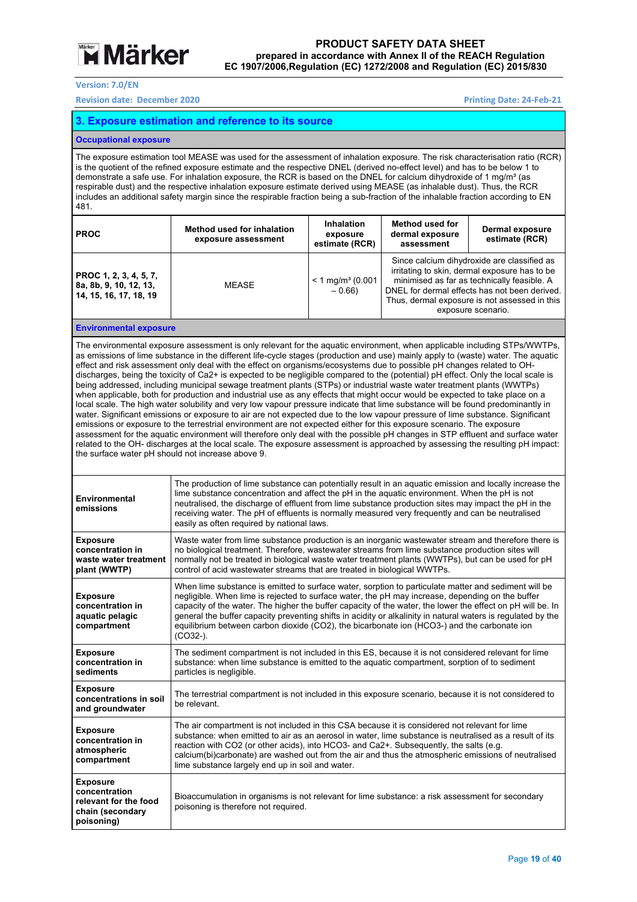

**Version: 7.0/EN** 

**Revision date: December 2020 Printing Date: 24‐Feb‐21** 

#### **3. Exposure estimation and reference to its source**

#### **Occupational exposure**

The exposure estimation tool MEASE was used for the assessment of inhalation exposure. The risk characterisation ratio (RCR) is the quotient of the refined exposure estimate and the respective DNEL (derived no-effect level) and has to be below 1 to demonstrate a safe use. For inhalation exposure, the RCR is based on the DNEL for calcium dihydroxide of 1 mg/m<sup>3</sup> (as respirable dust) and the respective inhalation exposure estimate derived using MEASE (as inhalable dust). Thus, the RCR includes an additional safety margin since the respirable fraction being a sub-fraction of the inhalable fraction according to EN 481.

| <b>PROC</b>                                                                | Method used for inhalation<br>exposure assessment | <b>Inhalation</b><br>exposure<br>estimate (RCR) | <b>Method used for</b><br>dermal exposure<br>assessment | <b>Dermal exposure</b><br>estimate (RCR)                                                                                                                                                                                                                            |
|----------------------------------------------------------------------------|---------------------------------------------------|-------------------------------------------------|---------------------------------------------------------|---------------------------------------------------------------------------------------------------------------------------------------------------------------------------------------------------------------------------------------------------------------------|
| PROC 1, 2, 3, 4, 5, 7,<br>8a, 8b, 9, 10, 12, 13,<br>14, 15, 16, 17, 18, 19 | <b>MEASE</b>                                      | $< 1$ mg/m <sup>3</sup> (0.001<br>$-0.66$       |                                                         | Since calcium dihydroxide are classified as<br>irritating to skin, dermal exposure has to be<br>minimised as far as technically feasible. A<br>DNEL for dermal effects has not been derived.<br>Thus, dermal exposure is not assessed in this<br>exposure scenario. |
|                                                                            |                                                   |                                                 |                                                         |                                                                                                                                                                                                                                                                     |

**Environmental exposure** 

The environmental exposure assessment is only relevant for the aquatic environment, when applicable including STPs/WWTPs, as emissions of lime substance in the different life-cycle stages (production and use) mainly apply to (waste) water. The aquatic effect and risk assessment only deal with the effect on organisms/ecosystems due to possible pH changes related to OHdischarges, being the toxicity of Ca2+ is expected to be negligible compared to the (potential) pH effect. Only the local scale is being addressed, including municipal sewage treatment plants (STPs) or industrial waste water treatment plants (WWTPs) when applicable, both for production and industrial use as any effects that might occur would be expected to take place on a local scale. The high water solubility and very low vapour pressure indicate that lime substance will be found predominantly in water. Significant emissions or exposure to air are not expected due to the low vapour pressure of lime substance. Significant emissions or exposure to the terrestrial environment are not expected either for this exposure scenario. The exposure assessment for the aquatic environment will therefore only deal with the possible pH changes in STP effluent and surface water related to the OH- discharges at the local scale. The exposure assessment is approached by assessing the resulting pH impact: the surface water pH should not increase above 9.

| The production of lime substance can potentially result in an aquatic emission and locally increase the<br>lime substance concentration and affect the pH in the aquatic environment. When the pH is not<br>neutralised, the discharge of effluent from lime substance production sites may impact the pH in the<br>receiving water. The pH of effluents is normally measured very frequently and can be neutralised<br>easily as often required by national laws.                                                                                   |
|------------------------------------------------------------------------------------------------------------------------------------------------------------------------------------------------------------------------------------------------------------------------------------------------------------------------------------------------------------------------------------------------------------------------------------------------------------------------------------------------------------------------------------------------------|
| Waste water from lime substance production is an inorganic wastewater stream and therefore there is<br>no biological treatment. Therefore, wastewater streams from lime substance production sites will<br>normally not be treated in biological waste water treatment plants (WWTPs), but can be used for pH<br>control of acid wastewater streams that are treated in biological WWTPs.                                                                                                                                                            |
| When lime substance is emitted to surface water, sorption to particulate matter and sediment will be<br>negligible. When lime is rejected to surface water, the pH may increase, depending on the buffer<br>capacity of the water. The higher the buffer capacity of the water, the lower the effect on pH will be. In<br>general the buffer capacity preventing shifts in acidity or alkalinity in natural waters is regulated by the<br>equilibrium between carbon dioxide (CO2), the bicarbonate ion (HCO3-) and the carbonate ion<br>$(CO32-)$ . |
| The sediment compartment is not included in this ES, because it is not considered relevant for lime<br>substance: when lime substance is emitted to the aquatic compartment, sorption of to sediment<br>particles is negligible.                                                                                                                                                                                                                                                                                                                     |
| The terrestrial compartment is not included in this exposure scenario, because it is not considered to<br>be relevant.                                                                                                                                                                                                                                                                                                                                                                                                                               |
| The air compartment is not included in this CSA because it is considered not relevant for lime<br>substance: when emitted to air as an aerosol in water, lime substance is neutralised as a result of its<br>reaction with CO2 (or other acids), into HCO3- and Ca2+. Subsequently, the salts (e.g.<br>calcium(bi)carbonate) are washed out from the air and thus the atmospheric emissions of neutralised<br>lime substance largely end up in soil and water.                                                                                       |
| Bioaccumulation in organisms is not relevant for lime substance: a risk assessment for secondary<br>poisoning is therefore not required.                                                                                                                                                                                                                                                                                                                                                                                                             |
|                                                                                                                                                                                                                                                                                                                                                                                                                                                                                                                                                      |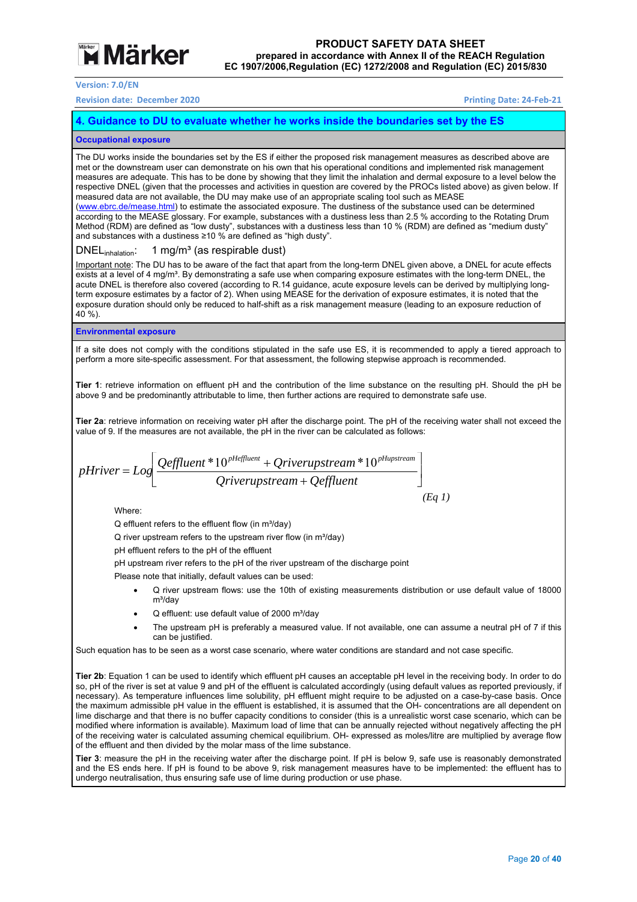# **Märker**

**Version: 7.0/EN** 

**Revision date: December 2020 Printing Date: 24‐Feb‐21** 

#### **4. Guidance to DU to evaluate whether he works inside the boundaries set by the ES**

#### **Occupational exposure**

The DU works inside the boundaries set by the ES if either the proposed risk management measures as described above are met or the downstream user can demonstrate on his own that his operational conditions and implemented risk management measures are adequate. This has to be done by showing that they limit the inhalation and dermal exposure to a level below the respective DNEL (given that the processes and activities in question are covered by the PROCs listed above) as given below. If measured data are not available, the DU may make use of an appropriate scaling tool such as MEASE (www.ebrc.de/mease.html) to estimate the associated exposure. The dustiness of the substance used can be determined

according to the MEASE glossary. For example, substances with a dustiness less than 2.5 % according to the Rotating Drum Method (RDM) are defined as "low dusty", substances with a dustiness less than 10 % (RDM) are defined as "medium dusty" and substances with a dustiness ≥10 % are defined as "high dusty".

#### DNEL<sub>inhalation</sub>: 1 mg/m<sup>3</sup> (as respirable dust)

Important note: The DU has to be aware of the fact that apart from the long-term DNEL given above, a DNEL for acute effects exists at a level of 4 mg/m<sup>3</sup>. By demonstrating a safe use when comparing exposure estimates with the long-term DNEL, the acute DNEL is therefore also covered (according to R.14 guidance, acute exposure levels can be derived by multiplying longterm exposure estimates by a factor of 2). When using MEASE for the derivation of exposure estimates, it is noted that the exposure duration should only be reduced to half-shift as a risk management measure (leading to an exposure reduction of 40 %).

#### **Environmental exposure**

If a site does not comply with the conditions stipulated in the safe use ES, it is recommended to apply a tiered approach to perform a more site-specific assessment. For that assessment, the following stepwise approach is recommended.

**Tier 1**: retrieve information on effluent pH and the contribution of the lime substance on the resulting pH. Should the pH be above 9 and be predominantly attributable to lime, then further actions are required to demonstrate safe use.

**Tier 2a**: retrieve information on receiving water pH after the discharge point. The pH of the receiving water shall not exceed the value of 9. If the measures are not available, the pH in the river can be calculated as follows:

$$
pHriver = Log \left[ \frac{Qeffluent * 10^{pHeffluent} + Qriverupstream * 10^{pHupstream}}{Qriverupstream + Qeffluent} \right]
$$
\n(Eq 1)

Where:

 $\Omega$  effluent refers to the effluent flow (in  $m^3$ /day)

 $Q$  river upstream refers to the upstream river flow (in  $m^3$ /day)

pH effluent refers to the pH of the effluent

pH upstream river refers to the pH of the river upstream of the discharge point

Please note that initially, default values can be used:

- Q river upstream flows: use the 10th of existing measurements distribution or use default value of 18000  $m<sup>3</sup>/day$
- Q effluent: use default value of 2000 m<sup>3</sup>/day
- The upstream pH is preferably a measured value. If not available, one can assume a neutral pH of 7 if this can be justified.

Such equation has to be seen as a worst case scenario, where water conditions are standard and not case specific.

**Tier 2b**: Equation 1 can be used to identify which effluent pH causes an acceptable pH level in the receiving body. In order to do so, pH of the river is set at value 9 and pH of the effluent is calculated accordingly (using default values as reported previously, if necessary). As temperature influences lime solubility, pH effluent might require to be adjusted on a case-by-case basis. Once the maximum admissible pH value in the effluent is established, it is assumed that the OH- concentrations are all dependent on lime discharge and that there is no buffer capacity conditions to consider (this is a unrealistic worst case scenario, which can be modified where information is available). Maximum load of lime that can be annually rejected without negatively affecting the pH of the receiving water is calculated assuming chemical equilibrium. OH- expressed as moles/litre are multiplied by average flow of the effluent and then divided by the molar mass of the lime substance.

**Tier 3**: measure the pH in the receiving water after the discharge point. If pH is below 9, safe use is reasonably demonstrated and the ES ends here. If pH is found to be above 9, risk management measures have to be implemented: the effluent has to undergo neutralisation, thus ensuring safe use of lime during production or use phase.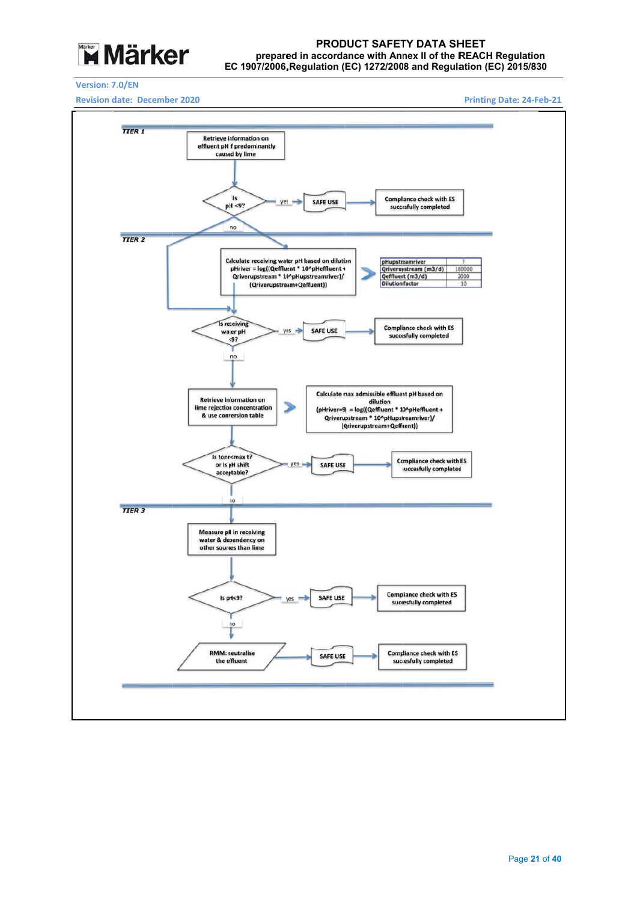

#### EC 1907/2006, Regulation (EC) 1272/2008 and Regulation (EC) 2015/830 prepared in accordance with Annex II of the REACH Regulation **PROD DUCT SAFET TY DATA SH HEET**

#### **Version: 7 .0/EN**

**Revision d ate: Decembe r 2020** 

**Printing Date: : 24‐Feb‐21** 

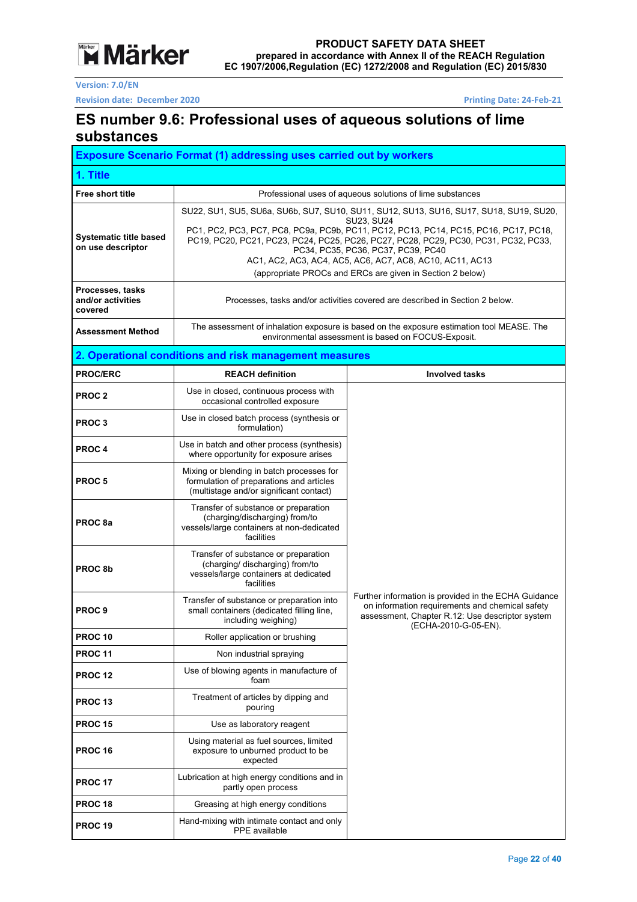

**Revision date: December 2020 Printing Date: 24‐Feb‐21** 

### **ES number 9.6: Professional uses of aqueous solutions of lime substances**

|                                                    | <b>Exposure Scenario Format (1) addressing uses carried out by workers</b>                                                                                                                                                                                                                                                                                                                                                                                |                                                                                                                                                                                    |  |  |  |  |
|----------------------------------------------------|-----------------------------------------------------------------------------------------------------------------------------------------------------------------------------------------------------------------------------------------------------------------------------------------------------------------------------------------------------------------------------------------------------------------------------------------------------------|------------------------------------------------------------------------------------------------------------------------------------------------------------------------------------|--|--|--|--|
| 1. Title                                           |                                                                                                                                                                                                                                                                                                                                                                                                                                                           |                                                                                                                                                                                    |  |  |  |  |
| Free short title                                   |                                                                                                                                                                                                                                                                                                                                                                                                                                                           | Professional uses of aqueous solutions of lime substances                                                                                                                          |  |  |  |  |
| <b>Systematic title based</b><br>on use descriptor | SU22, SU1, SU5, SU6a, SU6b, SU7, SU10, SU11, SU12, SU13, SU16, SU17, SU18, SU19, SU20,<br><b>SU23. SU24</b><br>PC1, PC2, PC3, PC7, PC8, PC9a, PC9b, PC11, PC12, PC13, PC14, PC15, PC16, PC17, PC18,<br>PC19, PC20, PC21, PC23, PC24, PC25, PC26, PC27, PC28, PC29, PC30, PC31, PC32, PC33,<br>PC34, PC35, PC36, PC37, PC39, PC40<br>AC1, AC2, AC3, AC4, AC5, AC6, AC7, AC8, AC10, AC11, AC13<br>(appropriate PROCs and ERCs are given in Section 2 below) |                                                                                                                                                                                    |  |  |  |  |
| Processes, tasks<br>and/or activities<br>covered   |                                                                                                                                                                                                                                                                                                                                                                                                                                                           | Processes, tasks and/or activities covered are described in Section 2 below.                                                                                                       |  |  |  |  |
| <b>Assessment Method</b>                           |                                                                                                                                                                                                                                                                                                                                                                                                                                                           | The assessment of inhalation exposure is based on the exposure estimation tool MEASE. The<br>environmental assessment is based on FOCUS-Exposit.                                   |  |  |  |  |
|                                                    | 2. Operational conditions and risk management measures                                                                                                                                                                                                                                                                                                                                                                                                    |                                                                                                                                                                                    |  |  |  |  |
| <b>PROC/ERC</b>                                    | <b>REACH definition</b>                                                                                                                                                                                                                                                                                                                                                                                                                                   | <b>Involved tasks</b>                                                                                                                                                              |  |  |  |  |
| PROC <sub>2</sub>                                  | Use in closed, continuous process with<br>occasional controlled exposure                                                                                                                                                                                                                                                                                                                                                                                  |                                                                                                                                                                                    |  |  |  |  |
| <b>PROC3</b>                                       | Use in closed batch process (synthesis or<br>formulation)                                                                                                                                                                                                                                                                                                                                                                                                 |                                                                                                                                                                                    |  |  |  |  |
| PROC <sub>4</sub>                                  | Use in batch and other process (synthesis)<br>where opportunity for exposure arises                                                                                                                                                                                                                                                                                                                                                                       |                                                                                                                                                                                    |  |  |  |  |
| <b>PROC5</b>                                       | Mixing or blending in batch processes for<br>formulation of preparations and articles<br>(multistage and/or significant contact)                                                                                                                                                                                                                                                                                                                          |                                                                                                                                                                                    |  |  |  |  |
| PROC <sub>8a</sub>                                 | Transfer of substance or preparation<br>(charging/discharging) from/to<br>vessels/large containers at non-dedicated<br>facilities                                                                                                                                                                                                                                                                                                                         |                                                                                                                                                                                    |  |  |  |  |
| PROC <sub>8b</sub>                                 | Transfer of substance or preparation<br>(charging/ discharging) from/to<br>vessels/large containers at dedicated<br>facilities                                                                                                                                                                                                                                                                                                                            |                                                                                                                                                                                    |  |  |  |  |
| PROC <sub>9</sub>                                  | Transfer of substance or preparation into<br>small containers (dedicated filling line,<br>including weighing)                                                                                                                                                                                                                                                                                                                                             | Further information is provided in the ECHA Guidance<br>on information requirements and chemical safety<br>assessment, Chapter R.12: Use descriptor system<br>(ECHA-2010-G-05-EN). |  |  |  |  |
| <b>PROC 10</b>                                     | Roller application or brushing                                                                                                                                                                                                                                                                                                                                                                                                                            |                                                                                                                                                                                    |  |  |  |  |
| <b>PROC 11</b>                                     | Non industrial spraying                                                                                                                                                                                                                                                                                                                                                                                                                                   |                                                                                                                                                                                    |  |  |  |  |
| PROC 12                                            | Use of blowing agents in manufacture of<br>foam                                                                                                                                                                                                                                                                                                                                                                                                           |                                                                                                                                                                                    |  |  |  |  |
| <b>PROC 13</b>                                     | Treatment of articles by dipping and<br>pouring                                                                                                                                                                                                                                                                                                                                                                                                           |                                                                                                                                                                                    |  |  |  |  |
| <b>PROC 15</b>                                     | Use as laboratory reagent                                                                                                                                                                                                                                                                                                                                                                                                                                 |                                                                                                                                                                                    |  |  |  |  |
| <b>PROC 16</b>                                     | Using material as fuel sources, limited<br>exposure to unburned product to be<br>expected                                                                                                                                                                                                                                                                                                                                                                 |                                                                                                                                                                                    |  |  |  |  |
| <b>PROC 17</b>                                     | Lubrication at high energy conditions and in<br>partly open process                                                                                                                                                                                                                                                                                                                                                                                       |                                                                                                                                                                                    |  |  |  |  |
| PROC 18                                            | Greasing at high energy conditions                                                                                                                                                                                                                                                                                                                                                                                                                        |                                                                                                                                                                                    |  |  |  |  |
| <b>PROC 19</b>                                     | Hand-mixing with intimate contact and only<br>PPE available                                                                                                                                                                                                                                                                                                                                                                                               |                                                                                                                                                                                    |  |  |  |  |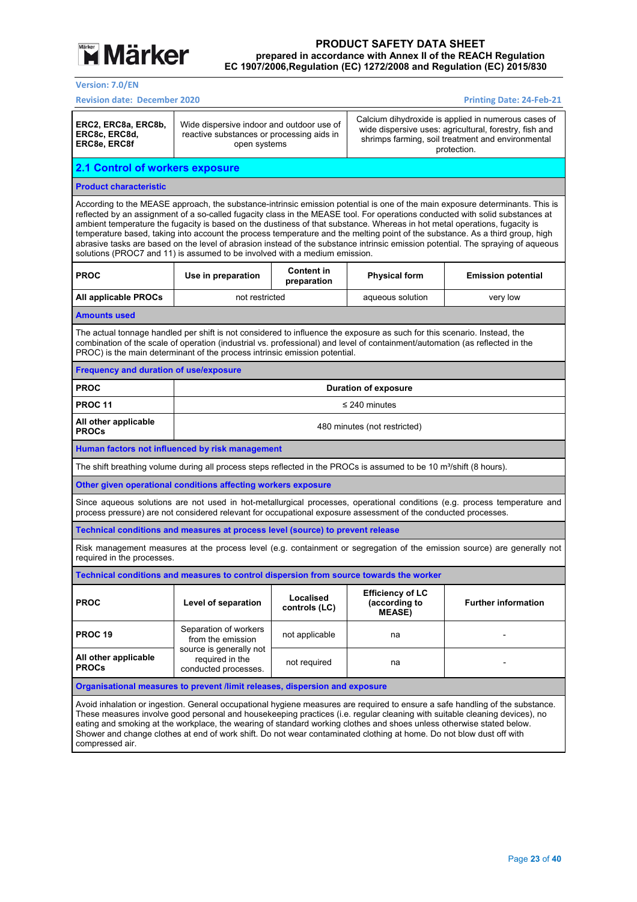

**Version: 7.0/EN** 

| <b>Revision date: December 2020</b><br><b>Printing Date: 24-Feb-21</b>                                                                                                                                                                                                                                                                                                                                                                                                                                                                                                                                                                                                                                                                          |                                                                                                                                                                                                                                                                                             |                                  |                                                           |                                                                                                                           |  |  |  |
|-------------------------------------------------------------------------------------------------------------------------------------------------------------------------------------------------------------------------------------------------------------------------------------------------------------------------------------------------------------------------------------------------------------------------------------------------------------------------------------------------------------------------------------------------------------------------------------------------------------------------------------------------------------------------------------------------------------------------------------------------|---------------------------------------------------------------------------------------------------------------------------------------------------------------------------------------------------------------------------------------------------------------------------------------------|----------------------------------|-----------------------------------------------------------|---------------------------------------------------------------------------------------------------------------------------|--|--|--|
| ERC2, ERC8a, ERC8b,<br>ERC8c, ERC8d,<br>ERC8e, ERC8f                                                                                                                                                                                                                                                                                                                                                                                                                                                                                                                                                                                                                                                                                            | Calcium dihydroxide is applied in numerous cases of<br>Wide dispersive indoor and outdoor use of<br>wide dispersive uses: agricultural, forestry, fish and<br>reactive substances or processing aids in<br>shrimps farming, soil treatment and environmental<br>open systems<br>protection. |                                  |                                                           |                                                                                                                           |  |  |  |
| 2.1 Control of workers exposure                                                                                                                                                                                                                                                                                                                                                                                                                                                                                                                                                                                                                                                                                                                 |                                                                                                                                                                                                                                                                                             |                                  |                                                           |                                                                                                                           |  |  |  |
| <b>Product characteristic</b>                                                                                                                                                                                                                                                                                                                                                                                                                                                                                                                                                                                                                                                                                                                   |                                                                                                                                                                                                                                                                                             |                                  |                                                           |                                                                                                                           |  |  |  |
| According to the MEASE approach, the substance-intrinsic emission potential is one of the main exposure determinants. This is<br>reflected by an assignment of a so-called fugacity class in the MEASE tool. For operations conducted with solid substances at<br>ambient temperature the fugacity is based on the dustiness of that substance. Whereas in hot metal operations, fugacity is<br>temperature based, taking into account the process temperature and the melting point of the substance. As a third group, high<br>abrasive tasks are based on the level of abrasion instead of the substance intrinsic emission potential. The spraying of aqueous<br>solutions (PROC7 and 11) is assumed to be involved with a medium emission. |                                                                                                                                                                                                                                                                                             |                                  |                                                           |                                                                                                                           |  |  |  |
| <b>PROC</b>                                                                                                                                                                                                                                                                                                                                                                                                                                                                                                                                                                                                                                                                                                                                     | Use in preparation                                                                                                                                                                                                                                                                          | <b>Content in</b><br>preparation | <b>Physical form</b>                                      | <b>Emission potential</b>                                                                                                 |  |  |  |
| All applicable PROCs                                                                                                                                                                                                                                                                                                                                                                                                                                                                                                                                                                                                                                                                                                                            | not restricted                                                                                                                                                                                                                                                                              |                                  | aqueous solution                                          | very low                                                                                                                  |  |  |  |
| <b>Amounts used</b>                                                                                                                                                                                                                                                                                                                                                                                                                                                                                                                                                                                                                                                                                                                             |                                                                                                                                                                                                                                                                                             |                                  |                                                           |                                                                                                                           |  |  |  |
| The actual tonnage handled per shift is not considered to influence the exposure as such for this scenario. Instead, the<br>combination of the scale of operation (industrial vs. professional) and level of containment/automation (as reflected in the<br>PROC) is the main determinant of the process intrinsic emission potential.                                                                                                                                                                                                                                                                                                                                                                                                          |                                                                                                                                                                                                                                                                                             |                                  |                                                           |                                                                                                                           |  |  |  |
| <b>Frequency and duration of use/exposure</b>                                                                                                                                                                                                                                                                                                                                                                                                                                                                                                                                                                                                                                                                                                   |                                                                                                                                                                                                                                                                                             |                                  |                                                           |                                                                                                                           |  |  |  |
| <b>PROC</b>                                                                                                                                                                                                                                                                                                                                                                                                                                                                                                                                                                                                                                                                                                                                     |                                                                                                                                                                                                                                                                                             |                                  | <b>Duration of exposure</b>                               |                                                                                                                           |  |  |  |
| <b>PROC 11</b>                                                                                                                                                                                                                                                                                                                                                                                                                                                                                                                                                                                                                                                                                                                                  |                                                                                                                                                                                                                                                                                             |                                  | $\leq$ 240 minutes                                        |                                                                                                                           |  |  |  |
| All other applicable<br><b>PROCs</b>                                                                                                                                                                                                                                                                                                                                                                                                                                                                                                                                                                                                                                                                                                            |                                                                                                                                                                                                                                                                                             | 480 minutes (not restricted)     |                                                           |                                                                                                                           |  |  |  |
| Human factors not influenced by risk management                                                                                                                                                                                                                                                                                                                                                                                                                                                                                                                                                                                                                                                                                                 |                                                                                                                                                                                                                                                                                             |                                  |                                                           |                                                                                                                           |  |  |  |
| The shift breathing volume during all process steps reflected in the PROCs is assumed to be 10 m <sup>3</sup> /shift (8 hours).                                                                                                                                                                                                                                                                                                                                                                                                                                                                                                                                                                                                                 |                                                                                                                                                                                                                                                                                             |                                  |                                                           |                                                                                                                           |  |  |  |
| Other given operational conditions affecting workers exposure                                                                                                                                                                                                                                                                                                                                                                                                                                                                                                                                                                                                                                                                                   |                                                                                                                                                                                                                                                                                             |                                  |                                                           |                                                                                                                           |  |  |  |
| process pressure) are not considered relevant for occupational exposure assessment of the conducted processes.                                                                                                                                                                                                                                                                                                                                                                                                                                                                                                                                                                                                                                  |                                                                                                                                                                                                                                                                                             |                                  |                                                           | Since aqueous solutions are not used in hot-metallurgical processes, operational conditions (e.g. process temperature and |  |  |  |
| Technical conditions and measures at process level (source) to prevent release                                                                                                                                                                                                                                                                                                                                                                                                                                                                                                                                                                                                                                                                  |                                                                                                                                                                                                                                                                                             |                                  |                                                           |                                                                                                                           |  |  |  |
| required in the processes.                                                                                                                                                                                                                                                                                                                                                                                                                                                                                                                                                                                                                                                                                                                      |                                                                                                                                                                                                                                                                                             |                                  |                                                           | Risk management measures at the process level (e.g. containment or segregation of the emission source) are generally not  |  |  |  |
| Technical conditions and measures to control dispersion from source towards the worker                                                                                                                                                                                                                                                                                                                                                                                                                                                                                                                                                                                                                                                          |                                                                                                                                                                                                                                                                                             |                                  |                                                           |                                                                                                                           |  |  |  |
| <b>PROC</b>                                                                                                                                                                                                                                                                                                                                                                                                                                                                                                                                                                                                                                                                                                                                     | Level of separation                                                                                                                                                                                                                                                                         | Localised<br>controls (LC)       | <b>Efficiency of LC</b><br>(according to<br><b>MEASE)</b> | <b>Further information</b>                                                                                                |  |  |  |
| <b>PROC 19</b>                                                                                                                                                                                                                                                                                                                                                                                                                                                                                                                                                                                                                                                                                                                                  | Separation of workers<br>from the emission                                                                                                                                                                                                                                                  | not applicable                   | na                                                        |                                                                                                                           |  |  |  |
| All other applicable<br><b>PROCs</b>                                                                                                                                                                                                                                                                                                                                                                                                                                                                                                                                                                                                                                                                                                            | source is generally not<br>required in the<br>conducted processes.                                                                                                                                                                                                                          | not required                     | na                                                        |                                                                                                                           |  |  |  |
| Organisational measures to prevent /limit releases, dispersion and exposure                                                                                                                                                                                                                                                                                                                                                                                                                                                                                                                                                                                                                                                                     |                                                                                                                                                                                                                                                                                             |                                  |                                                           |                                                                                                                           |  |  |  |
| Avoid inhalation or ingestion. General occupational hygiene measures are reguired to ensure a safe handling of the substance.<br>These measures involve good personal and housekeeping practices (i.e. regular cleaning with suitable cleaning devices), no<br>eating and smoking at the workplace, the wearing of standard working clothes and shoes unless otherwise stated below.<br>Shower and change clothes at end of work shift. Do not wear contaminated clothing at home. Do not blow dust off with<br>compressed air.                                                                                                                                                                                                                 |                                                                                                                                                                                                                                                                                             |                                  |                                                           |                                                                                                                           |  |  |  |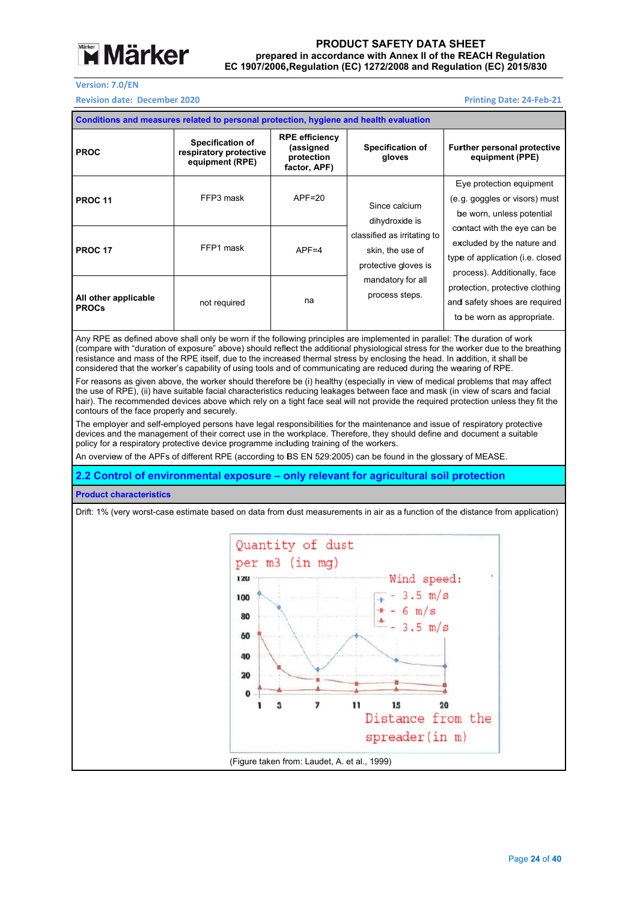

**Revision date: December 2020** 

#### **Printing Date: : 24‐Feb‐21**

| Conditions and measures related to personal protection, hygiene and health evaluation |                                                                      |                                                                  |                                                                         |                                                                                                                               |                                                                                                |  |  |
|---------------------------------------------------------------------------------------|----------------------------------------------------------------------|------------------------------------------------------------------|-------------------------------------------------------------------------|-------------------------------------------------------------------------------------------------------------------------------|------------------------------------------------------------------------------------------------|--|--|
| <b>PROC</b>                                                                           | <b>Specification of</b><br>respiratory protective<br>equipment (RPE) | <b>RPE efficiency</b><br>(assigned<br>protection<br>factor, APF) | <b>Specification of</b><br>gloves                                       | <b>Further personal protective</b><br>equipment (PPE)                                                                         |                                                                                                |  |  |
| <b>PROC 11</b>                                                                        | FFP3 mask                                                            | $APF = 20$                                                       | Since calcium<br>dihydroxide is                                         |                                                                                                                               | Eye protection equipment<br>(e.g. goggles or visors) must<br>be worn, unless potential         |  |  |
| <b>PROC 17</b>                                                                        | FFP1 mask                                                            | $APF = 4$                                                        | classified as irritating to<br>skin, the use of<br>protective gloves is | contact with the eye can be<br>excluded by the nature and<br>type of application (i.e. closed<br>process). Additionally, face |                                                                                                |  |  |
| All other applicable<br><b>PROCs</b>                                                  | not required                                                         | na                                                               | mandatory for all<br>process steps.                                     |                                                                                                                               | protection, protective clothing<br>and safety shoes are required<br>to be worn as appropriate. |  |  |

Any RPE as defined above shall only be worn if the following principles are implemented in parallel: The duration of work (compare w resistance considered that the worker's capability of using tools and of communicating are reduced during the wearing of RPE. with "duration o and mass of th of exposure" abo he RPE itself, du ove) should refle ue to the increas ect the additiona sed thermal stre al physiological ess by enclosing stress for the w g the head. In a worker due to th addition, it shall e breathing be

For reasons as given above, the worker should therefore be (i) healthy (especially in view of medical problems that may affect the use of RPE), (ii) have suitable facial characteristics reducing leakages between face and mask (in view of scars and facial hair). The recommended devices above which rely on a tight face seal will not provide the required protection unless they fit the contours of the face properly and securely.

The employer and self-employed persons have legal responsibilities for the maintenance and issue of respiratory protective devices and the management of their correct use in the workplace. Therefore, they should define and document a suitable policy for a respiratory protective device programme including training of the workers.

An overview of the APFs of different RPE (according to BS EN 529:2005) can be found in the glossary of MEASE.

**2.2 Control of environmental exposure – only relevant for agricultural soil protection** 

#### **Product c characteristics**

Drift: 1% (very worst-case estimate based on data from dust measurements in air as a function of the distance from application)

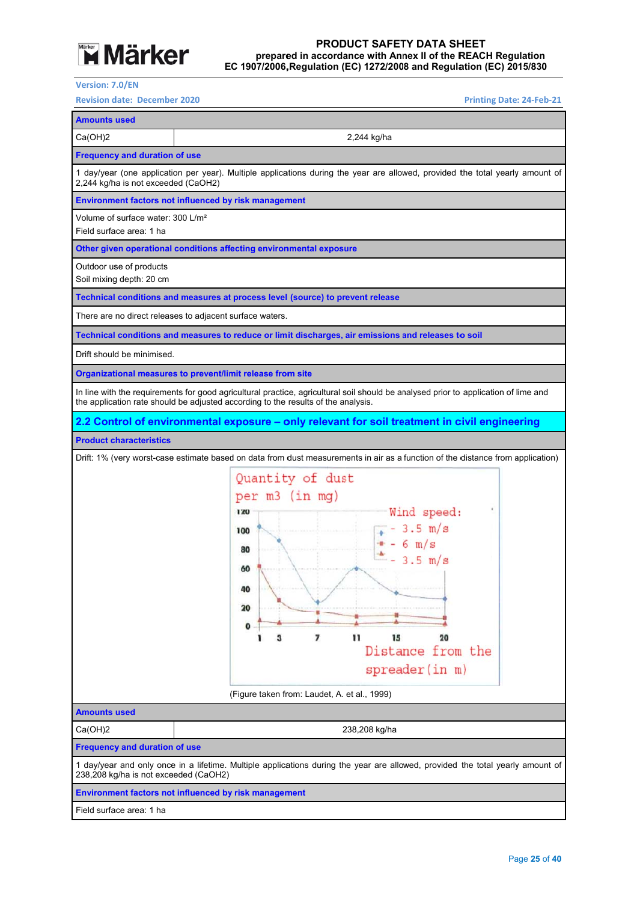

#### EC 1907/2006, Regulation (EC) 1272/2008 and Regulation (EC) 2015/830 prepared in accordance with Annex II of the REACH Regulation **PROD DUCT SAFET TY DATA SH HEET**

**Version: 7 7.0/EN** 

**Revision date: December 2020** 

```
Printing Date:
: 24‐Feb‐21
```
**Amounts used**  Ca(OH)2 2,244 kg/ha **Frequency and duration of use** 1 day/year (one application per year). Multiple applications during the year are allowed, provided the total yearly amount of 2,244 kg/ha is not exceeded (CaOH2) **Environment factors not influenced by risk management** Volume of surface water: 300 L/m² Field surfa ace area: 1 ha **Other given operational conditions affecting environmental exposure** Outdoor use of products Soil mixing depth: 20 cm **Technical conditions and measures at process level (source) to prevent release** There are no direct releases to adjacent surface waters. Technical conditions and measures to reduce or limit discharges, air emissions and releases to soil Drift should be minimised. **Organizational measures to prevent/limit release from site** In line with the requirements for good agricultural practice, agricultural soil should be analysed prior to application of lime and the application rate should be adjusted according to the results of the analysis. **2.2 Control of environmental exposure – only relevant for soil treatment in civil engineering Product c characteristics**  Drift: 1% (very worst-case estimate based on data from dust measurements in air as a function of the distance from application) Quantity of dust per m3 (in mg) Wind speed: 120  $-3.5 \text{ m/s}$ 100  $6 \text{ m/s}$  $90$  $3.5 \text{ m/s}$ 60 40  $20$  $\Omega$  $\bar{1}$ 15  $20$  $\overline{7}$ Distance from the spreader(in m) (Figure taken fr rom: Laudet, A. et al., 1999) **Amounts used**  Ca(OH)2 2 238,208 kg/ha **Frequency and duration of use** 1 day/year and only once in a lifetime. Multiple applications during the year are allowed, provided the total yearly amount of 238,208 kg/ha is not exceeded (CaOH2) **Environment factors not influenced by risk management** Field surfa ace area: 1 ha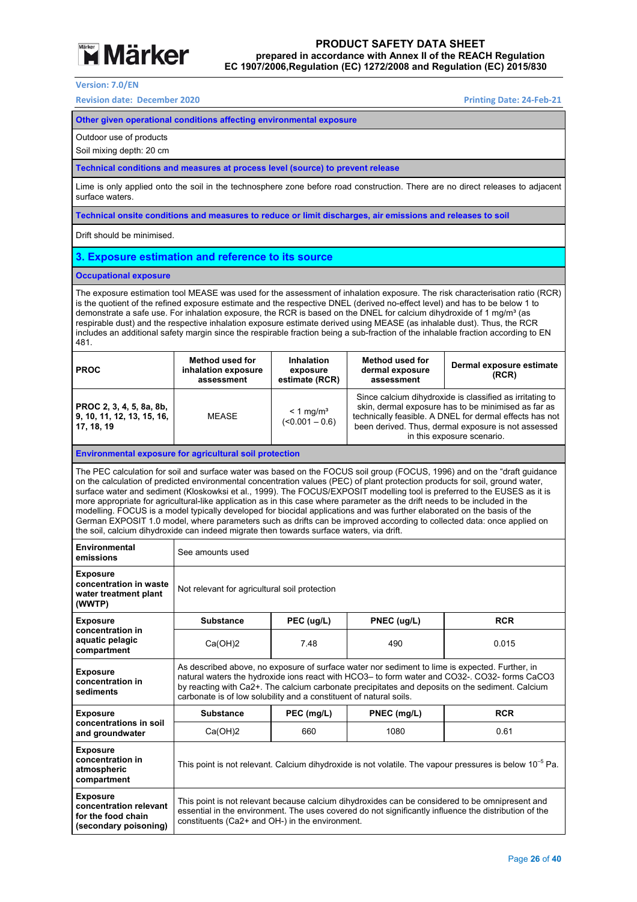

**Version: 7.0/EN** 

**Revision date: December 2020 Printing Date: 24‐Feb‐21** 

| Other given operational conditions affecting environmental exposure                                                                                                                                                                                                                                                                                                                                                                                                                                                                                                                                                                                                     |                                                                                                                                                                                                                                                                                                                                                                          |                                                                                                                     |                                                         |                                                                                                                                                                                                                                                                                                                                                                                                                                                                                                                   |  |  |
|-------------------------------------------------------------------------------------------------------------------------------------------------------------------------------------------------------------------------------------------------------------------------------------------------------------------------------------------------------------------------------------------------------------------------------------------------------------------------------------------------------------------------------------------------------------------------------------------------------------------------------------------------------------------------|--------------------------------------------------------------------------------------------------------------------------------------------------------------------------------------------------------------------------------------------------------------------------------------------------------------------------------------------------------------------------|---------------------------------------------------------------------------------------------------------------------|---------------------------------------------------------|-------------------------------------------------------------------------------------------------------------------------------------------------------------------------------------------------------------------------------------------------------------------------------------------------------------------------------------------------------------------------------------------------------------------------------------------------------------------------------------------------------------------|--|--|
| Outdoor use of products<br>Soil mixing depth: 20 cm                                                                                                                                                                                                                                                                                                                                                                                                                                                                                                                                                                                                                     |                                                                                                                                                                                                                                                                                                                                                                          |                                                                                                                     |                                                         |                                                                                                                                                                                                                                                                                                                                                                                                                                                                                                                   |  |  |
| Technical conditions and measures at process level (source) to prevent release                                                                                                                                                                                                                                                                                                                                                                                                                                                                                                                                                                                          |                                                                                                                                                                                                                                                                                                                                                                          |                                                                                                                     |                                                         |                                                                                                                                                                                                                                                                                                                                                                                                                                                                                                                   |  |  |
| surface waters.                                                                                                                                                                                                                                                                                                                                                                                                                                                                                                                                                                                                                                                         |                                                                                                                                                                                                                                                                                                                                                                          |                                                                                                                     |                                                         | Lime is only applied onto the soil in the technosphere zone before road construction. There are no direct releases to adjacent                                                                                                                                                                                                                                                                                                                                                                                    |  |  |
|                                                                                                                                                                                                                                                                                                                                                                                                                                                                                                                                                                                                                                                                         | Technical onsite conditions and measures to reduce or limit discharges, air emissions and releases to soil                                                                                                                                                                                                                                                               |                                                                                                                     |                                                         |                                                                                                                                                                                                                                                                                                                                                                                                                                                                                                                   |  |  |
| Drift should be minimised.                                                                                                                                                                                                                                                                                                                                                                                                                                                                                                                                                                                                                                              |                                                                                                                                                                                                                                                                                                                                                                          |                                                                                                                     |                                                         |                                                                                                                                                                                                                                                                                                                                                                                                                                                                                                                   |  |  |
| 3. Exposure estimation and reference to its source                                                                                                                                                                                                                                                                                                                                                                                                                                                                                                                                                                                                                      |                                                                                                                                                                                                                                                                                                                                                                          |                                                                                                                     |                                                         |                                                                                                                                                                                                                                                                                                                                                                                                                                                                                                                   |  |  |
| <b>Occupational exposure</b>                                                                                                                                                                                                                                                                                                                                                                                                                                                                                                                                                                                                                                            |                                                                                                                                                                                                                                                                                                                                                                          |                                                                                                                     |                                                         |                                                                                                                                                                                                                                                                                                                                                                                                                                                                                                                   |  |  |
| The exposure estimation tool MEASE was used for the assessment of inhalation exposure. The risk characterisation ratio (RCR)<br>is the quotient of the refined exposure estimate and the respective DNEL (derived no-effect level) and has to be below 1 to<br>demonstrate a safe use. For inhalation exposure, the RCR is based on the DNEL for calcium dihydroxide of 1 mg/m <sup>3</sup> (as<br>respirable dust) and the respective inhalation exposure estimate derived using MEASE (as inhalable dust). Thus, the RCR<br>includes an additional safety margin since the respirable fraction being a sub-fraction of the inhalable fraction according to EN<br>481. |                                                                                                                                                                                                                                                                                                                                                                          |                                                                                                                     |                                                         |                                                                                                                                                                                                                                                                                                                                                                                                                                                                                                                   |  |  |
| <b>PROC</b>                                                                                                                                                                                                                                                                                                                                                                                                                                                                                                                                                                                                                                                             | <b>Method used for</b><br>inhalation exposure<br>assessment                                                                                                                                                                                                                                                                                                              | <b>Inhalation</b><br>exposure<br>estimate (RCR)                                                                     | <b>Method used for</b><br>dermal exposure<br>assessment | Dermal exposure estimate<br>(RCR)                                                                                                                                                                                                                                                                                                                                                                                                                                                                                 |  |  |
| PROC 2, 3, 4, 5, 8a, 8b,<br>9, 10, 11, 12, 13, 15, 16,<br>17, 18, 19                                                                                                                                                                                                                                                                                                                                                                                                                                                                                                                                                                                                    | Since calcium dihydroxide is classified as irritating to<br>skin, dermal exposure has to be minimised as far as<br>$< 1$ ma/m <sup>3</sup><br><b>MEASE</b><br>technically feasible. A DNEL for dermal effects has not<br>$($ < 0.001 - 0.6)<br>been derived. Thus, dermal exposure is not assessed<br>in this exposure scenario.                                         |                                                                                                                     |                                                         |                                                                                                                                                                                                                                                                                                                                                                                                                                                                                                                   |  |  |
| <b>Environmental exposure for agricultural soil protection</b>                                                                                                                                                                                                                                                                                                                                                                                                                                                                                                                                                                                                          |                                                                                                                                                                                                                                                                                                                                                                          |                                                                                                                     |                                                         |                                                                                                                                                                                                                                                                                                                                                                                                                                                                                                                   |  |  |
| more appropriate for agricultural-like application as in this case where parameter as the drift needs to be included in the<br>modelling. FOCUS is a model typically developed for biocidal applications and was further elaborated on the basis of the<br>the soil, calcium dihydroxide can indeed migrate then towards surface waters, via drift.                                                                                                                                                                                                                                                                                                                     |                                                                                                                                                                                                                                                                                                                                                                          |                                                                                                                     |                                                         | The PEC calculation for soil and surface water was based on the FOCUS soil group (FOCUS, 1996) and on the "draft guidance<br>on the calculation of predicted environmental concentration values (PEC) of plant protection products for soil, ground water,<br>surface water and sediment (Kloskowksi et al., 1999). The FOCUS/EXPOSIT modelling tool is preferred to the EUSES as it is<br>German EXPOSIT 1.0 model, where parameters such as drifts can be improved according to collected data: once applied on |  |  |
| Environmental<br>emissions                                                                                                                                                                                                                                                                                                                                                                                                                                                                                                                                                                                                                                              | See amounts used                                                                                                                                                                                                                                                                                                                                                         |                                                                                                                     |                                                         |                                                                                                                                                                                                                                                                                                                                                                                                                                                                                                                   |  |  |
| Exposure<br>concentration in waste<br>water treatment plant<br>(WWTP)                                                                                                                                                                                                                                                                                                                                                                                                                                                                                                                                                                                                   | Not relevant for agricultural soil protection                                                                                                                                                                                                                                                                                                                            |                                                                                                                     |                                                         |                                                                                                                                                                                                                                                                                                                                                                                                                                                                                                                   |  |  |
| Exposure<br>concentration in                                                                                                                                                                                                                                                                                                                                                                                                                                                                                                                                                                                                                                            | Substance                                                                                                                                                                                                                                                                                                                                                                | PEC (ug/L)                                                                                                          | PNEC (ug/L)                                             | <b>RCR</b>                                                                                                                                                                                                                                                                                                                                                                                                                                                                                                        |  |  |
| aquatic pelagic<br>compartment                                                                                                                                                                                                                                                                                                                                                                                                                                                                                                                                                                                                                                          | Ca(OH)2                                                                                                                                                                                                                                                                                                                                                                  | 7.48                                                                                                                | 490                                                     | 0.015                                                                                                                                                                                                                                                                                                                                                                                                                                                                                                             |  |  |
| <b>Exposure</b><br>concentration in<br>sediments                                                                                                                                                                                                                                                                                                                                                                                                                                                                                                                                                                                                                        | As described above, no exposure of surface water nor sediment to lime is expected. Further, in<br>natural waters the hydroxide ions react with HCO3- to form water and CO32-. CO32- forms CaCO3<br>by reacting with Ca2+. The calcium carbonate precipitates and deposits on the sediment. Calcium<br>carbonate is of low solubility and a constituent of natural soils. |                                                                                                                     |                                                         |                                                                                                                                                                                                                                                                                                                                                                                                                                                                                                                   |  |  |
| Exposure                                                                                                                                                                                                                                                                                                                                                                                                                                                                                                                                                                                                                                                                | <b>Substance</b>                                                                                                                                                                                                                                                                                                                                                         | PEC (mg/L)                                                                                                          | PNEC (mg/L)                                             | RCR                                                                                                                                                                                                                                                                                                                                                                                                                                                                                                               |  |  |
| concentrations in soil<br>and groundwater                                                                                                                                                                                                                                                                                                                                                                                                                                                                                                                                                                                                                               | Ca(OH)2                                                                                                                                                                                                                                                                                                                                                                  | 660                                                                                                                 | 1080                                                    | 0.61                                                                                                                                                                                                                                                                                                                                                                                                                                                                                                              |  |  |
| Exposure<br>concentration in<br>atmospheric<br>compartment                                                                                                                                                                                                                                                                                                                                                                                                                                                                                                                                                                                                              |                                                                                                                                                                                                                                                                                                                                                                          | This point is not relevant. Calcium dihydroxide is not volatile. The vapour pressures is below 10 <sup>-5</sup> Pa. |                                                         |                                                                                                                                                                                                                                                                                                                                                                                                                                                                                                                   |  |  |
| <b>Exposure</b><br>concentration relevant<br>for the food chain<br>(secondary poisoning)                                                                                                                                                                                                                                                                                                                                                                                                                                                                                                                                                                                | This point is not relevant because calcium dihydroxides can be considered to be omnipresent and<br>essential in the environment. The uses covered do not significantly influence the distribution of the<br>constituents (Ca2+ and OH-) in the environment.                                                                                                              |                                                                                                                     |                                                         |                                                                                                                                                                                                                                                                                                                                                                                                                                                                                                                   |  |  |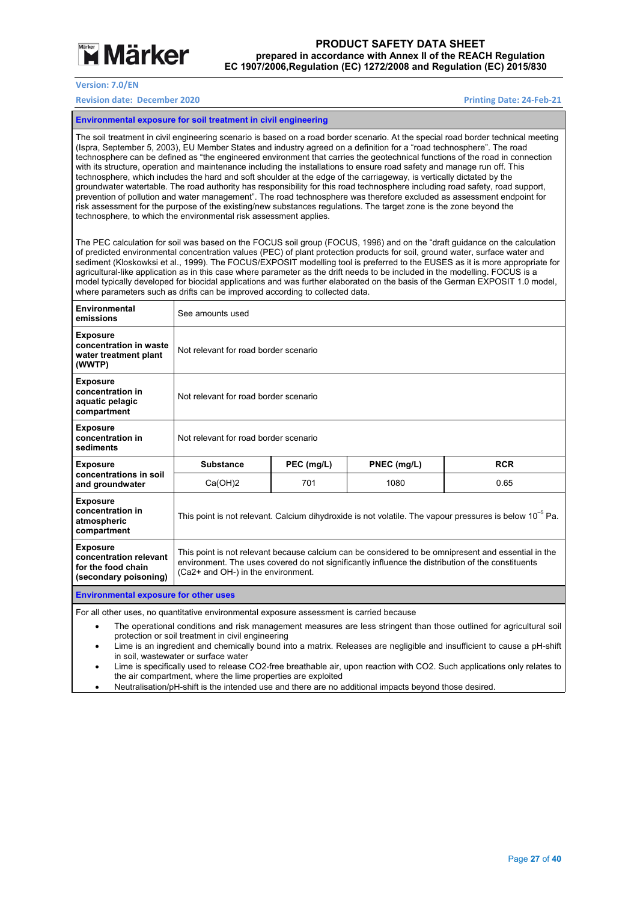

**Version: 7.0/EN** 

#### **Revision date: December 2020 Printing Date: 24‐Feb‐21**

**Environmental exposure for soil treatment in civil engineering** 

The soil treatment in civil engineering scenario is based on a road border scenario. At the special road border technical meeting (Ispra, September 5, 2003), EU Member States and industry agreed on a definition for a "road technosphere". The road technosphere can be defined as "the engineered environment that carries the geotechnical functions of the road in connection with its structure, operation and maintenance including the installations to ensure road safety and manage run off. This technosphere, which includes the hard and soft shoulder at the edge of the carriageway, is vertically dictated by the groundwater watertable. The road authority has responsibility for this road technosphere including road safety, road support, prevention of pollution and water management". The road technosphere was therefore excluded as assessment endpoint for risk assessment for the purpose of the existing/new substances regulations. The target zone is the zone beyond the technosphere, to which the environmental risk assessment applies.

The PEC calculation for soil was based on the FOCUS soil group (FOCUS, 1996) and on the "draft guidance on the calculation of predicted environmental concentration values (PEC) of plant protection products for soil, ground water, surface water and sediment (Kloskowksi et al., 1999). The FOCUS/EXPOSIT modelling tool is preferred to the EUSES as it is more appropriate for agricultural-like application as in this case where parameter as the drift needs to be included in the modelling. FOCUS is a model typically developed for biocidal applications and was further elaborated on the basis of the German EXPOSIT 1.0 model, where parameters such as drifts can be improved according to collected data.

| Environmental<br>emissions                                                               | See amounts used                                                                                                                                                                                                                               |            |             |            |  |
|------------------------------------------------------------------------------------------|------------------------------------------------------------------------------------------------------------------------------------------------------------------------------------------------------------------------------------------------|------------|-------------|------------|--|
| <b>Exposure</b><br>concentration in waste<br>water treatment plant<br>(WWTP)             | Not relevant for road border scenario                                                                                                                                                                                                          |            |             |            |  |
| <b>Exposure</b><br>concentration in<br>aquatic pelagic<br>compartment                    | Not relevant for road border scenario                                                                                                                                                                                                          |            |             |            |  |
| <b>Exposure</b><br>concentration in<br>sediments                                         | Not relevant for road border scenario                                                                                                                                                                                                          |            |             |            |  |
| <b>Exposure</b>                                                                          | <b>Substance</b>                                                                                                                                                                                                                               | PEC (mg/L) | PNEC (mg/L) | <b>RCR</b> |  |
| concentrations in soil<br>and groundwater                                                | Ca(OH)2                                                                                                                                                                                                                                        | 701        | 1080        | 0.65       |  |
| <b>Exposure</b><br>concentration in<br>atmospheric<br>compartment                        | This point is not relevant. Calcium dihydroxide is not volatile. The vapour pressures is below $10^{-5}$ Pa.                                                                                                                                   |            |             |            |  |
| <b>Exposure</b><br>concentration relevant<br>for the food chain<br>(secondary poisoning) | This point is not relevant because calcium can be considered to be omnipresent and essential in the<br>environment. The uses covered do not significantly influence the distribution of the constituents<br>(Ca2+ and OH-) in the environment. |            |             |            |  |
| <b>Environmental exposure for other uses</b>                                             |                                                                                                                                                                                                                                                |            |             |            |  |
| For all other uses no quantitative environmental exposure assessment is carried because  |                                                                                                                                                                                                                                                |            |             |            |  |

For all other uses, no quantitative environmental exposure assessment is carried because

 The operational conditions and risk management measures are less stringent than those outlined for agricultural soil protection or soil treatment in civil engineering

 Lime is an ingredient and chemically bound into a matrix. Releases are negligible and insufficient to cause a pH-shift in soil, wastewater or surface water

 Lime is specifically used to release CO2-free breathable air, upon reaction with CO2. Such applications only relates to the air compartment, where the lime properties are exploited

Neutralisation/pH-shift is the intended use and there are no additional impacts beyond those desired.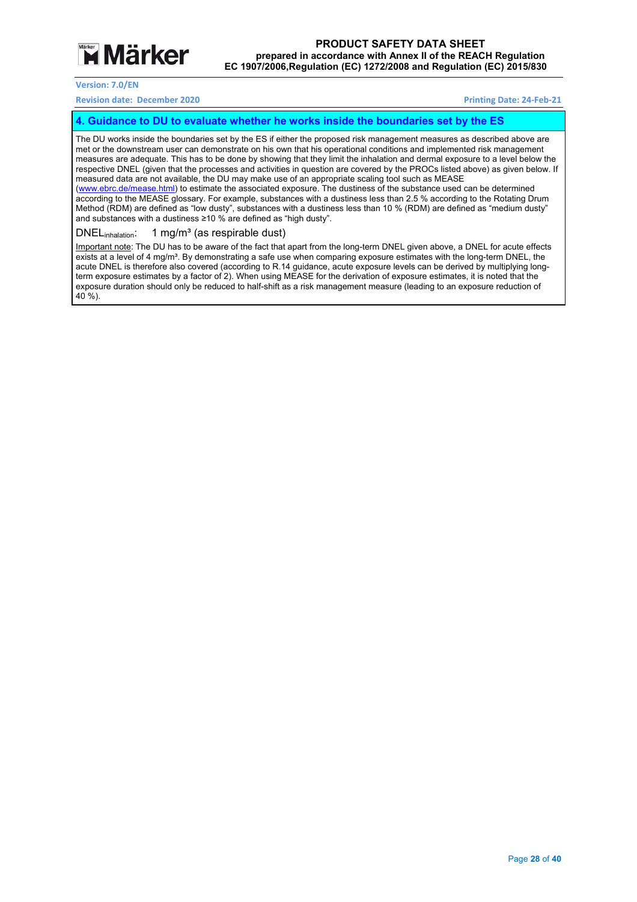

#### **Revision date: December 2020 Printing Date: 24‐Feb‐21**

#### **4. Guidance to DU to evaluate whether he works inside the boundaries set by the ES**

The DU works inside the boundaries set by the ES if either the proposed risk management measures as described above are met or the downstream user can demonstrate on his own that his operational conditions and implemented risk management measures are adequate. This has to be done by showing that they limit the inhalation and dermal exposure to a level below the respective DNEL (given that the processes and activities in question are covered by the PROCs listed above) as given below. If measured data are not available, the DU may make use of an appropriate scaling tool such as MEASE (www.ebrc.de/mease.html) to estimate the associated exposure. The dustiness of the substance used can be determined according to the MEASE glossary. For example, substances with a dustiness less than 2.5 % according to the Rotating Drum Method (RDM) are defined as "low dusty", substances with a dustiness less than 10 % (RDM) are defined as "medium dusty" and substances with a dustiness ≥10 % are defined as "high dusty".

#### DNEL<sub>inhalation</sub>: 1 mg/m<sup>3</sup> (as respirable dust)

Important note: The DU has to be aware of the fact that apart from the long-term DNEL given above, a DNEL for acute effects exists at a level of 4 mg/m<sup>3</sup>. By demonstrating a safe use when comparing exposure estimates with the long-term DNEL, the acute DNEL is therefore also covered (according to R.14 guidance, acute exposure levels can be derived by multiplying longterm exposure estimates by a factor of 2). When using MEASE for the derivation of exposure estimates, it is noted that the exposure duration should only be reduced to half-shift as a risk management measure (leading to an exposure reduction of 40 %).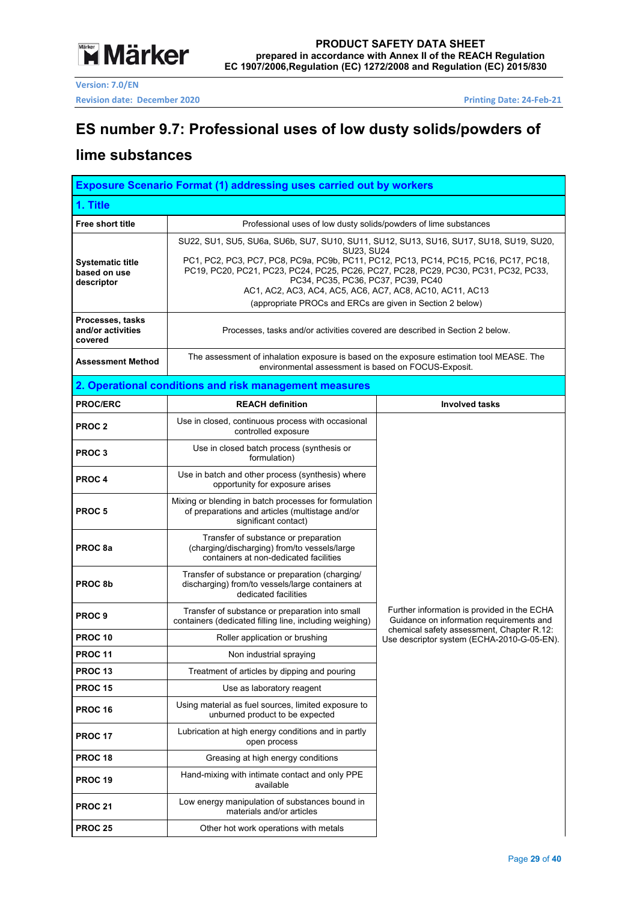

**Version: 7.0/EN Revision date: December 2020 Printing Date: 24-Feb-21** 

## **ES number 9.7: Professional uses of low dusty solids/powders of**

### **lime substances**

|                                                       | <b>Exposure Scenario Format (1) addressing uses carried out by workers</b>                                                                                                                                                                                                                                                                                                                                                                         |                                                                                         |  |  |  |  |
|-------------------------------------------------------|----------------------------------------------------------------------------------------------------------------------------------------------------------------------------------------------------------------------------------------------------------------------------------------------------------------------------------------------------------------------------------------------------------------------------------------------------|-----------------------------------------------------------------------------------------|--|--|--|--|
| 1. Title                                              |                                                                                                                                                                                                                                                                                                                                                                                                                                                    |                                                                                         |  |  |  |  |
| <b>Free short title</b>                               | Professional uses of low dusty solids/powders of lime substances                                                                                                                                                                                                                                                                                                                                                                                   |                                                                                         |  |  |  |  |
| <b>Systematic title</b><br>based on use<br>descriptor | SU22, SU1, SU5, SU6a, SU6b, SU7, SU10, SU11, SU12, SU13, SU16, SU17, SU18, SU19, SU20,<br>SU23, SU24<br>PC1, PC2, PC3, PC7, PC8, PC9a, PC9b, PC11, PC12, PC13, PC14, PC15, PC16, PC17, PC18,<br>PC19, PC20, PC21, PC23, PC24, PC25, PC26, PC27, PC28, PC29, PC30, PC31, PC32, PC33,<br>PC34, PC35, PC36, PC37, PC39, PC40<br>AC1, AC2, AC3, AC4, AC5, AC6, AC7, AC8, AC10, AC11, AC13<br>(appropriate PROCs and ERCs are given in Section 2 below) |                                                                                         |  |  |  |  |
| Processes, tasks<br>and/or activities<br>covered      | Processes, tasks and/or activities covered are described in Section 2 below.                                                                                                                                                                                                                                                                                                                                                                       |                                                                                         |  |  |  |  |
| <b>Assessment Method</b>                              | The assessment of inhalation exposure is based on the exposure estimation tool MEASE. The<br>environmental assessment is based on FOCUS-Exposit.                                                                                                                                                                                                                                                                                                   |                                                                                         |  |  |  |  |
|                                                       | 2. Operational conditions and risk management measures                                                                                                                                                                                                                                                                                                                                                                                             |                                                                                         |  |  |  |  |
| <b>PROC/ERC</b>                                       | <b>REACH definition</b>                                                                                                                                                                                                                                                                                                                                                                                                                            | <b>Involved tasks</b>                                                                   |  |  |  |  |
| <b>PROC2</b>                                          | Use in closed, continuous process with occasional<br>controlled exposure                                                                                                                                                                                                                                                                                                                                                                           |                                                                                         |  |  |  |  |
| PROC <sub>3</sub>                                     | Use in closed batch process (synthesis or<br>formulation)                                                                                                                                                                                                                                                                                                                                                                                          |                                                                                         |  |  |  |  |
| <b>PROC4</b>                                          | Use in batch and other process (synthesis) where<br>opportunity for exposure arises                                                                                                                                                                                                                                                                                                                                                                |                                                                                         |  |  |  |  |
| PROC <sub>5</sub>                                     | Mixing or blending in batch processes for formulation<br>of preparations and articles (multistage and/or<br>significant contact)                                                                                                                                                                                                                                                                                                                   |                                                                                         |  |  |  |  |
| PROC 8a                                               | Transfer of substance or preparation<br>(charging/discharging) from/to vessels/large<br>containers at non-dedicated facilities                                                                                                                                                                                                                                                                                                                     |                                                                                         |  |  |  |  |
| PROC <sub>8b</sub>                                    | Transfer of substance or preparation (charging/<br>discharging) from/to vessels/large containers at<br>dedicated facilities                                                                                                                                                                                                                                                                                                                        |                                                                                         |  |  |  |  |
| PROC <sub>9</sub>                                     | Transfer of substance or preparation into small<br>containers (dedicated filling line, including weighing)                                                                                                                                                                                                                                                                                                                                         | Further information is provided in the ECHA<br>Guidance on information requirements and |  |  |  |  |
| PROC 10                                               | Roller application or brushing                                                                                                                                                                                                                                                                                                                                                                                                                     | chemical safety assessment, Chapter R.12:<br>Use descriptor system (ECHA-2010-G-05-EN). |  |  |  |  |
| <b>PROC 11</b>                                        | Non industrial spraying                                                                                                                                                                                                                                                                                                                                                                                                                            |                                                                                         |  |  |  |  |
| <b>PROC 13</b>                                        | Treatment of articles by dipping and pouring                                                                                                                                                                                                                                                                                                                                                                                                       |                                                                                         |  |  |  |  |
| <b>PROC 15</b>                                        | Use as laboratory reagent                                                                                                                                                                                                                                                                                                                                                                                                                          |                                                                                         |  |  |  |  |
| <b>PROC 16</b>                                        | Using material as fuel sources, limited exposure to<br>unburned product to be expected                                                                                                                                                                                                                                                                                                                                                             |                                                                                         |  |  |  |  |
| <b>PROC 17</b>                                        | Lubrication at high energy conditions and in partly<br>open process                                                                                                                                                                                                                                                                                                                                                                                |                                                                                         |  |  |  |  |
| <b>PROC 18</b>                                        | Greasing at high energy conditions                                                                                                                                                                                                                                                                                                                                                                                                                 |                                                                                         |  |  |  |  |
| <b>PROC 19</b>                                        | Hand-mixing with intimate contact and only PPE<br>available                                                                                                                                                                                                                                                                                                                                                                                        |                                                                                         |  |  |  |  |
| <b>PROC 21</b>                                        | Low energy manipulation of substances bound in<br>materials and/or articles                                                                                                                                                                                                                                                                                                                                                                        |                                                                                         |  |  |  |  |
| <b>PROC 25</b>                                        | Other hot work operations with metals                                                                                                                                                                                                                                                                                                                                                                                                              |                                                                                         |  |  |  |  |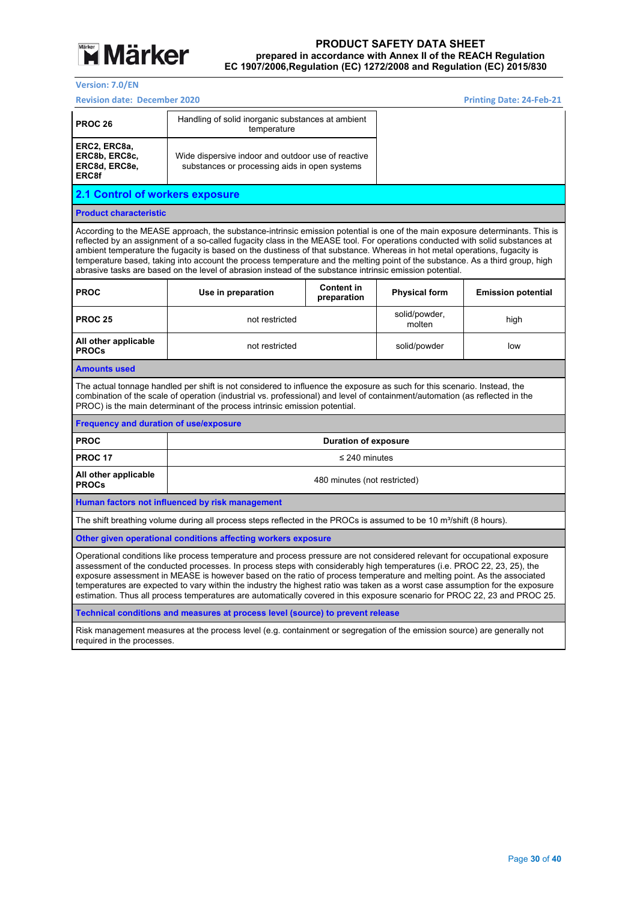

**Version: 7.0/EN** 

| <b>Revision date: December 2020</b>                                                                                                                                                                                                                                                                                                                                                                                                                                                                                                                                                                                                            |                                                                                                                                                                                                                                                                                                                                        |                                  | <b>Printing Date: 24-Feb-21</b> |                           |  |  |
|------------------------------------------------------------------------------------------------------------------------------------------------------------------------------------------------------------------------------------------------------------------------------------------------------------------------------------------------------------------------------------------------------------------------------------------------------------------------------------------------------------------------------------------------------------------------------------------------------------------------------------------------|----------------------------------------------------------------------------------------------------------------------------------------------------------------------------------------------------------------------------------------------------------------------------------------------------------------------------------------|----------------------------------|---------------------------------|---------------------------|--|--|
| <b>PROC 26</b>                                                                                                                                                                                                                                                                                                                                                                                                                                                                                                                                                                                                                                 | Handling of solid inorganic substances at ambient<br>temperature                                                                                                                                                                                                                                                                       |                                  |                                 |                           |  |  |
| ERC2, ERC8a,<br>ERC8b, ERC8c,<br>ERC8d, ERC8e,<br>ERC8f                                                                                                                                                                                                                                                                                                                                                                                                                                                                                                                                                                                        | Wide dispersive indoor and outdoor use of reactive<br>substances or processing aids in open systems                                                                                                                                                                                                                                    |                                  |                                 |                           |  |  |
| 2.1 Control of workers exposure                                                                                                                                                                                                                                                                                                                                                                                                                                                                                                                                                                                                                |                                                                                                                                                                                                                                                                                                                                        |                                  |                                 |                           |  |  |
| <b>Product characteristic</b>                                                                                                                                                                                                                                                                                                                                                                                                                                                                                                                                                                                                                  |                                                                                                                                                                                                                                                                                                                                        |                                  |                                 |                           |  |  |
| According to the MEASE approach, the substance-intrinsic emission potential is one of the main exposure determinants. This is<br>reflected by an assignment of a so-called fugacity class in the MEASE tool. For operations conducted with solid substances at<br>ambient temperature the fugacity is based on the dustiness of that substance. Whereas in hot metal operations, fugacity is<br>temperature based, taking into account the process temperature and the melting point of the substance. As a third group, high<br>abrasive tasks are based on the level of abrasion instead of the substance intrinsic emission potential.      |                                                                                                                                                                                                                                                                                                                                        |                                  |                                 |                           |  |  |
| <b>PROC</b>                                                                                                                                                                                                                                                                                                                                                                                                                                                                                                                                                                                                                                    | Use in preparation                                                                                                                                                                                                                                                                                                                     | <b>Content in</b><br>preparation | <b>Physical form</b>            | <b>Emission potential</b> |  |  |
| <b>PROC 25</b>                                                                                                                                                                                                                                                                                                                                                                                                                                                                                                                                                                                                                                 | not restricted                                                                                                                                                                                                                                                                                                                         |                                  | solid/powder,<br>molten         | high                      |  |  |
| All other applicable<br><b>PROCs</b>                                                                                                                                                                                                                                                                                                                                                                                                                                                                                                                                                                                                           | not restricted                                                                                                                                                                                                                                                                                                                         |                                  | solid/powder                    | low                       |  |  |
| <b>Amounts used</b>                                                                                                                                                                                                                                                                                                                                                                                                                                                                                                                                                                                                                            |                                                                                                                                                                                                                                                                                                                                        |                                  |                                 |                           |  |  |
|                                                                                                                                                                                                                                                                                                                                                                                                                                                                                                                                                                                                                                                | The actual tonnage handled per shift is not considered to influence the exposure as such for this scenario. Instead, the<br>combination of the scale of operation (industrial vs. professional) and level of containment/automation (as reflected in the<br>PROC) is the main determinant of the process intrinsic emission potential. |                                  |                                 |                           |  |  |
| <b>Frequency and duration of use/exposure</b>                                                                                                                                                                                                                                                                                                                                                                                                                                                                                                                                                                                                  |                                                                                                                                                                                                                                                                                                                                        |                                  |                                 |                           |  |  |
| <b>PROC</b>                                                                                                                                                                                                                                                                                                                                                                                                                                                                                                                                                                                                                                    |                                                                                                                                                                                                                                                                                                                                        | <b>Duration of exposure</b>      |                                 |                           |  |  |
| <b>PROC 17</b>                                                                                                                                                                                                                                                                                                                                                                                                                                                                                                                                                                                                                                 |                                                                                                                                                                                                                                                                                                                                        | $\leq$ 240 minutes               |                                 |                           |  |  |
| All other applicable<br><b>PROCs</b>                                                                                                                                                                                                                                                                                                                                                                                                                                                                                                                                                                                                           |                                                                                                                                                                                                                                                                                                                                        | 480 minutes (not restricted)     |                                 |                           |  |  |
| Human factors not influenced by risk management                                                                                                                                                                                                                                                                                                                                                                                                                                                                                                                                                                                                |                                                                                                                                                                                                                                                                                                                                        |                                  |                                 |                           |  |  |
| The shift breathing volume during all process steps reflected in the PROCs is assumed to be 10 m <sup>3</sup> /shift (8 hours).                                                                                                                                                                                                                                                                                                                                                                                                                                                                                                                |                                                                                                                                                                                                                                                                                                                                        |                                  |                                 |                           |  |  |
| Other given operational conditions affecting workers exposure                                                                                                                                                                                                                                                                                                                                                                                                                                                                                                                                                                                  |                                                                                                                                                                                                                                                                                                                                        |                                  |                                 |                           |  |  |
| Operational conditions like process temperature and process pressure are not considered relevant for occupational exposure<br>assessment of the conducted processes. In process steps with considerably high temperatures (i.e. PROC 22, 23, 25), the<br>exposure assessment in MEASE is however based on the ratio of process temperature and melting point. As the associated<br>temperatures are expected to vary within the industry the highest ratio was taken as a worst case assumption for the exposure<br>estimation. Thus all process temperatures are automatically covered in this exposure scenario for PROC 22, 23 and PROC 25. |                                                                                                                                                                                                                                                                                                                                        |                                  |                                 |                           |  |  |
|                                                                                                                                                                                                                                                                                                                                                                                                                                                                                                                                                                                                                                                | Technical conditions and measures at process level (source) to prevent release                                                                                                                                                                                                                                                         |                                  |                                 |                           |  |  |
| required in the processes.                                                                                                                                                                                                                                                                                                                                                                                                                                                                                                                                                                                                                     | Risk management measures at the process level (e.g. containment or segregation of the emission source) are generally not                                                                                                                                                                                                               |                                  |                                 |                           |  |  |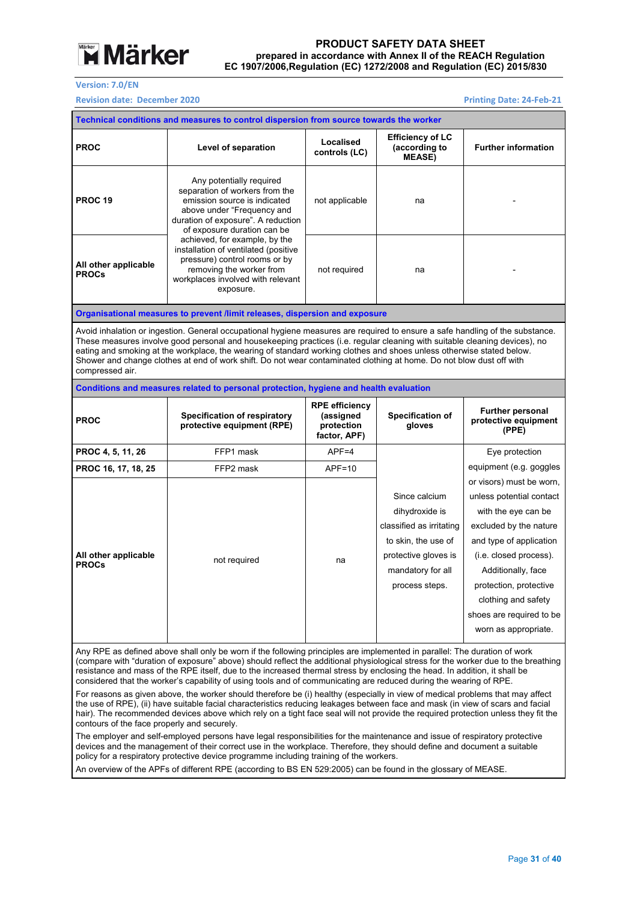

#### **Version: 7.0/EN**

#### **Revision date: December 2020 Printing Date: 24-Feb-21**

| Technical conditions and measures to control dispersion from source towards the worker                                                                                                                                                                                                                                                                                                                                                                                                                                                                                                                                                                                                                                                                                                                                                                                                                                                                                                                                                                                                                                                                                                                                                                                                                                                                                                                                                            |                                                                                                                                                                                                                                                                                                                                                                                                                                                                                                              |                                                                  |                                                                                                                                                   |                                                                                                                                                                                                                                                                                       |  |  |  |
|---------------------------------------------------------------------------------------------------------------------------------------------------------------------------------------------------------------------------------------------------------------------------------------------------------------------------------------------------------------------------------------------------------------------------------------------------------------------------------------------------------------------------------------------------------------------------------------------------------------------------------------------------------------------------------------------------------------------------------------------------------------------------------------------------------------------------------------------------------------------------------------------------------------------------------------------------------------------------------------------------------------------------------------------------------------------------------------------------------------------------------------------------------------------------------------------------------------------------------------------------------------------------------------------------------------------------------------------------------------------------------------------------------------------------------------------------|--------------------------------------------------------------------------------------------------------------------------------------------------------------------------------------------------------------------------------------------------------------------------------------------------------------------------------------------------------------------------------------------------------------------------------------------------------------------------------------------------------------|------------------------------------------------------------------|---------------------------------------------------------------------------------------------------------------------------------------------------|---------------------------------------------------------------------------------------------------------------------------------------------------------------------------------------------------------------------------------------------------------------------------------------|--|--|--|
| <b>PROC</b>                                                                                                                                                                                                                                                                                                                                                                                                                                                                                                                                                                                                                                                                                                                                                                                                                                                                                                                                                                                                                                                                                                                                                                                                                                                                                                                                                                                                                                       | Level of separation                                                                                                                                                                                                                                                                                                                                                                                                                                                                                          | Localised<br>controls (LC)                                       | <b>Efficiency of LC</b><br>(according to<br><b>MEASE)</b>                                                                                         | <b>Further information</b>                                                                                                                                                                                                                                                            |  |  |  |
| <b>PROC 19</b>                                                                                                                                                                                                                                                                                                                                                                                                                                                                                                                                                                                                                                                                                                                                                                                                                                                                                                                                                                                                                                                                                                                                                                                                                                                                                                                                                                                                                                    | Any potentially required<br>separation of workers from the<br>emission source is indicated<br>above under "Frequency and<br>duration of exposure". A reduction<br>of exposure duration can be                                                                                                                                                                                                                                                                                                                | not applicable                                                   | na                                                                                                                                                |                                                                                                                                                                                                                                                                                       |  |  |  |
| All other applicable<br><b>PROCs</b>                                                                                                                                                                                                                                                                                                                                                                                                                                                                                                                                                                                                                                                                                                                                                                                                                                                                                                                                                                                                                                                                                                                                                                                                                                                                                                                                                                                                              | achieved, for example, by the<br>installation of ventilated (positive<br>pressure) control rooms or by<br>removing the worker from<br>workplaces involved with relevant<br>exposure.                                                                                                                                                                                                                                                                                                                         | not required                                                     | na                                                                                                                                                |                                                                                                                                                                                                                                                                                       |  |  |  |
|                                                                                                                                                                                                                                                                                                                                                                                                                                                                                                                                                                                                                                                                                                                                                                                                                                                                                                                                                                                                                                                                                                                                                                                                                                                                                                                                                                                                                                                   | Organisational measures to prevent /limit releases, dispersion and exposure                                                                                                                                                                                                                                                                                                                                                                                                                                  |                                                                  |                                                                                                                                                   |                                                                                                                                                                                                                                                                                       |  |  |  |
| compressed air.                                                                                                                                                                                                                                                                                                                                                                                                                                                                                                                                                                                                                                                                                                                                                                                                                                                                                                                                                                                                                                                                                                                                                                                                                                                                                                                                                                                                                                   | Avoid inhalation or ingestion. General occupational hygiene measures are required to ensure a safe handling of the substance.<br>These measures involve good personal and housekeeping practices (i.e. regular cleaning with suitable cleaning devices), no<br>eating and smoking at the workplace, the wearing of standard working clothes and shoes unless otherwise stated below.<br>Shower and change clothes at end of work shift. Do not wear contaminated clothing at home. Do not blow dust off with |                                                                  |                                                                                                                                                   |                                                                                                                                                                                                                                                                                       |  |  |  |
|                                                                                                                                                                                                                                                                                                                                                                                                                                                                                                                                                                                                                                                                                                                                                                                                                                                                                                                                                                                                                                                                                                                                                                                                                                                                                                                                                                                                                                                   | Conditions and measures related to personal protection, hygiene and health evaluation                                                                                                                                                                                                                                                                                                                                                                                                                        |                                                                  |                                                                                                                                                   |                                                                                                                                                                                                                                                                                       |  |  |  |
| <b>PROC</b>                                                                                                                                                                                                                                                                                                                                                                                                                                                                                                                                                                                                                                                                                                                                                                                                                                                                                                                                                                                                                                                                                                                                                                                                                                                                                                                                                                                                                                       | <b>Specification of respiratory</b><br>protective equipment (RPE)                                                                                                                                                                                                                                                                                                                                                                                                                                            | <b>RPE</b> efficiency<br>(assigned<br>protection<br>factor, APF) | Specification of<br>gloves                                                                                                                        | <b>Further personal</b><br>protective equipment<br>(PPE)                                                                                                                                                                                                                              |  |  |  |
| PROC 4, 5, 11, 26                                                                                                                                                                                                                                                                                                                                                                                                                                                                                                                                                                                                                                                                                                                                                                                                                                                                                                                                                                                                                                                                                                                                                                                                                                                                                                                                                                                                                                 | FFP1 mask                                                                                                                                                                                                                                                                                                                                                                                                                                                                                                    | $APF = 4$                                                        |                                                                                                                                                   | Eye protection                                                                                                                                                                                                                                                                        |  |  |  |
| PROC 16, 17, 18, 25                                                                                                                                                                                                                                                                                                                                                                                                                                                                                                                                                                                                                                                                                                                                                                                                                                                                                                                                                                                                                                                                                                                                                                                                                                                                                                                                                                                                                               | FFP2 mask                                                                                                                                                                                                                                                                                                                                                                                                                                                                                                    | APF=10                                                           |                                                                                                                                                   | equipment (e.g. goggles                                                                                                                                                                                                                                                               |  |  |  |
| All other applicable<br><b>PROCs</b>                                                                                                                                                                                                                                                                                                                                                                                                                                                                                                                                                                                                                                                                                                                                                                                                                                                                                                                                                                                                                                                                                                                                                                                                                                                                                                                                                                                                              | not required                                                                                                                                                                                                                                                                                                                                                                                                                                                                                                 | na                                                               | Since calcium<br>dihydroxide is<br>classified as irritating<br>to skin, the use of<br>protective gloves is<br>mandatory for all<br>process steps. | or visors) must be worn,<br>unless potential contact<br>with the eye can be<br>excluded by the nature<br>and type of application<br>(i.e. closed process).<br>Additionally, face<br>protection, protective<br>clothing and safety<br>shoes are required to be<br>worn as appropriate. |  |  |  |
| Any RPE as defined above shall only be worn if the following principles are implemented in parallel: The duration of work<br>(compare with "duration of exposure" above) should reflect the additional physiological stress for the worker due to the breathing<br>resistance and mass of the RPE itself, due to the increased thermal stress by enclosing the head. In addition, it shall be<br>considered that the worker's capability of using tools and of communicating are reduced during the wearing of RPE.<br>For reasons as given above, the worker should therefore be (i) healthy (especially in view of medical problems that may affect<br>the use of RPE), (ii) have suitable facial characteristics reducing leakages between face and mask (in view of scars and facial<br>hair). The recommended devices above which rely on a tight face seal will not provide the required protection unless they fit the<br>contours of the face properly and securely.<br>The employer and self-employed persons have legal responsibilities for the maintenance and issue of respiratory protective<br>devices and the management of their correct use in the workplace. Therefore, they should define and document a suitable<br>policy for a respiratory protective device programme including training of the workers.<br>An overview of the APFs of different RPE (according to BS EN 529:2005) can be found in the glossary of MEASE. |                                                                                                                                                                                                                                                                                                                                                                                                                                                                                                              |                                                                  |                                                                                                                                                   |                                                                                                                                                                                                                                                                                       |  |  |  |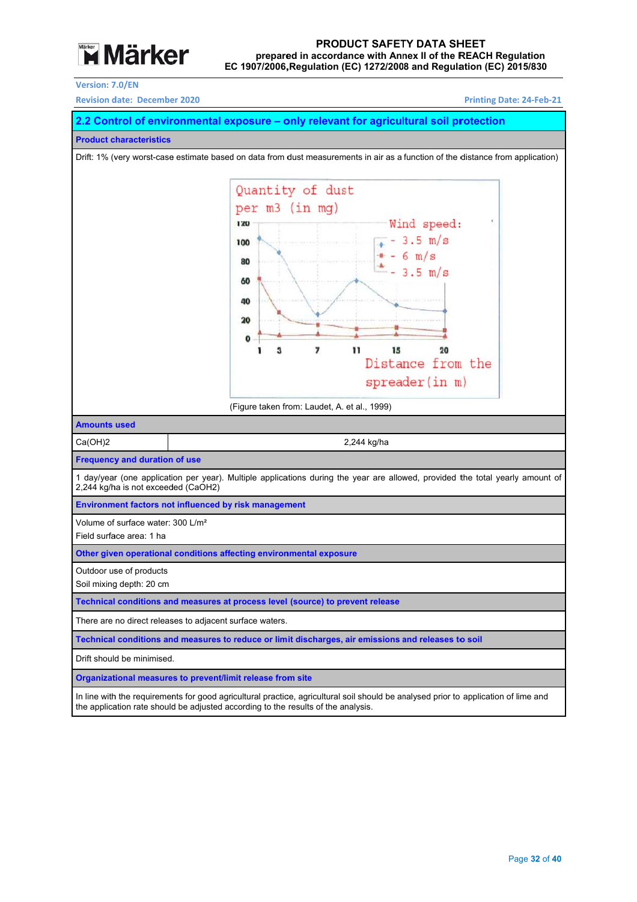

#### EC 1907/2006, Regulation (EC) 1272/2008 and Regulation (EC) 2015/830 prepared in accordance with Annex II of the REACH Regulation **PROD DUCT SAFET TY DATA SH HEET**

**Version: 7 7.0/EN** 

**Revision date: December 2020** 

**Printing Date: : 24‐Feb‐21** 

#### **2.2 Control of environmental exposure – only relevant for agricultural soil protection**

**Product c characteristics** 

Drift: 1% (very worst-case estimate based on data from dust measurements in air as a function of the distance from application)



**Organizational measures to prevent/limit release from site** 

In line with the requirements for good agricultural practice, agricultural soil should be analysed prior to application of lime and the application rate should be adjusted according to the results of the analysis.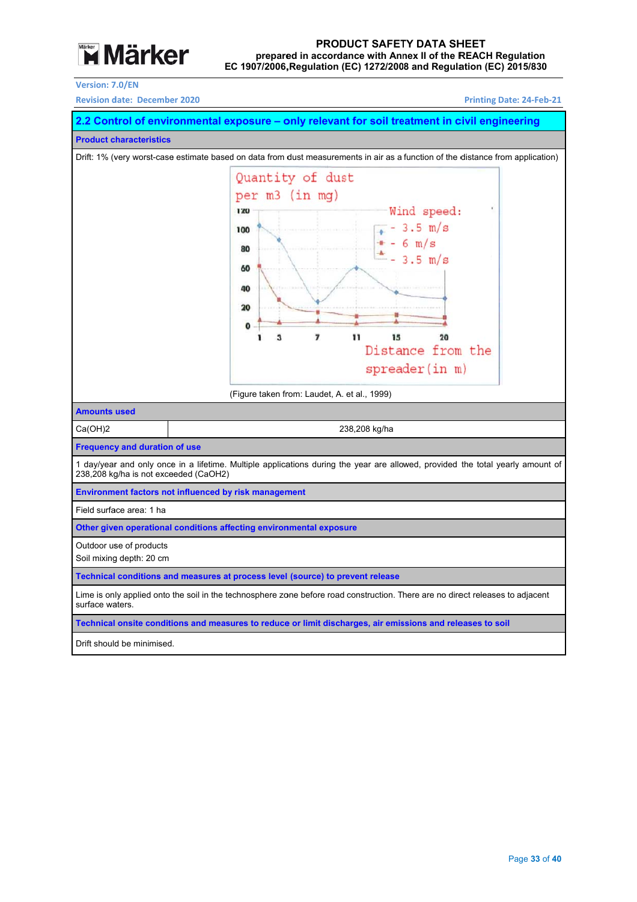

#### EC 1907/2006, Regulation (EC) 1272/2008 and Regulation (EC) 2015/830 prepared in accordance with Annex II of the REACH Regulation **PROD DUCT SAFET TY DATA SH HEET**

**Version: 7 7.0/EN** 

**Revision date: December 2020** 

**Printing Date: : 24‐Feb‐21** 



Drift should be minimised.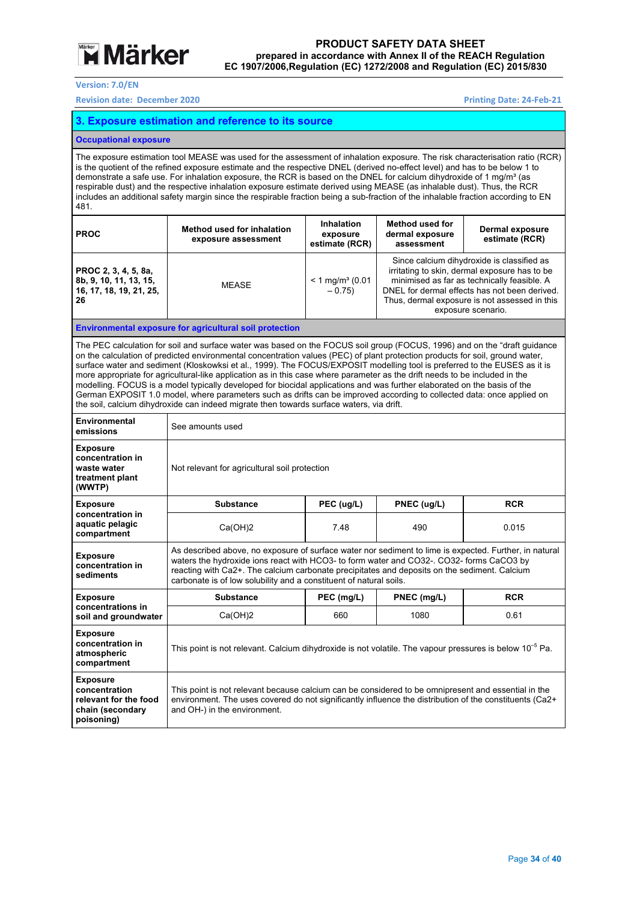

**Version: 7.0/EN** 

**Revision date: December 2020 Printing Date: 24‐Feb‐21** 

#### **3. Exposure estimation and reference to its source**

#### **Occupational exposure**

The exposure estimation tool MEASE was used for the assessment of inhalation exposure. The risk characterisation ratio (RCR) is the quotient of the refined exposure estimate and the respective DNEL (derived no-effect level) and has to be below 1 to demonstrate a safe use. For inhalation exposure, the RCR is based on the DNEL for calcium dihydroxide of 1 mg/m<sup>3</sup> (as respirable dust) and the respective inhalation exposure estimate derived using MEASE (as inhalable dust). Thus, the RCR includes an additional safety margin since the respirable fraction being a sub-fraction of the inhalable fraction according to EN 481.

| <b>PROC</b>                                                                     | <b>Method used for inhalation</b><br>exposure assessment | <b>Inhalation</b><br>exposure<br>estimate (RCR) | <b>Method used for</b><br>dermal exposure<br>assessment | Dermal exposure<br>estimate (RCR)                                                                                                                                                                                                                                  |
|---------------------------------------------------------------------------------|----------------------------------------------------------|-------------------------------------------------|---------------------------------------------------------|--------------------------------------------------------------------------------------------------------------------------------------------------------------------------------------------------------------------------------------------------------------------|
| PROC 2, 3, 4, 5, 8a,<br>8b, 9, 10, 11, 13, 15,<br>16, 17, 18, 19, 21, 25,<br>26 | <b>MFASF</b>                                             | $< 1$ mg/m <sup>3</sup> (0.01<br>$-0.75$        |                                                         | Since calcium dihydroxide is classified as<br>irritating to skin, dermal exposure has to be<br>minimised as far as technically feasible. A<br>DNEL for dermal effects has not been derived.<br>Thus, dermal exposure is not assessed in this<br>exposure scenario. |

#### **Environmental exposure for agricultural soil protection**

The PEC calculation for soil and surface water was based on the FOCUS soil group (FOCUS, 1996) and on the "draft guidance on the calculation of predicted environmental concentration values (PEC) of plant protection products for soil, ground water, surface water and sediment (Kloskowksi et al., 1999). The FOCUS/EXPOSIT modelling tool is preferred to the EUSES as it is more appropriate for agricultural-like application as in this case where parameter as the drift needs to be included in the modelling. FOCUS is a model typically developed for biocidal applications and was further elaborated on the basis of the German EXPOSIT 1.0 model, where parameters such as drifts can be improved according to collected data: once applied on the soil, calcium dihydroxide can indeed migrate then towards surface waters, via drift.

| Environmental<br>emissions                                                                  | See amounts used                                                                                                                                                                                                                                                                                                                                                         |             |             |            |  |  |  |
|---------------------------------------------------------------------------------------------|--------------------------------------------------------------------------------------------------------------------------------------------------------------------------------------------------------------------------------------------------------------------------------------------------------------------------------------------------------------------------|-------------|-------------|------------|--|--|--|
| <b>Exposure</b><br>concentration in<br>waste water<br>treatment plant<br>(WWTP)             | Not relevant for agricultural soil protection                                                                                                                                                                                                                                                                                                                            |             |             |            |  |  |  |
| <b>Exposure</b>                                                                             | <b>Substance</b>                                                                                                                                                                                                                                                                                                                                                         | PEC (ug/L)  | PNEC (ug/L) | <b>RCR</b> |  |  |  |
| concentration in<br>aquatic pelagic<br>compartment                                          | Ca(OH)2                                                                                                                                                                                                                                                                                                                                                                  | 7.48<br>490 |             | 0.015      |  |  |  |
| <b>Exposure</b><br>concentration in<br>sediments                                            | As described above, no exposure of surface water nor sediment to lime is expected. Further, in natural<br>waters the hydroxide ions react with HCO3- to form water and CO32-. CO32- forms CaCO3 by<br>reacting with Ca2+. The calcium carbonate precipitates and deposits on the sediment. Calcium<br>carbonate is of low solubility and a constituent of natural soils. |             |             |            |  |  |  |
| <b>Exposure</b>                                                                             | <b>Substance</b>                                                                                                                                                                                                                                                                                                                                                         | PEC (mg/L)  | PNEC (mg/L) | <b>RCR</b> |  |  |  |
| concentrations in<br>soil and groundwater                                                   | Ca(OH)2                                                                                                                                                                                                                                                                                                                                                                  | 660         | 1080        | 0.61       |  |  |  |
| <b>Exposure</b><br>concentration in<br>atmospheric<br>compartment                           | This point is not relevant. Calcium dihydroxide is not volatile. The vapour pressures is below 10 <sup>-5</sup> Pa.                                                                                                                                                                                                                                                      |             |             |            |  |  |  |
| <b>Exposure</b><br>concentration<br>relevant for the food<br>chain (secondary<br>poisoning) | This point is not relevant because calcium can be considered to be omnipresent and essential in the<br>environment. The uses covered do not significantly influence the distribution of the constituents (Ca2+<br>and OH-) in the environment.                                                                                                                           |             |             |            |  |  |  |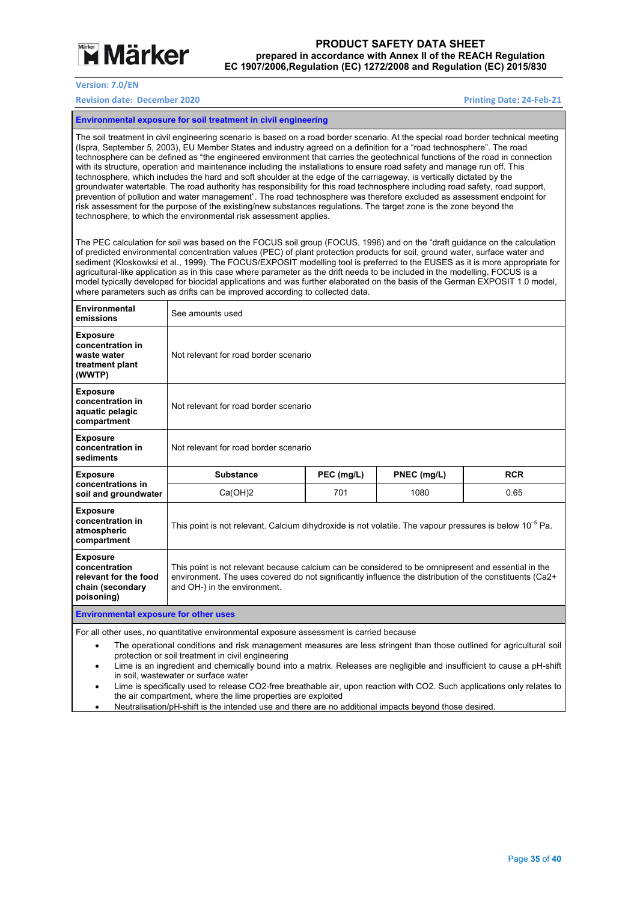

**Version: 7.0/EN** 

#### **Revision date: December 2020 Printing Date: 24‐Feb‐21**

**Environmental exposure for soil treatment in civil engineering** 

The soil treatment in civil engineering scenario is based on a road border scenario. At the special road border technical meeting (Ispra, September 5, 2003), EU Member States and industry agreed on a definition for a "road technosphere". The road technosphere can be defined as "the engineered environment that carries the geotechnical functions of the road in connection with its structure, operation and maintenance including the installations to ensure road safety and manage run off. This technosphere, which includes the hard and soft shoulder at the edge of the carriageway, is vertically dictated by the groundwater watertable. The road authority has responsibility for this road technosphere including road safety, road support, prevention of pollution and water management". The road technosphere was therefore excluded as assessment endpoint for risk assessment for the purpose of the existing/new substances regulations. The target zone is the zone beyond the technosphere, to which the environmental risk assessment applies.

The PEC calculation for soil was based on the FOCUS soil group (FOCUS, 1996) and on the "draft guidance on the calculation of predicted environmental concentration values (PEC) of plant protection products for soil, ground water, surface water and sediment (Kloskowksi et al., 1999). The FOCUS/EXPOSIT modelling tool is preferred to the EUSES as it is more appropriate for agricultural-like application as in this case where parameter as the drift needs to be included in the modelling. FOCUS is a model typically developed for biocidal applications and was further elaborated on the basis of the German EXPOSIT 1.0 model, where parameters such as drifts can be improved according to collected data.

| Environmental<br>emissions                                                                                                                                                                                                                                                                                                                                                                                                                                        | See amounts used                                                                                                                                                                                                                               |     |      |      |  |  |  |
|-------------------------------------------------------------------------------------------------------------------------------------------------------------------------------------------------------------------------------------------------------------------------------------------------------------------------------------------------------------------------------------------------------------------------------------------------------------------|------------------------------------------------------------------------------------------------------------------------------------------------------------------------------------------------------------------------------------------------|-----|------|------|--|--|--|
| <b>Exposure</b><br>concentration in<br>waste water<br>treatment plant<br>(WWTP)                                                                                                                                                                                                                                                                                                                                                                                   | Not relevant for road border scenario                                                                                                                                                                                                          |     |      |      |  |  |  |
| <b>Exposure</b><br>concentration in<br>aquatic pelagic<br>compartment                                                                                                                                                                                                                                                                                                                                                                                             | Not relevant for road border scenario                                                                                                                                                                                                          |     |      |      |  |  |  |
| <b>Exposure</b><br>concentration in<br>sediments                                                                                                                                                                                                                                                                                                                                                                                                                  | Not relevant for road border scenario                                                                                                                                                                                                          |     |      |      |  |  |  |
| <b>Exposure</b><br>concentrations in                                                                                                                                                                                                                                                                                                                                                                                                                              | PEC (mg/L)<br>PNEC (mg/L)<br><b>RCR</b><br><b>Substance</b>                                                                                                                                                                                    |     |      |      |  |  |  |
| soil and groundwater                                                                                                                                                                                                                                                                                                                                                                                                                                              | Ca(OH)2                                                                                                                                                                                                                                        | 701 | 1080 | 0.65 |  |  |  |
| <b>Exposure</b><br>concentration in<br>atmospheric<br>compartment                                                                                                                                                                                                                                                                                                                                                                                                 | This point is not relevant. Calcium dihydroxide is not volatile. The vapour pressures is below 10 $^{\rm -5}$ Pa.                                                                                                                              |     |      |      |  |  |  |
| <b>Exposure</b><br>concentration<br>relevant for the food<br>chain (secondary<br>poisoning)                                                                                                                                                                                                                                                                                                                                                                       | This point is not relevant because calcium can be considered to be omnipresent and essential in the<br>environment. The uses covered do not significantly influence the distribution of the constituents (Ca2+<br>and OH-) in the environment. |     |      |      |  |  |  |
| <b>Environmental exposure for other uses</b>                                                                                                                                                                                                                                                                                                                                                                                                                      |                                                                                                                                                                                                                                                |     |      |      |  |  |  |
| For all other uses, no quantitative environmental exposure assessment is carried because<br>The operational conditions and risk management measures are less stringent than those outlined for agricultural soil<br>$\bullet$<br>protection or soil treatment in civil engineering<br>Lime is an ingredient and chemically bound into a matrix. Releases are negligible and insufficient to cause a pH-shift<br>$\bullet$<br>in soil, wastewater or surface water |                                                                                                                                                                                                                                                |     |      |      |  |  |  |

 Lime is specifically used to release CO2-free breathable air, upon reaction with CO2. Such applications only relates to the air compartment, where the lime properties are exploited

Neutralisation/pH-shift is the intended use and there are no additional impacts beyond those desired.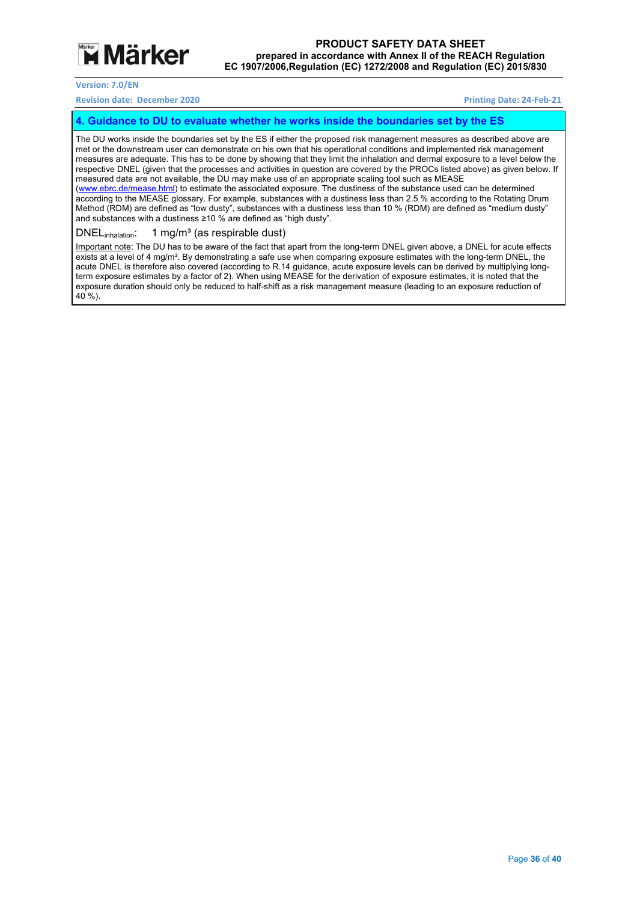

#### **Revision date: December 2020 Printing Date: 24‐Feb‐21**

#### **4. Guidance to DU to evaluate whether he works inside the boundaries set by the ES**

The DU works inside the boundaries set by the ES if either the proposed risk management measures as described above are met or the downstream user can demonstrate on his own that his operational conditions and implemented risk management measures are adequate. This has to be done by showing that they limit the inhalation and dermal exposure to a level below the respective DNEL (given that the processes and activities in question are covered by the PROCs listed above) as given below. If measured data are not available, the DU may make use of an appropriate scaling tool such as MEASE (www.ebrc.de/mease.html) to estimate the associated exposure. The dustiness of the substance used can be determined according to the MEASE glossary. For example, substances with a dustiness less than 2.5 % according to the Rotating Drum Method (RDM) are defined as "low dusty", substances with a dustiness less than 10 % (RDM) are defined as "medium dusty" and substances with a dustiness ≥10 % are defined as "high dusty".

#### DNEL<sub>inhalation</sub>: 1 mg/m<sup>3</sup> (as respirable dust)

Important note: The DU has to be aware of the fact that apart from the long-term DNEL given above, a DNEL for acute effects exists at a level of 4 mg/m<sup>3</sup>. By demonstrating a safe use when comparing exposure estimates with the long-term DNEL, the acute DNEL is therefore also covered (according to R.14 guidance, acute exposure levels can be derived by multiplying longterm exposure estimates by a factor of 2). When using MEASE for the derivation of exposure estimates, it is noted that the exposure duration should only be reduced to half-shift as a risk management measure (leading to an exposure reduction of 40 %).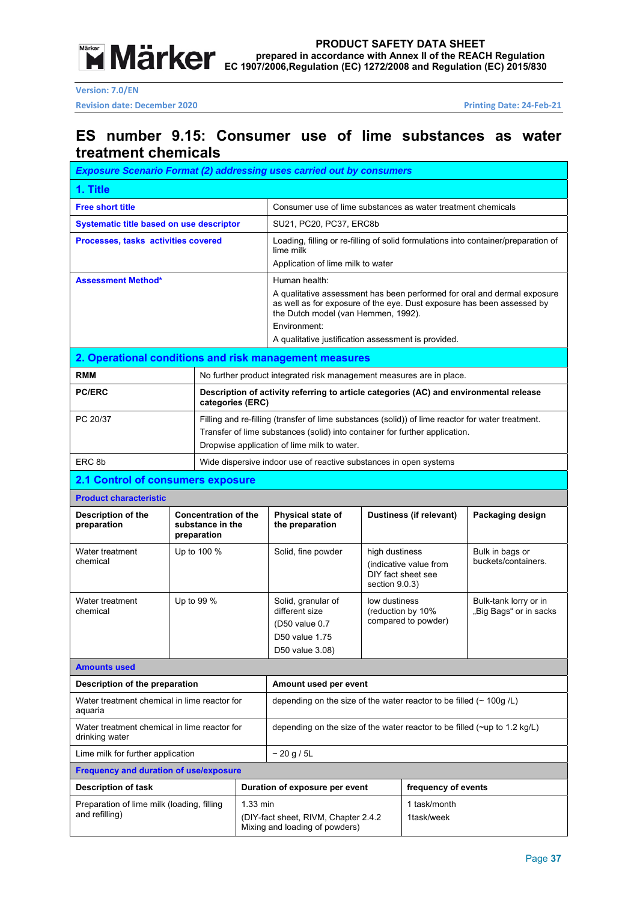

**Revision date: December 2020 Printing Date: 24‐Feb‐21** 

### **ES number 9.15: Consumer use of lime substances as water treatment chemicals**

| <b>Exposure Scenario Format (2) addressing uses carried out by consumers</b> |                                                                |                                                                                                                                                                                                                                                                                   |                                                                           |                                                                                                                                                                                                                                 |                                                                                  |                     |                                                                                    |
|------------------------------------------------------------------------------|----------------------------------------------------------------|-----------------------------------------------------------------------------------------------------------------------------------------------------------------------------------------------------------------------------------------------------------------------------------|---------------------------------------------------------------------------|---------------------------------------------------------------------------------------------------------------------------------------------------------------------------------------------------------------------------------|----------------------------------------------------------------------------------|---------------------|------------------------------------------------------------------------------------|
| 1. Title                                                                     |                                                                |                                                                                                                                                                                                                                                                                   |                                                                           |                                                                                                                                                                                                                                 |                                                                                  |                     |                                                                                    |
| <b>Free short title</b>                                                      |                                                                |                                                                                                                                                                                                                                                                                   |                                                                           | Consumer use of lime substances as water treatment chemicals                                                                                                                                                                    |                                                                                  |                     |                                                                                    |
| Systematic title based on use descriptor                                     |                                                                |                                                                                                                                                                                                                                                                                   |                                                                           | SU21, PC20, PC37, ERC8b                                                                                                                                                                                                         |                                                                                  |                     |                                                                                    |
| Processes, tasks activities covered                                          |                                                                |                                                                                                                                                                                                                                                                                   |                                                                           | lime milk                                                                                                                                                                                                                       |                                                                                  |                     | Loading, filling or re-filling of solid formulations into container/preparation of |
|                                                                              |                                                                |                                                                                                                                                                                                                                                                                   | Application of lime milk to water                                         |                                                                                                                                                                                                                                 |                                                                                  |                     |                                                                                    |
| <b>Assessment Method*</b>                                                    |                                                                | Human health:<br>A qualitative assessment has been performed for oral and dermal exposure<br>as well as for exposure of the eye. Dust exposure has been assessed by<br>the Dutch model (van Hemmen, 1992).<br>Environment:<br>A qualitative justification assessment is provided. |                                                                           |                                                                                                                                                                                                                                 |                                                                                  |                     |                                                                                    |
| 2. Operational conditions and risk management measures                       |                                                                |                                                                                                                                                                                                                                                                                   |                                                                           |                                                                                                                                                                                                                                 |                                                                                  |                     |                                                                                    |
| <b>RMM</b>                                                                   |                                                                |                                                                                                                                                                                                                                                                                   |                                                                           | No further product integrated risk management measures are in place.                                                                                                                                                            |                                                                                  |                     |                                                                                    |
| <b>PC/ERC</b>                                                                |                                                                | categories (ERC)                                                                                                                                                                                                                                                                  |                                                                           | Description of activity referring to article categories (AC) and environmental release                                                                                                                                          |                                                                                  |                     |                                                                                    |
| PC 20/37                                                                     |                                                                |                                                                                                                                                                                                                                                                                   |                                                                           | Filling and re-filling (transfer of lime substances (solid)) of lime reactor for water treatment.<br>Transfer of lime substances (solid) into container for further application.<br>Dropwise application of lime milk to water. |                                                                                  |                     |                                                                                    |
| ERC <sub>8b</sub>                                                            |                                                                |                                                                                                                                                                                                                                                                                   |                                                                           | Wide dispersive indoor use of reactive substances in open systems                                                                                                                                                               |                                                                                  |                     |                                                                                    |
| <b>2.1 Control of consumers exposure</b>                                     |                                                                |                                                                                                                                                                                                                                                                                   |                                                                           |                                                                                                                                                                                                                                 |                                                                                  |                     |                                                                                    |
| <b>Product characteristic</b>                                                |                                                                |                                                                                                                                                                                                                                                                                   |                                                                           |                                                                                                                                                                                                                                 |                                                                                  |                     |                                                                                    |
| <b>Description of the</b><br>preparation                                     | <b>Concentration of the</b><br>substance in the<br>preparation |                                                                                                                                                                                                                                                                                   |                                                                           | Physical state of<br>the preparation                                                                                                                                                                                            | Dustiness (if relevant)                                                          |                     | Packaging design                                                                   |
| Water treatment<br>chemical                                                  | Up to 100 %                                                    |                                                                                                                                                                                                                                                                                   |                                                                           | Solid, fine powder                                                                                                                                                                                                              | high dustiness<br>(indicative value from<br>DIY fact sheet see<br>section 9.0.3) |                     | Bulk in bags or<br>buckets/containers.                                             |
| Water treatment<br>chemical                                                  | Up to 99 %                                                     |                                                                                                                                                                                                                                                                                   |                                                                           | Solid, granular of<br>different size<br>(D50 value 0.7)<br>D50 value 1.75<br>D50 value 3.08)                                                                                                                                    | low dustiness<br>(reduction by 10%<br>compared to powder)                        |                     | Bulk-tank lorry or in<br>"Big Bags" or in sacks                                    |
| <b>Amounts used</b>                                                          |                                                                |                                                                                                                                                                                                                                                                                   |                                                                           |                                                                                                                                                                                                                                 |                                                                                  |                     |                                                                                    |
| Description of the preparation                                               |                                                                |                                                                                                                                                                                                                                                                                   |                                                                           | Amount used per event                                                                                                                                                                                                           |                                                                                  |                     |                                                                                    |
| Water treatment chemical in lime reactor for<br>aquaria                      |                                                                |                                                                                                                                                                                                                                                                                   |                                                                           | depending on the size of the water reactor to be filled ( $\sim$ 100g /L)                                                                                                                                                       |                                                                                  |                     |                                                                                    |
| Water treatment chemical in lime reactor for<br>drinking water               |                                                                |                                                                                                                                                                                                                                                                                   | depending on the size of the water reactor to be filled (~up to 1.2 kg/L) |                                                                                                                                                                                                                                 |                                                                                  |                     |                                                                                    |
| Lime milk for further application                                            |                                                                |                                                                                                                                                                                                                                                                                   | $\sim$ 20 g / 5L                                                          |                                                                                                                                                                                                                                 |                                                                                  |                     |                                                                                    |
| <b>Frequency and duration of use/exposure</b>                                |                                                                |                                                                                                                                                                                                                                                                                   |                                                                           |                                                                                                                                                                                                                                 |                                                                                  |                     |                                                                                    |
| <b>Description of task</b>                                                   |                                                                |                                                                                                                                                                                                                                                                                   |                                                                           | Duration of exposure per event                                                                                                                                                                                                  |                                                                                  | frequency of events |                                                                                    |
| Preparation of lime milk (loading, filling<br>and refilling)                 |                                                                |                                                                                                                                                                                                                                                                                   | 1.33 min                                                                  | 1 task/month<br>1task/week<br>(DIY-fact sheet, RIVM, Chapter 2.4.2)<br>Mixing and loading of powders)                                                                                                                           |                                                                                  |                     |                                                                                    |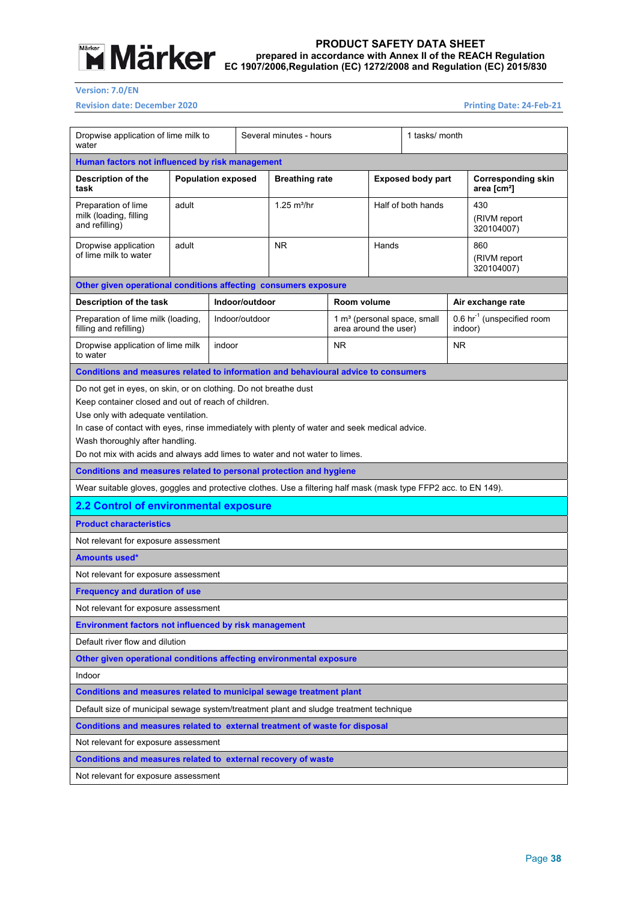

**Version: 7.0/EN** 

**Revision date: December 2020 Printing Date: 24‐Feb‐21** 

| water                                                                                                                                                                                                                                                                                                         | Dropwise application of lime milk to |        | Several minutes - hours |                           | 1 tasks/ month        |       |                                         |         |                                                      |
|---------------------------------------------------------------------------------------------------------------------------------------------------------------------------------------------------------------------------------------------------------------------------------------------------------------|--------------------------------------|--------|-------------------------|---------------------------|-----------------------|-------|-----------------------------------------|---------|------------------------------------------------------|
| Human factors not influenced by risk management                                                                                                                                                                                                                                                               |                                      |        |                         |                           |                       |       |                                         |         |                                                      |
| <b>Description of the</b><br>task                                                                                                                                                                                                                                                                             | <b>Population exposed</b>            |        |                         | <b>Breathing rate</b>     |                       |       | <b>Exposed body part</b>                |         | <b>Corresponding skin</b><br>area [cm <sup>2</sup> ] |
| Preparation of lime<br>milk (loading, filling<br>and refilling)                                                                                                                                                                                                                                               | adult                                |        |                         | $1.25$ m <sup>3</sup> /hr |                       |       | Half of both hands                      |         | 430<br>(RIVM report<br>320104007)                    |
| Dropwise application<br>of lime milk to water                                                                                                                                                                                                                                                                 | adult                                |        |                         | <b>NR</b>                 |                       | Hands |                                         |         | 860<br>(RIVM report<br>320104007)                    |
| Other given operational conditions affecting consumers exposure                                                                                                                                                                                                                                               |                                      |        |                         |                           |                       |       |                                         |         |                                                      |
| Description of the task                                                                                                                                                                                                                                                                                       |                                      |        | Indoor/outdoor          |                           | Room volume           |       |                                         |         | Air exchange rate                                    |
| Preparation of lime milk (loading,<br>filling and refilling)                                                                                                                                                                                                                                                  |                                      |        | Indoor/outdoor          |                           | area around the user) |       | 1 m <sup>3</sup> (personal space, small | indoor) | 0.6 hr <sup>-1</sup> (unspecified room               |
| Dropwise application of lime milk<br>to water                                                                                                                                                                                                                                                                 |                                      | indoor |                         |                           | <b>NR</b>             |       |                                         | NR.     |                                                      |
| Conditions and measures related to information and behavioural advice to consumers                                                                                                                                                                                                                            |                                      |        |                         |                           |                       |       |                                         |         |                                                      |
| Keep container closed and out of reach of children.<br>Use only with adequate ventilation.<br>In case of contact with eyes, rinse immediately with plenty of water and seek medical advice.<br>Wash thoroughly after handling.<br>Do not mix with acids and always add limes to water and not water to limes. |                                      |        |                         |                           |                       |       |                                         |         |                                                      |
| Conditions and measures related to personal protection and hygiene                                                                                                                                                                                                                                            |                                      |        |                         |                           |                       |       |                                         |         |                                                      |
| Wear suitable gloves, goggles and protective clothes. Use a filtering half mask (mask type FFP2 acc. to EN 149).                                                                                                                                                                                              |                                      |        |                         |                           |                       |       |                                         |         |                                                      |
| 2.2 Control of environmental exposure                                                                                                                                                                                                                                                                         |                                      |        |                         |                           |                       |       |                                         |         |                                                      |
| <b>Product characteristics</b>                                                                                                                                                                                                                                                                                |                                      |        |                         |                           |                       |       |                                         |         |                                                      |
| Not relevant for exposure assessment                                                                                                                                                                                                                                                                          |                                      |        |                         |                           |                       |       |                                         |         |                                                      |
| <b>Amounts used*</b>                                                                                                                                                                                                                                                                                          |                                      |        |                         |                           |                       |       |                                         |         |                                                      |
| Not relevant for exposure assessment                                                                                                                                                                                                                                                                          |                                      |        |                         |                           |                       |       |                                         |         |                                                      |
| <b>Frequency and duration of use</b>                                                                                                                                                                                                                                                                          |                                      |        |                         |                           |                       |       |                                         |         |                                                      |
| Not relevant for exposure assessment                                                                                                                                                                                                                                                                          |                                      |        |                         |                           |                       |       |                                         |         |                                                      |
| Environment factors not influenced by risk management                                                                                                                                                                                                                                                         |                                      |        |                         |                           |                       |       |                                         |         |                                                      |
| Default river flow and dilution                                                                                                                                                                                                                                                                               |                                      |        |                         |                           |                       |       |                                         |         |                                                      |
| Other given operational conditions affecting environmental exposure                                                                                                                                                                                                                                           |                                      |        |                         |                           |                       |       |                                         |         |                                                      |
| Indoor                                                                                                                                                                                                                                                                                                        |                                      |        |                         |                           |                       |       |                                         |         |                                                      |
| Conditions and measures related to municipal sewage treatment plant                                                                                                                                                                                                                                           |                                      |        |                         |                           |                       |       |                                         |         |                                                      |
| Default size of municipal sewage system/treatment plant and sludge treatment technique                                                                                                                                                                                                                        |                                      |        |                         |                           |                       |       |                                         |         |                                                      |
| Conditions and measures related to external treatment of waste for disposal                                                                                                                                                                                                                                   |                                      |        |                         |                           |                       |       |                                         |         |                                                      |
| Not relevant for exposure assessment                                                                                                                                                                                                                                                                          |                                      |        |                         |                           |                       |       |                                         |         |                                                      |
| Conditions and measures related to external recovery of waste                                                                                                                                                                                                                                                 |                                      |        |                         |                           |                       |       |                                         |         |                                                      |
| Not relevant for exposure assessment                                                                                                                                                                                                                                                                          |                                      |        |                         |                           |                       |       |                                         |         |                                                      |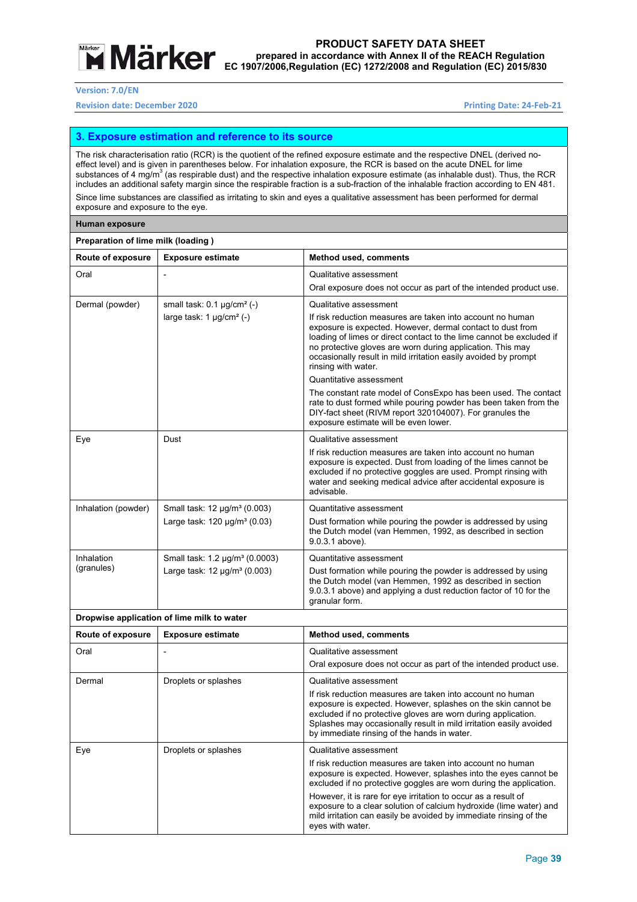

**Version: 7.0/EN** 

#### **Revision date: December 2020 Printing Date: 24‐Feb‐21**

#### **3. Exposure estimation and reference to its source**

The risk characterisation ratio (RCR) is the quotient of the refined exposure estimate and the respective DNEL (derived noeffect level) and is given in parentheses below. For inhalation exposure, the RCR is based on the acute DNEL for lime substances of 4 mg/m $^3$  (as respirable dust) and the respective inhalation exposure estimate (as inhalable dust). Thus, the RCR includes an additional safety margin since the respirable fraction is a sub-fraction of the inhalable fraction according to EN 481. Since lime substances are classified as irritating to skin and eyes a qualitative assessment has been performed for dermal

exposure and exposure to the eye.

#### **Human exposure**

| Preparation of lime milk (loading) |                                            |                                                                                                                                                                                                                                                                                                                                                          |  |  |  |
|------------------------------------|--------------------------------------------|----------------------------------------------------------------------------------------------------------------------------------------------------------------------------------------------------------------------------------------------------------------------------------------------------------------------------------------------------------|--|--|--|
| Route of exposure                  | <b>Exposure estimate</b>                   | <b>Method used, comments</b>                                                                                                                                                                                                                                                                                                                             |  |  |  |
| Oral                               |                                            | Qualitative assessment                                                                                                                                                                                                                                                                                                                                   |  |  |  |
|                                    |                                            | Oral exposure does not occur as part of the intended product use.                                                                                                                                                                                                                                                                                        |  |  |  |
| Dermal (powder)                    | small task: $0.1 \mu g/cm^2$ (-)           | Qualitative assessment                                                                                                                                                                                                                                                                                                                                   |  |  |  |
|                                    | large task: $1 \mu g/cm^2$ (-)             | If risk reduction measures are taken into account no human<br>exposure is expected. However, dermal contact to dust from<br>loading of limes or direct contact to the lime cannot be excluded if<br>no protective gloves are worn during application. This may<br>occasionally result in mild irritation easily avoided by prompt<br>rinsing with water. |  |  |  |
|                                    |                                            | Quantitative assessment                                                                                                                                                                                                                                                                                                                                  |  |  |  |
|                                    |                                            | The constant rate model of ConsExpo has been used. The contact<br>rate to dust formed while pouring powder has been taken from the<br>DIY-fact sheet (RIVM report 320104007). For granules the<br>exposure estimate will be even lower.                                                                                                                  |  |  |  |
| Eye                                | Dust                                       | Qualitative assessment                                                                                                                                                                                                                                                                                                                                   |  |  |  |
|                                    |                                            | If risk reduction measures are taken into account no human<br>exposure is expected. Dust from loading of the limes cannot be<br>excluded if no protective goggles are used. Prompt rinsing with<br>water and seeking medical advice after accidental exposure is<br>advisable.                                                                           |  |  |  |
| Inhalation (powder)                | Small task: 12 µg/m <sup>3</sup> (0.003)   | Quantitative assessment                                                                                                                                                                                                                                                                                                                                  |  |  |  |
|                                    | Large task: $120 \mu g/m^3 (0.03)$         | Dust formation while pouring the powder is addressed by using<br>the Dutch model (van Hemmen, 1992, as described in section<br>9.0.3.1 above).                                                                                                                                                                                                           |  |  |  |
| Inhalation                         | Small task: 1.2 µg/m <sup>3</sup> (0.0003) | Quantitative assessment                                                                                                                                                                                                                                                                                                                                  |  |  |  |
| (granules)                         | Large task: $12 \mu q/m^3 (0.003)$         | Dust formation while pouring the powder is addressed by using<br>the Dutch model (van Hemmen, 1992 as described in section<br>9.0.3.1 above) and applying a dust reduction factor of 10 for the<br>granular form.                                                                                                                                        |  |  |  |

#### **Dropwise application of lime milk to water**

| Route of exposure | <b>Exposure estimate</b> | <b>Method used, comments</b>                                                                                                                                                                                                                                                                                                                                                                                                                                   |
|-------------------|--------------------------|----------------------------------------------------------------------------------------------------------------------------------------------------------------------------------------------------------------------------------------------------------------------------------------------------------------------------------------------------------------------------------------------------------------------------------------------------------------|
| Oral              |                          | Qualitative assessment                                                                                                                                                                                                                                                                                                                                                                                                                                         |
|                   |                          | Oral exposure does not occur as part of the intended product use.                                                                                                                                                                                                                                                                                                                                                                                              |
| Dermal            | Droplets or splashes     | Qualitative assessment<br>If risk reduction measures are taken into account no human<br>exposure is expected. However, splashes on the skin cannot be<br>excluded if no protective gloves are worn during application.<br>Splashes may occasionally result in mild irritation easily avoided<br>by immediate rinsing of the hands in water.                                                                                                                    |
| Eye               | Droplets or splashes     | Qualitative assessment<br>If risk reduction measures are taken into account no human<br>exposure is expected. However, splashes into the eyes cannot be<br>excluded if no protective goggles are worn during the application.<br>However, it is rare for eye irritation to occur as a result of<br>exposure to a clear solution of calcium hydroxide (lime water) and<br>mild irritation can easily be avoided by immediate rinsing of the<br>eyes with water. |